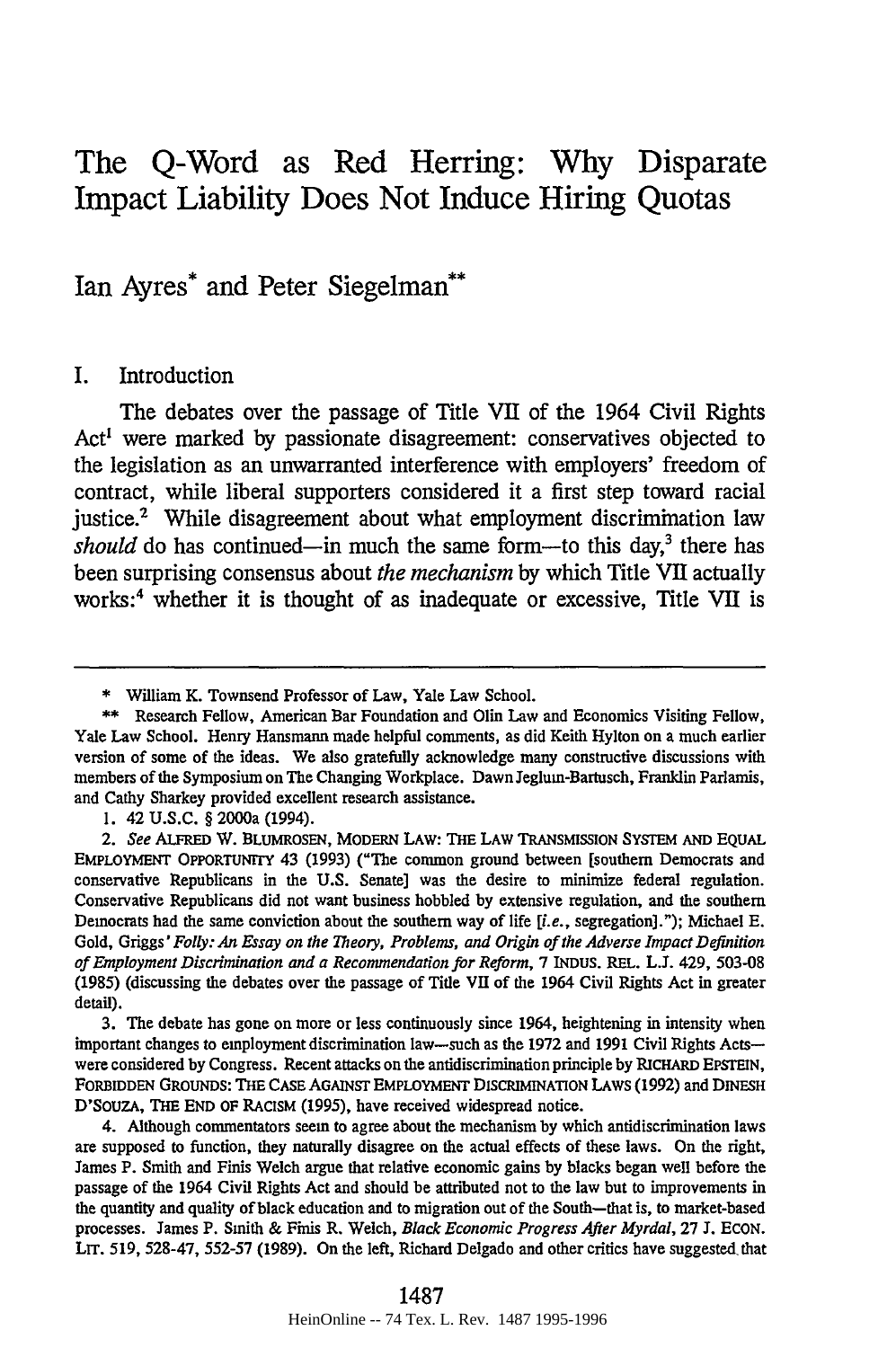# The Q-Word as Red Herring: **Why** Disparate Impact Liability Does Not Induce Hiring Quotas

Ian Ayres\* and Peter Siegelman\*\*

#### I. Introduction

The debates over the passage of Title VII of the 1964 Civil Rights Act' were marked **by** passionate disagreement: conservatives objected to the legislation as an unwarranted interference with employers' freedom of contract, while liberal supporters considered it a first step toward racial justice.<sup>2</sup> While disagreement about what employment discrimination law *should* do has continued—in much the same form—to this day,<sup>3</sup> there has been surprising consensus about *the mechanism* **by** which Title **VII** actually works:4 whether it is thought of as inadequate or excessive, Title **VII** is

4. Although commentators seem to agree about the mechanism **by** which antidiscrimination laws are supposed to function, they naturally disagree on the actual effects of these laws. On the right, James P. Smith and Finis Welch argue that relative economic gains **by** blacks began well before the passage of the 1964 Civil Rights Act and should be attributed not to the law but to improvements in the quantity and quality of black education and to migration out of the South-that is, to market-based processes. James P. Smith & Finis R. Welch, *Black Economic Progress After Myrdal,* **27 J.** ECON. LIT. **519, 528-47,** 552-57 **(1989).** On the left, Richard Delgado and other critics have suggested that

<sup>\*</sup> William K. Townsend Professor of Law, Yale Law School.

<sup>\*\*</sup> Research Fellow, American Bar Foundation and Olin Law and Economics Visiting Fellow, Yale Law School. Henry Hansmann made helpful comments, as did Keith Hylton on a much earlier version of some of the ideas. We also gratefully acknowledge many constructive discussions with members of the Symposium on The Changing Workplace. Dawn Jeglum-Bartusch, Franklin Parlamis, and Cathy Sharkey provided excellent research assistance.

<sup>1. 42</sup> U.S.C. § 2000a (1994).

*<sup>2.</sup> See* ALFRED W. BLUMROSEN, MODERN LAW: THE **LAW** TRANSMISSION SYSrEM AND EQUAL EMPLOYMENT OPPORTUNITY 43 (1993) ("The common ground between [southern Democrats and conservative Republicans in the U.S. Senate] was the desire to minimize federal regulation. Conservative Republicans did not want business hobbled by extensive regulation, and the southern Democrats had the same conviction about the southern way of life *[i.e.,* segregation]."); Michael E. Gold, Griggs' *Folly: An Essay on the Theory, Problems, and Origin of the Adverse Impact Definition of Employment Discrimination and a Recommendation for Reform,* 7 INDUS. REL. L.J. 429, 503-08 (1985) (discussing the debates over the passage of Title VII of the 1964 Civil Rights Act in greater detail).

<sup>3.</sup> The debate has gone on more or less continuously since 1964, heightening in intensity when important changes to employment discrimination law-such as the 1972 and 1991 Civil Rights Actswere considered by Congress. Recent attacks on the antidiscrimination principle by RICHARD EPSTEIN, FORBIDDEN GROUNDS: THE CASE AGAINST EMPLOYMENT DISCRIMINATION LAWS (1992) and DINESH D'SouzA, THE **END** OF RACISM (1995), have received widespread notice.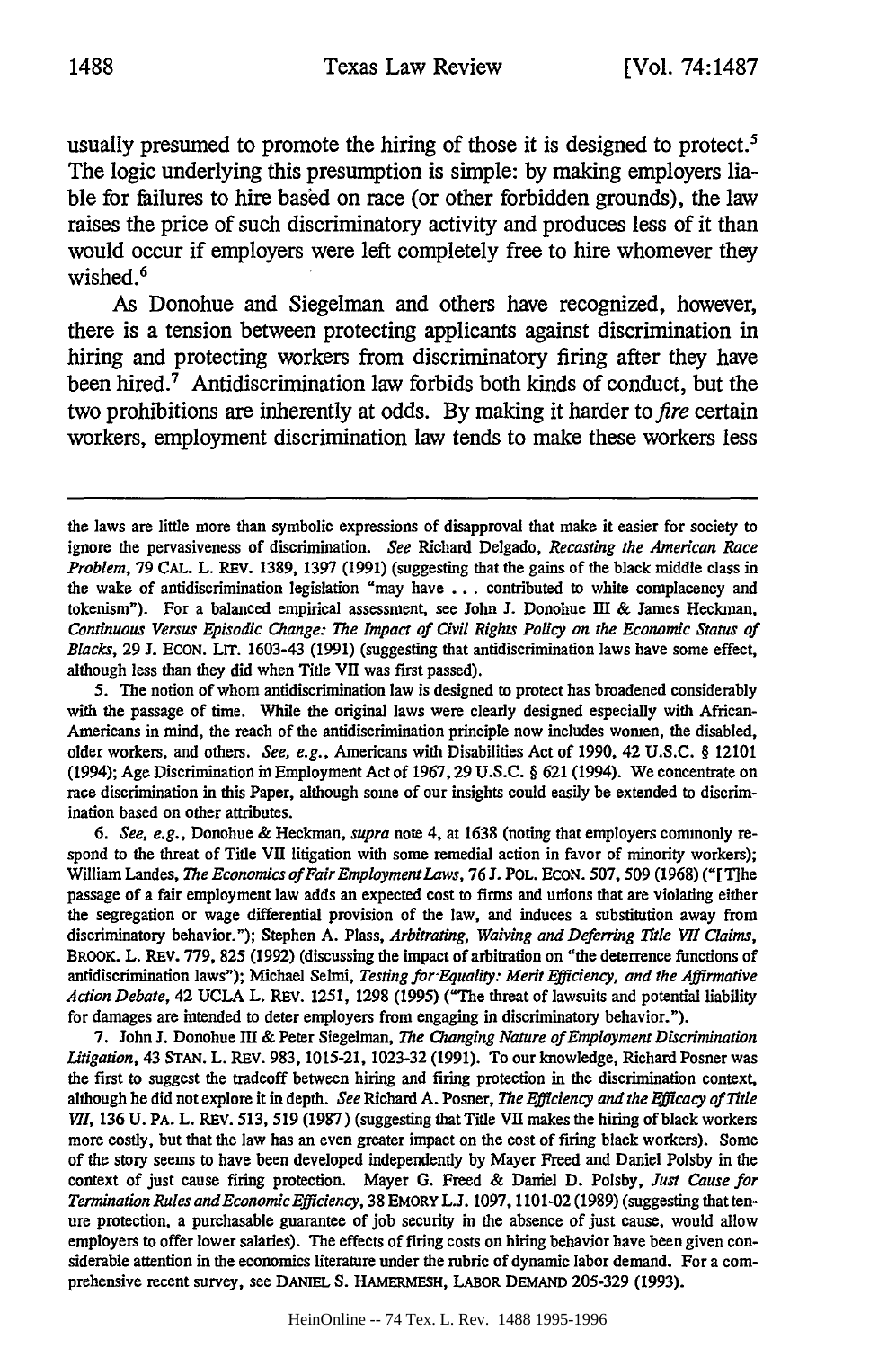usually presumed to promote the hiring of those it is designed to protect.<sup>5</sup> The logic underlying this presumption is simple: **by** making employers liable for failures to hire based on race (or other forbidden grounds), the law raises the price of such discriminatory activity and produces less of it than would occur if employers were left completely free to hire whomever they wished.<sup>6</sup>

As Donohue and Siegelman and others have recognized, however, there is a tension between protecting applicants against discrimination in hiring and protecting workers from discriminatory firing after they have been hired. $<sup>7</sup>$  Antidiscrimination law forbids both kinds of conduct, but the</sup> two prohibitions are inherently at odds. By making it harder to *fire* certain workers, employment discrimination law tends to make these workers less

*6. See, e.g.,* Donohue & Heckman, *supra* note 4, at 1638 (noting that employers commonly respond to the threat of Title VII litigation with some remedial action in favor of minority workers); William Landes, *The Economics of FairEmploymentLaws,* 76 J. POL. ECON. 507, 509 (1968) ("[T1he passage of a fair employment law adds an expected cost to firms and unions that are violating either the segregation or wage differential provision of the law, and induces a substitution away from discriminatory behavior."); Stephen A. Plass, *Arbitrating, Waiving and Deferring Title VII Claims,* BROOK. L. REV. 779, 825 (1992) (discussing the impact of arbitration on "the deterrence functions of antidiscrimination laws"); Michael Selmi, *Testing for-Equality: Merit Efficiency, and the Affirmative Action Debate,* 42 UCLA L. REv. 1251, 1298 (1995) ("The threat of lawsuits and potential liability for damages are intended to deter employers from engaging in discriminatory behavior.").

7. John J. Donohue Ill & Peter Siegelman, *The Changing Nature of Employment Discrimination Litigation,* 43 **STAN.** L. **REV.** 983, 1015-21, 1023-32 (1991). To our knowledge, Richard Posner was the first to suggest the tradeoff between hiring and firing protection in the discrimination context, although he did not explore it in depth. *See* Richard A. Posner, *The Efficiency and the Efficacy of Title VII*, 136 U. PA. L. REV. 513, 519 (1987) (suggesting that Title VII makes the hiring of black workers more costly, but that the law has an even greater impact on the cost of firing black workers). Some of the story seems to have been developed independently by Mayer Freed and Daniel Polsby in the context of just cause firing protection. Mayer G. Freed & Daniel D. Polsby, *Just Cause for Termination Rules and Economic Efficiency,* 38 EMORY L.J. 1097, 1101-02 (1989) (suggesting that tenure protection, a purchasable guarantee of job security in the absence of just cause, would allow employers to offer lower salaries). The effects of firing costs on hiring behavior have been given considerable attention in the economics literature under the rubric of dynamic labor demand. For a comprehensive recent survey, see DANIEL **S.** HAMERMESH, LABOR DEMAND 205-329 (1993).

the laws are little more than symbolic expressions of disapproval that make it easier for society to ignore the pervasiveness of discrimination. *See* Richard Delgado, *Recasting the American Race Problem,* **79 CAL.** L. REv. **1389,** 1397 **(1991)** (suggesting that the gains of the black middle class in the wake of antidiscrimination legislation "may have ... contributed to white complacency and tokenism"). For a balanced empirical assessment, see John J. Donohue In & James Heckman, *Continuous Versus Episodic Change: The Impact of Civil Rights Policy on the Economic Status of Blacks,* **29** J. **ECON.** LIT. 1603-43 (1991) (suggesting that antidiscrimination laws have some effect, although less than they did when Title V11 was first passed).

<sup>5.</sup> **The** notion of whom antidiscrimination law is designed to protect has broadened considerably with the passage of time. While the original laws were clearly designed especially with African-Americans in mind, the reach of the antidiscrimination principle now includes women, the disabled, older workers, and others. *See, e.g.,* Americans with Disabilities Act of 1990, 42 **U.S.C.** § 12101 (1994); Age Discrimination in Employment Act of 1967, 29 **U.S.C.** § 621 (1994). We concentrate on race discrimination in this Paper, although some of our insights could easily be extended to discrimination based on other attributes.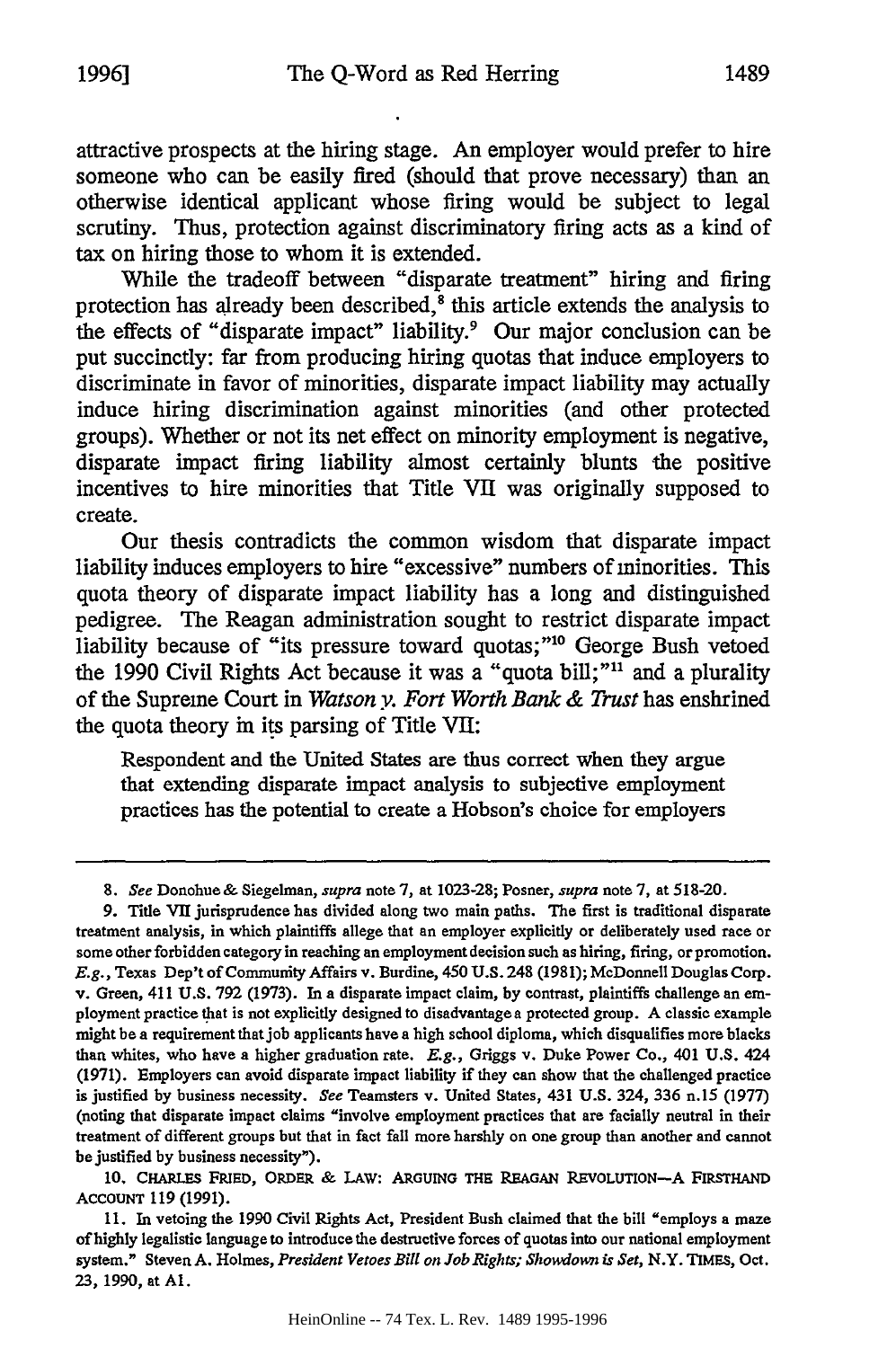While the tradeoff between "disparate treatment" hiring and firing protection has already been described,<sup>8</sup> this article extends the analysis to the effects of "disparate impact" liability.<sup>9</sup> Our major conclusion can be put succinctly: far from producing hiring quotas that induce employers to discriminate in favor of minorities, disparate impact liability may actually induce hiring discrimination against minorities (and other protected groups). Whether or not its net effect on minority employment is negative, disparate impact firing liability almost certainly blunts the positive incentives to hire minorities that Title VII was originally supposed to create.

Our thesis contradicts the common wisdom that disparate impact liability induces employers to hire "excessive" numbers of minorities. This quota theory of disparate impact liability has a long and distinguished pedigree. The Reagan administration sought to restrict disparate impact liability because of "its pressure toward quotas;"<sup>10</sup> George Bush vetoed the 1990 Civil Rights Act because it was a "quota bill;"<sup>11</sup> and a plurality of the Supreme Court in *Watson y. Fort Worth Bank & Trust* has enshrined the quota theory in its parsing of Title **VII:**

Respondent and the United States are thus correct when they argue that extending disparate impact analysis to subjective employment practices has the potential to create a Hobson's choice for employers

<sup>8.</sup> *See* Donohue& Siegelman, *supra* note 7, at 1023-28; Posner, *supra* note 7, at 518-20.

**<sup>9.</sup>** Title **VII** jurisprudence has divided along two main paths. The first is traditional disparate treatment analysis, in which plaintiffs allege that an employer explicitly or deliberately used race or some other forbidden category in reaching an employment decision such as hiring, firing, or promotion. *E.g.,* Texas Dep't of Community Affairs v. Burdine, 450 **U.S.** 248 (1981); McDonnell Douglas Corp. v. Green, 411 **U.S.** 792 (1973). In a disparate impact claim, **by** contrast, plaintiffs challenge an employment practice that is not explicitly designed to disadvantagea protected group. A classic example might be a requirement that job applicants have a high school diploma, which disqualifies more blacks than whites, who have a higher graduation rate. E.g., Griggs v. Duke Power Co., 401 **U.S.** 424 (1971). Employers can avoid disparate impact liability if they can show that the challenged practice is justified by business necessity. *See* Teamsters v. United States, 431 **U.S.** 324, **336** n.15 (1977) (noting that disparate impact claims "involve employment practices that are facially neutral in their treatment of different groups but that in fact fall more harshly on one group than another and cannot be justified **by** business necessity").

**<sup>10.</sup> CHARLES FRIED, ORDER & LAW: ARGUING THE REAGAN REVOLUTION-A FIRSTHAND ACCOUNT 119 (1991).**

**<sup>11.</sup>** In vetoing the **1990** Civil Rights Act, President Bush claimed that the bill "employs a maze of **highly** legalistic language to introduce the destructive forces of quotas into our national employment system." Steven **A.** Holmes, *President Vetoes Bill on Job Rights; Showdown is Set,* N.Y. TIMES, Oct. **23, 1990,** at **Al.**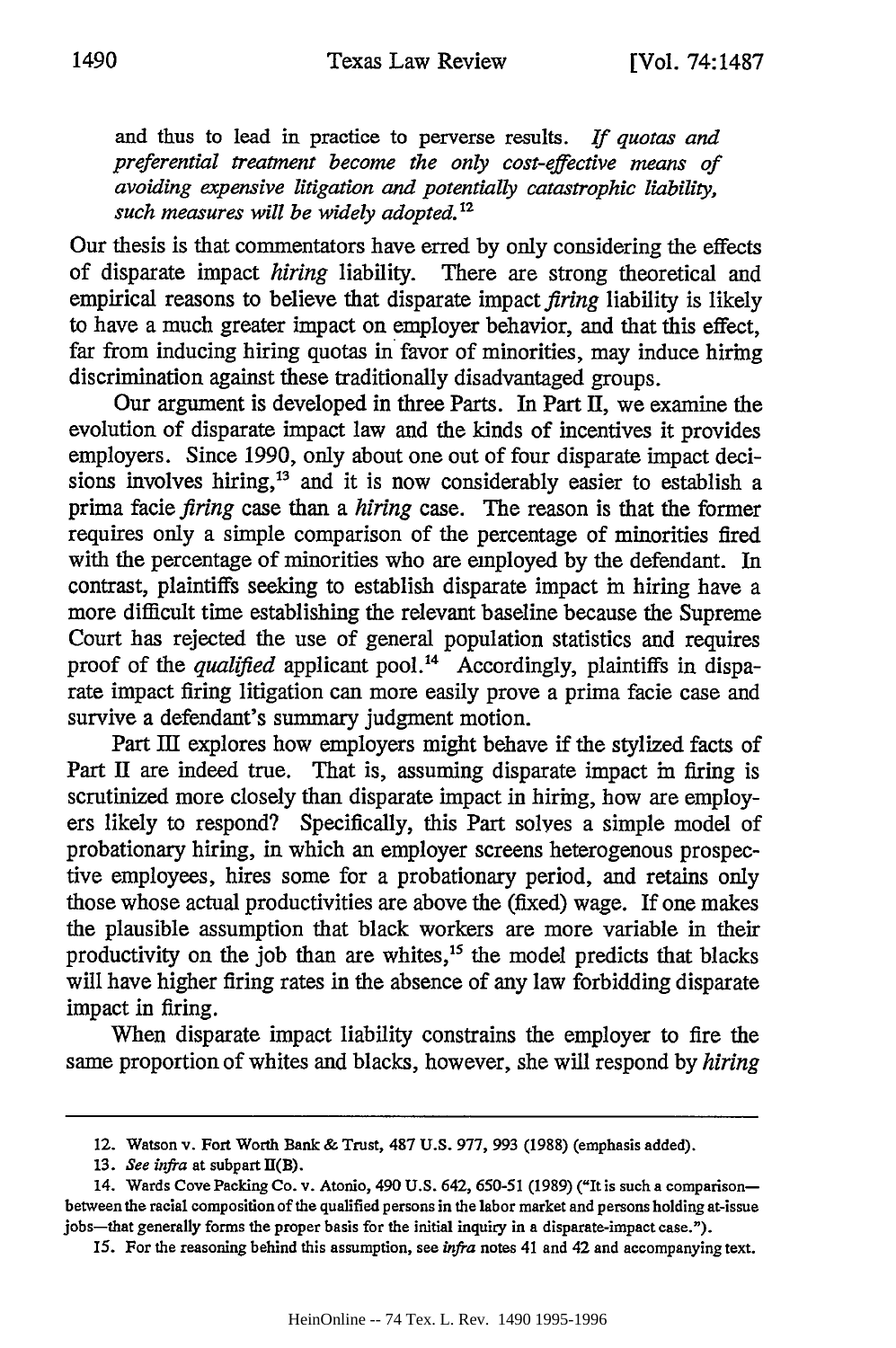and thus to lead in practice to perverse results. *If quotas and preferential treatment become the only cost-effective means of avoiding expensive litigation and potentially catastrophic liability, such measures will be widely adopted.<sup>2</sup>*

Our thesis is that commentators have erred by only considering the effects of disparate impact *hiring* liability. There are strong theoretical and empirical reasons to believe that disparate impact *firing* liability is likely to have a much greater impact on employer behavior, and that this effect, far from inducing hiring quotas in favor of minorities, may induce hiring discrimination against these traditionally disadvantaged groups.

Our argument is developed in three Parts. In Part II, we examine the evolution of disparate impact law and the kinds of incentives it provides employers. Since 1990, only about one out of four disparate impact decisions involves hiring,<sup>13</sup> and it is now considerably easier to establish a prima facie *firing* case than a *hiring* case. The reason is that the former requires only a simple comparison of the percentage of minorities fired with the percentage of minorities who are employed by the defendant. In contrast, plaintiffs seeking to establish disparate impact in hiring have a more difficult time establishing the relevant baseline because the Supreme Court has rejected the use of general population statistics and requires proof of the *qualified* applicant pool.<sup>14</sup> Accordingly, plaintiffs in disparate impact firing litigation can more easily prove a prima facie case and survive a defendant's summary judgment motion.

Part III explores how employers might behave if the stylized facts of Part II are indeed true. That is, assuming disparate impact in firing is scrutinized more closely than disparate impact in hiring, how are employers likely to respond? Specifically, this Part solves a simple model of probationary hiring, in which an employer screens heterogenous prospective employees, hires some for a probationary period, and retains only those whose actual productivities are above the (fixed) wage. If one makes the plausible assumption that black workers are more variable in their productivity on the job than are whites,<sup>15</sup> the model predicts that blacks will have higher firing rates in the absence of any law forbidding disparate impact in firing.

When disparate impact liability constrains the employer to fire the same proportion of whites and blacks, however, she will respond by *hiring*

<sup>12.</sup> Watson v. Fort Worth Bank **&** Trust, 487 **U.S. 977, 993 (1988)** (emphasis added).

**<sup>13.</sup>** *See infra* at subpart I(B).

<sup>14.</sup> Wards Cove Packing Co. v. Atonio, 490 **U.S.** 642, **650-51 (1989)** ("It is such a comparisonbetween the racial composition of the qualified persons in the labor market **and** persons holding at-issue jobs-that generally forms the proper basis for the initial inquiry in a disparate-impact case.").

**<sup>15.</sup> For** the reasoning behind this assumption, see *infra* notes 41 and **42** and accompanying text.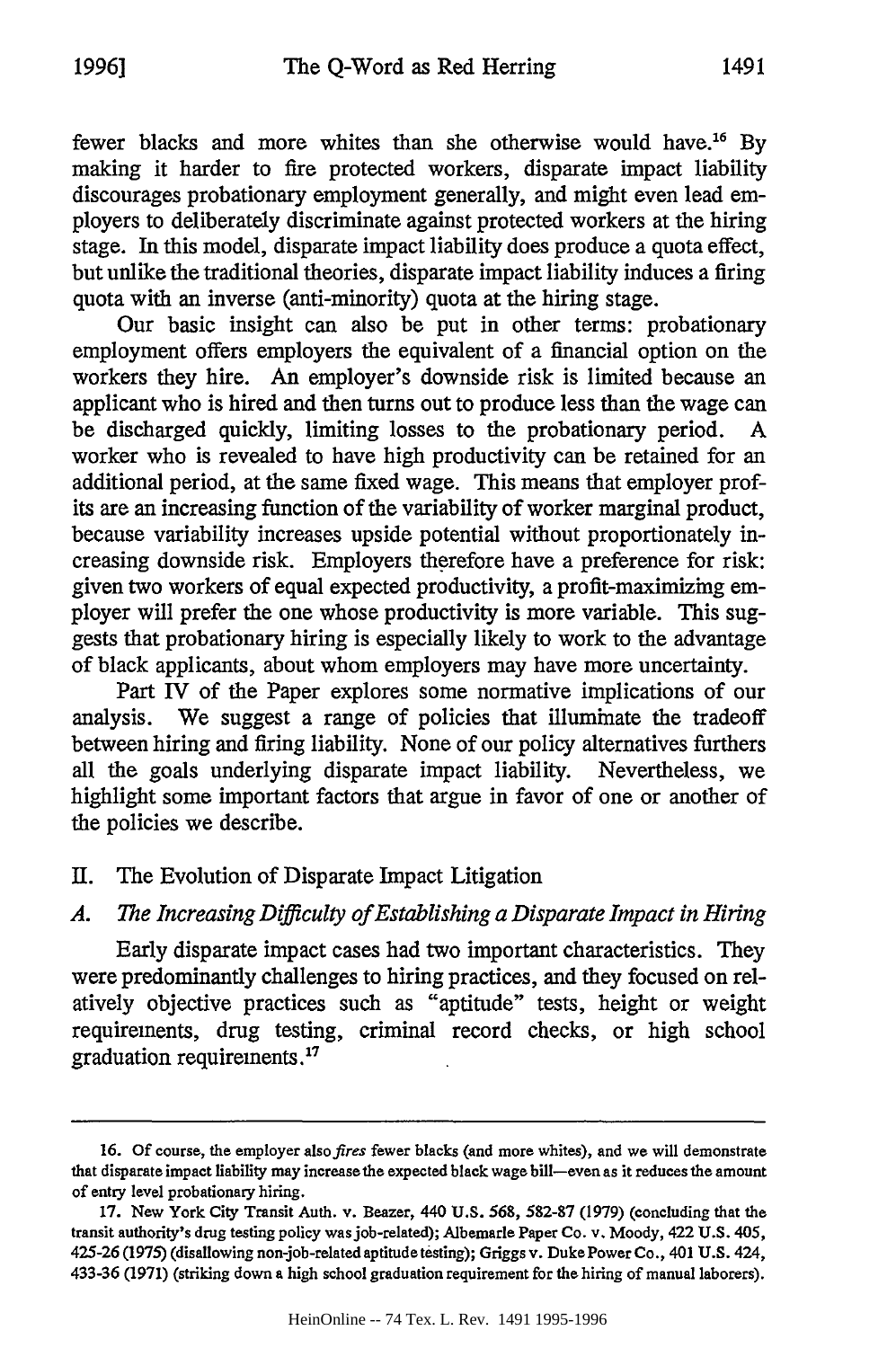fewer blacks and more whites than she otherwise would have.<sup>16</sup> By making it harder to fire protected workers, disparate impact liability discourages probationary employment generally, and might even lead employers to deliberately discriminate against protected workers at the hiring stage. In this model, disparate impact liability does produce a quota effect, but unlike the traditional theories, disparate impact liability induces a firing quota with an inverse (anti-minority) quota at the hiring stage.

Our basic insight can also be put in other terms: probationary employment offers employers the equivalent of a financial option on the workers they hire. An employer's downside risk is limited because an applicant who is hired and then turns out to produce less than the wage can be discharged quickly, limiting losses to the probationary period. A worker who is revealed to have high productivity can be retained for an additional period, at the same fixed wage. This means that employer profits are an increasing function of the variability of worker marginal product, because variability increases upside potential without proportionately increasing downside risk. Employers therefore have a preference for risk: given two workers of equal expected productivity, a profit-maximizing employer will prefer the one whose productivity is more variable. This suggests that probationary hiring is especially likely to work to the advantage of black applicants, about whom employers may have more uncertainty.

Part IV of the Paper explores some normative implications of our analysis. We suggest a range of policies that illuminate the tradeoff between hiring and firing liability. None of our policy alternatives furthers all the goals underlying disparate impact liability. Nevertheless, we highlight some important factors that argue in favor of one or another of the policies we describe.

#### II. The Evolution of Disparate Impact Litigation

## *A. The Increasing Difficulty of Establishing a Disparate Impact in Hiring*

Early disparate impact cases had two important characteristics. They were predominantly challenges to hiring practices, and they focused on relatively objective practices such as "aptitude" tests, height or weight requirements, drug testing, criminal record checks, or high school graduation requirements.'

**<sup>16.</sup> Of** course, the employer *alsofires* fewer blacks (and more whites), and we will demonstrate that disparate impact liability **may increase** the expected black wage bill-even **as** it **reduces** the amount of entry level probationary hiring.

**<sup>17.</sup>** New York City Transit Auth. v. Beazer, 440 **U.S. 568, 582-87 (1979)** (concluding that the transit authority's drug testing policy **was** job-related); Albemarle **Paper Co.** v. Moody, 422 **U.S.** 405, 425-26 **(1975)** (disallowing non-job-related aptitudetesting); Griggs v. DukePower Co., 401 **U.S.** 424, **433-36 (1971)** (striking down **a** high school graduation requirement **for** the hiring of manual laborers).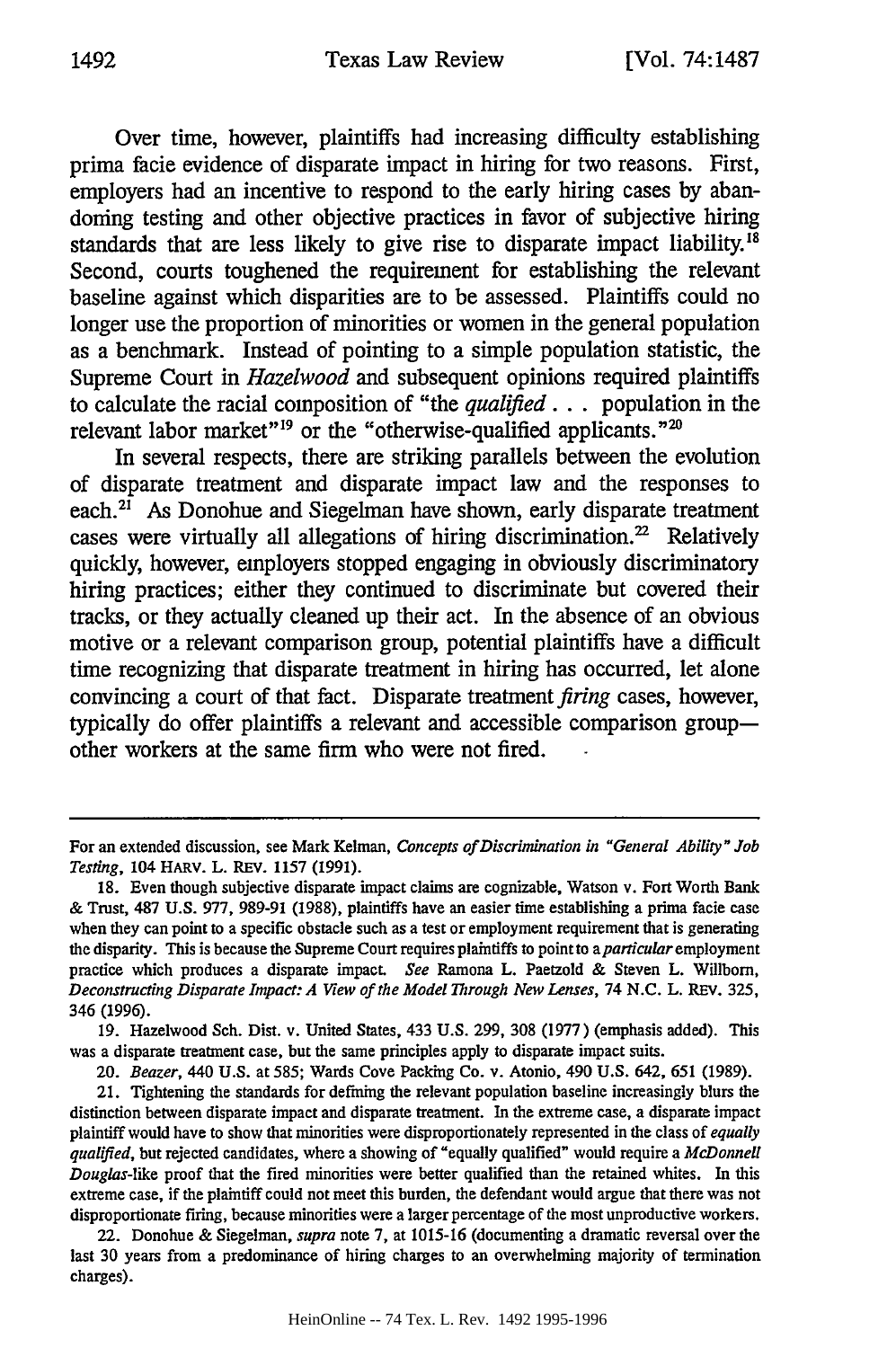Over time, however, plaintiffs had increasing difficulty establishing prima facie evidence of disparate impact in hiring for two reasons. First, employers had an incentive to respond to the early hiring cases **by** abandoning testing and other objective practices in favor of subjective hiring standards that are less likely to give rise to disparate impact liability.<sup>18</sup> Second, courts toughened the requirement for establishing the relevant baseline against which disparities are to be assessed. Plaintiffs could no longer use the proportion of minorities or women in the general population as a benchmark. Instead of pointing to a simple population statistic, the Supreme Court in *Hazelwood* and subsequent opinions required plaintiffs to calculate the racial composition of "the *qualified* **...** population in the relevant labor market"<sup>19</sup> or the "otherwise-qualified applicants."<sup>20</sup>

In several respects, there are striking parallels between the evolution of disparate treatment and disparate impact law and the responses to each. $2I$  As Donohue and Siegelman have shown, early disparate treatment cases were virtually all allegations of hiring discrimination. $^{22}$  Relatively quickly, however, employers stopped engaging in obviously discriminatory hiring practices; either they continued to discriminate but covered their tracks, or they actually cleaned up their act. In the absence of an obvious motive or a relevant comparison group, potential plaintiffs have a difficult time recognizing that disparate treatment in hiring has occurred, let alone convincing a court of that fact. Disparate treatment firing cases, however, typically do offer plaintiffs a relevant and accessible comparison groupother workers at the same firm who were not fired.

For an extended discussion, see Mark Kelman, *Concepts of Discrimination in "General Ability" Job Testing,* 104 HARV. L. REV. 1157 (1991).

**<sup>18.</sup>** Even though subjective disparate impact claims are cognizable, Watson v. Fort Worth Bank & Trust, 487 U.S. 977, 989-91 (1988), plaintiffs have an easier time establishing a prima facie case when they can point to a specific obstacle such as a test or employment requirement that is generating the disparity. This is because the Supreme Court requires plaintiffs to point to *aparticular* employment practice which produces a disparate impact. *See* Ramona L. Paetzold & Steven L. Willbom, *Deconstructing Disparate Impact: A View of the Model Through New Lenses,* 74 N.C. L. REV. 325, 346 (1996).

<sup>19.</sup> Hazelwood Sch. Dist. v. United States, 433 U.S. 299, 308 (1977) (emphasis added). This was a disparate treatment case, but the same principles apply to disparate impact suits.

*<sup>20.</sup> Beazer,* 440 U.S. at 585; Wards Cove Packing Co. v. Atonio, 490 U.S. 642, 651 (1989).

<sup>21.</sup> Tightening the standards for defining the relevant population baseline increasingly blurs the distinction between disparate impact and disparate treatment. In the extreme case, a disparate impact plaintiff would have to show that minorities were disproportionately represented in the class of *equally qualified,* but rejected candidates, where a showing of "equally qualified" would require a *McDonnell Douglas-like* proof that the fired minorities were better qualified than the retained whites. In this extreme case, if the plaintiff could not meet this burden, the defendant would argue that there was not disproportionate firing, because minorities were a larger percentage of the most unproductive workers.

<sup>22.</sup> Donohue & Siegelman, *supra* note 7, at 1015-16 (documenting a dramatic reversal over the last 30 years from a predominance of hiring charges to an overwhelming majority of termination charges).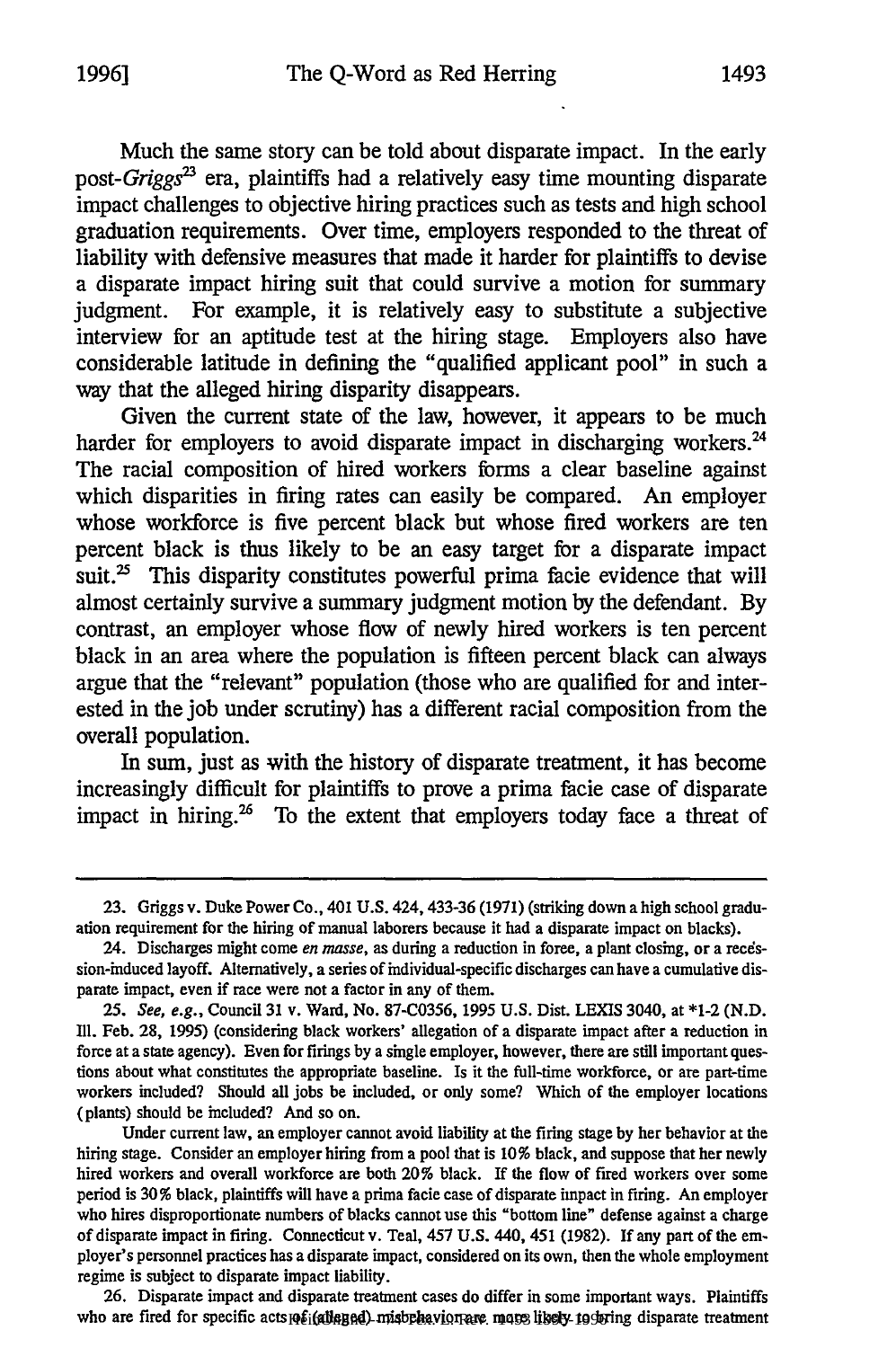Much the same story can be told about disparate impact. In the early *post-Griggs* era, plaintiffs had a relatively easy time mounting disparate impact challenges to objective hiring practices such as tests and high school graduation requirements. Over time, employers responded to the threat of liability with defensive measures that made it harder for plaintiffs to devise a disparate impact hiring suit that could survive a motion for summary judgment. For example, it is relatively easy to substitute a subjective interview for an aptitude test at the hiring stage. Employers also have considerable latitude in defining the "qualified applicant pool" in such a way that the alleged hiring disparity disappears.

Given the current state of the law, however, it appears to be much harder for employers to avoid disparate impact in discharging workers.<sup>24</sup> The racial composition of hired workers forms a clear baseline against which disparities in firing rates can easily be compared. An employer whose workforce is five percent black but whose fired workers are ten percent black is thus likely to be an easy target for a disparate impact suit.<sup>25</sup> This disparity constitutes powerful prima facie evidence that will almost certainly survive a summary judgment motion **by** the defendant. **By** contrast, an employer whose flow of newly hired workers is ten percent black in an area where the population is fifteen percent black can always argue that the "relevant" population (those who are qualified for and interested in the **job** under scrutiny) has a different racial composition from the overall population.

In sum, just as with the history of disparate treatment, it has become increasingly difficult for plaintiffs to prove a prima facie case of disparate impact in hiring. $26$  To the extent that employers today face a threat of

26. Disparate impact and disparate treatment cases do differ in some important ways. Plaintiffs who are fired for specific acts of i(alleged) misbehavior are more likely to bring disparate treatmen

<sup>23.</sup> Griggs v. Duke Power Co., 401 U.S. 424,433-36 (1971) (striking down a high school graduation requirement for the hiring of manual laborers because it had a disparate impact on blacks).

<sup>24.</sup> Discharges might come *en masse,* as during a reduction in force, a plant closing, or a reedssion-induced layoff. Alternatively, a series of individual-specific discharges can have a cumulative disparate impact, even if race were not a factor in any of them.

<sup>25.</sup> *See, e.g.,* Council 31 v. Ward, No. 87-C0356, 1995 U.S. Dist. LEXIS 3040, at \*1-2 (N.D. Ill. Feb. 28, 1995) (considering black workers' allegation of a disparate impact after a reduction in force at a state agency). Even for firings by a single employer, however, there are still important questions about what constitutes the appropriate baseline. Is it the full-time workforce, or are part-time workers included? Should all jobs be included, or only some? Which of the employer locations (plants) should be included? And so on.

Under current law, an employer cannot avoid liability at the firing stage by her behavior at the hiring stage. Consider an employer hiring from a pool that is 10% black, and suppose that her newly hired workers and overall workforce are both 20% black. If the flow of fired workers over some period is 30% black, plaintiffs will have a prima facie case of disparate impact in firing. An employer who hires disproportionate numbers of blacks cannot use this "bottom line" defense against a charge of disparate impact in firing. Connecticut v. Teal, 457 U.S. 440, 451 (1982). If any part of the employer's personnel practices has a disparate impact, considered on its own, then the whole employment regime is subject to disparate impact liability.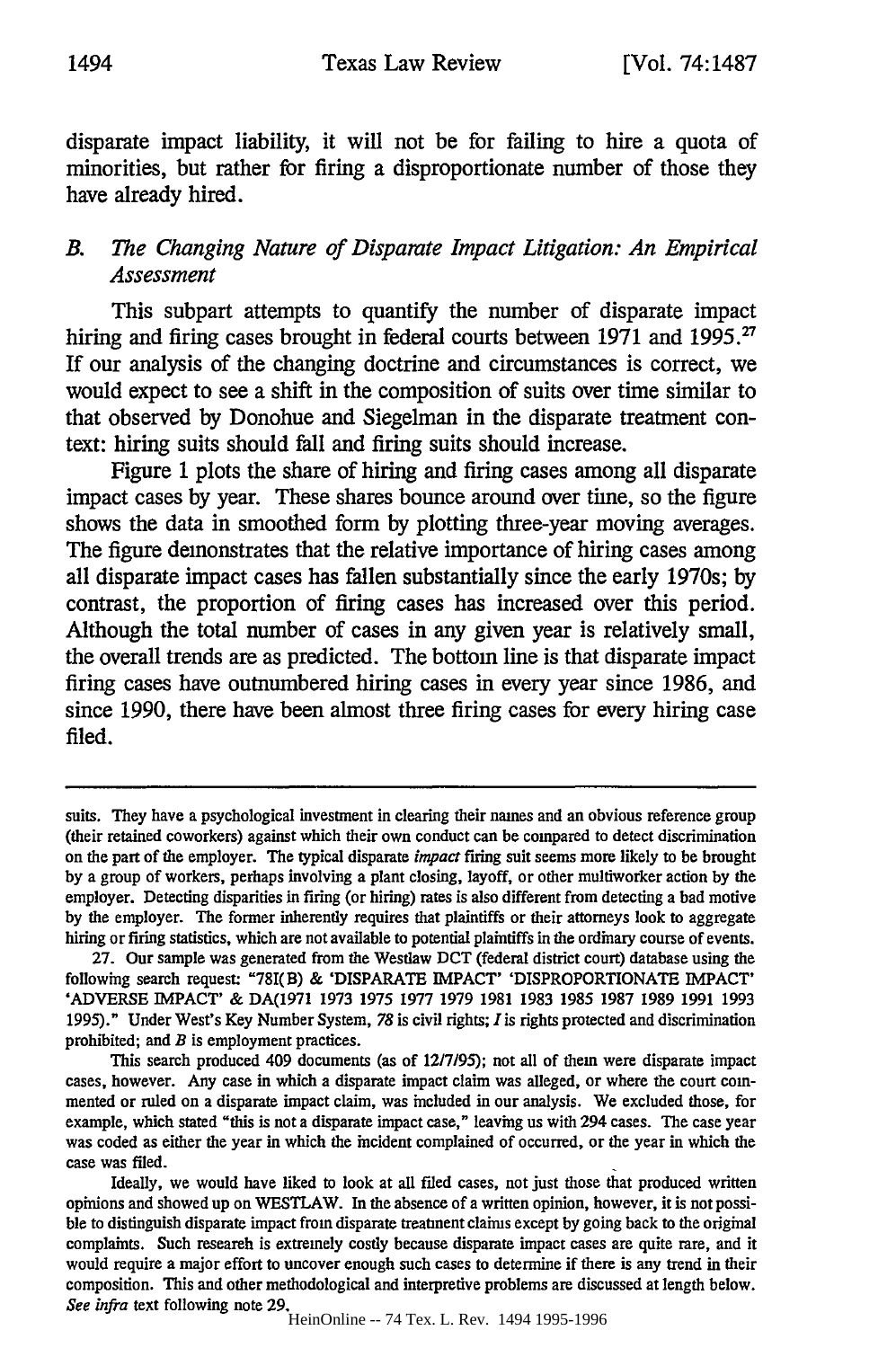disparate impact liability, it will not be for failing to hire a quota of minorities, but rather for firing a disproportionate number of those they have already hired.

# *B. The Changing Nature of Disparate Impact Litigation: An Empirical Assessment*

This subpart attempts to quantify the number of disparate impact hiring and firing cases brought in federal courts between 1971 and 1995.<sup>2</sup> If our analysis of the changing doctrine and circumstances is correct, we would expect to see a shift in the composition of suits over time similar to that observed **by** Donohue and Siegelman in the disparate treatment context: hiring suits should fall and firing suits should increase.

Figure **1** plots the share of hiring and firing cases among all disparate impact cases **by** year. These shares bounce around over time, so the figure shows the data in smoothed form **by** plotting three-year moving averages. The figure demonstrates that the relative importance of hiring cases among all disparate impact cases has fallen substantially since the early 1970s; **by** contrast, the proportion of firing cases has increased over this period. Although the total number of cases in any given year is relatively small, the overall trends are as predicted. The bottom line is that disparate impact firing cases have outnumbered hiring cases in every year since **1986,** and since **1990,** there have been almost three firing cases for every hiring case filed.

suits. They have a psychological investment in clearing their names and an obvious reference group (their retained coworkers) against which their own conduct can be compared to detect discrimination on the part of the employer. The typical disparate *impact* firing suit seems more likely to be brought by a group of workers, perhaps involving a plant closing, layoff, or other multiworker action by the employer. Detecting disparities in firing (or hiring) rates is also different from detecting a bad motive by the employer. The former inherently requires that plaintiffs or their attorneys look to aggregate hiring or firing statistics, which are not available to potential plaintiffs in the ordinary course of events.

<sup>27.</sup> Our sample was generated from the Westlaw **DCT** (federal district court) database using the following search request: "78I(B) & 'DISPARATE IMPACT' 'DISPROPORTIONATE IMPACT' 'ADVERSE IMPACT' & DA(1971 1973 1975 1977 1979 1981 1983 1985 1987 1989 1991 1993 1995)." Under West's Key Number System, *78* is civil rights; *I* is rights protected and discrimination prohibited; and *B* is employment practices.

This search produced 409 documents (as of **12/7/95);** not all of them were disparate impact cases, however. Any case in which a disparate impact claim was alleged, or where the court commented or ruled on a disparate impact claim, was included in our analysis. We excluded those, for example, which stated "this is not a disparate impact case," leaving us with 294 cases. The case year was coded as either the year in which the incident complained of occurred, or the year in which the case was filed.

Ideally, we would have liked to look at all filed cases, not just those that produced written opinions and showed up on WESTLAW. In the absence of a written opinion, however, it is not possible to distinguish disparate impact from disparate treatment claims except by going back to the original complaints. Such research is extremely costly because disparate impact cases are quite rare, and it would require a major effort to uncover enough such cases to determine if there is any trend in their composition. This and other methodological and interpretive problems are discussed at length below. *See infra* text following note 29. HeinOnline -- 74 Tex. L. Rev. 1494 1995-1996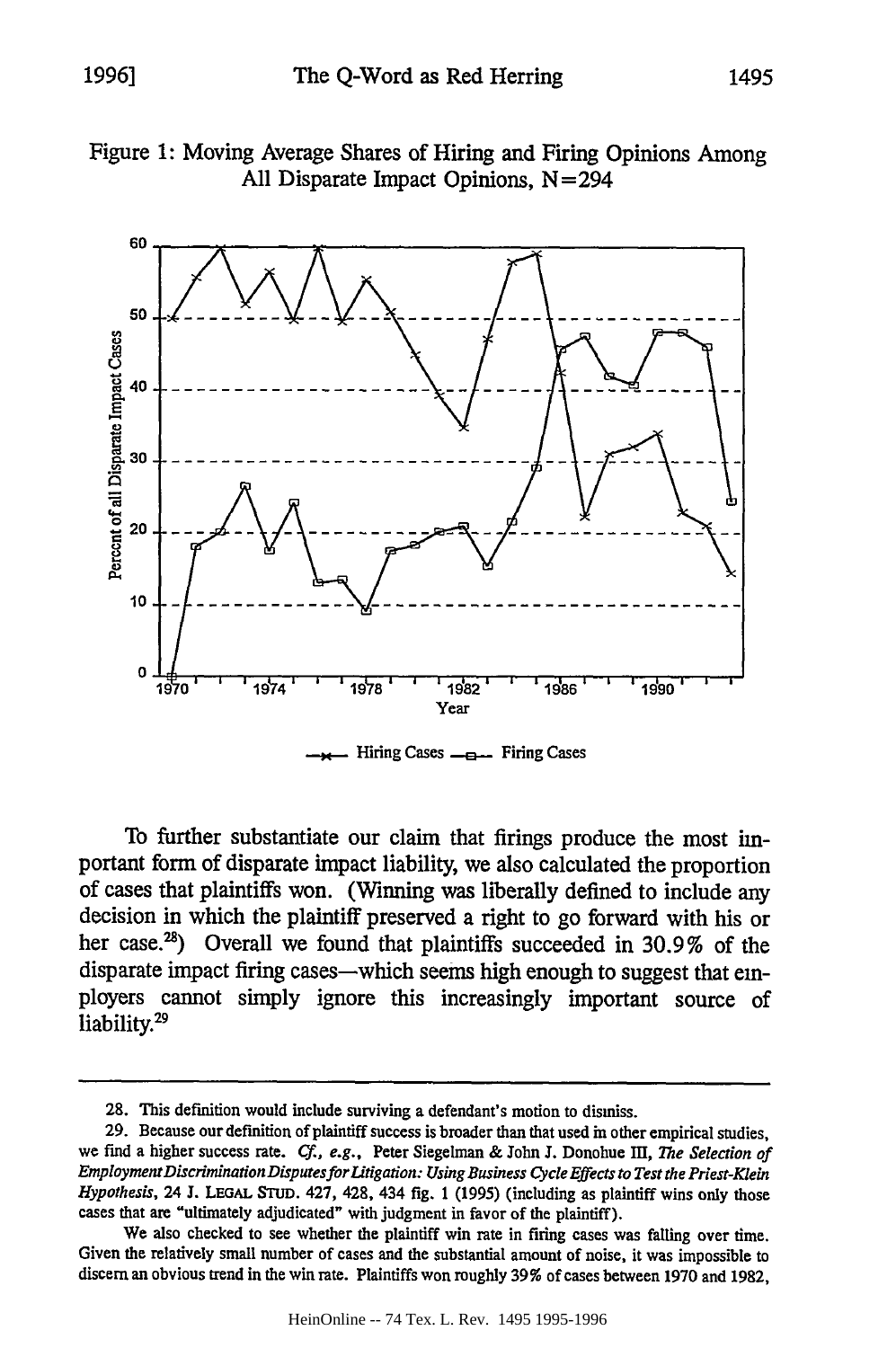## Figure **1:** Moving Average Shares of Hiring and Firing Opinions Among **All** Disparate Impact Opinions, **N=294**



Hiring Cases  $\equiv$  Firing Cases

To further substantiate our claim that firings produce the most important form of disparate impact liability, we also calculated the proportion of cases that plaintiffs won. (Winning was liberally defined to include any decision in which the plaintiff preserved a right to go forward with his or her case.<sup>28</sup>) Overall we found that plaintiffs succeeded in  $30.9\%$  of the disparate impact firing cases—which seems high enough to suggest that employers cannot simply ignore this increasingly important source of liability.<sup>29</sup>

**<sup>28.</sup>** This definition would include surviving a defendant's motion to dismiss.

**<sup>29.</sup>** Because our definition of plaintiff success is broader than that used in other empirical studies, we find a higher success rate. *Cf., e.g.*, Peter Siegelman & John J. Donohue III, The Selection of *Employment Discrimination Disputesfor Litigation: Using Business Cycle Effects to Test the Priest-Klein Hypothesis,* 24 J. **LEGAL STUD.** 427, 428, 434 fig. 1 (1995) (including as plaintiff wins only those cases that are "ultimately adjudicated" with judgment in favor of the plaintiff).

We also checked to see whether the plaintiff win rate in firing cases was falling over time. Given the relatively small number of cases and the substantial amount of noise, it was impossible to discern an obvious trend in the win rate. Plaintiffs won roughly **39%** of cases between 1970 and 1982,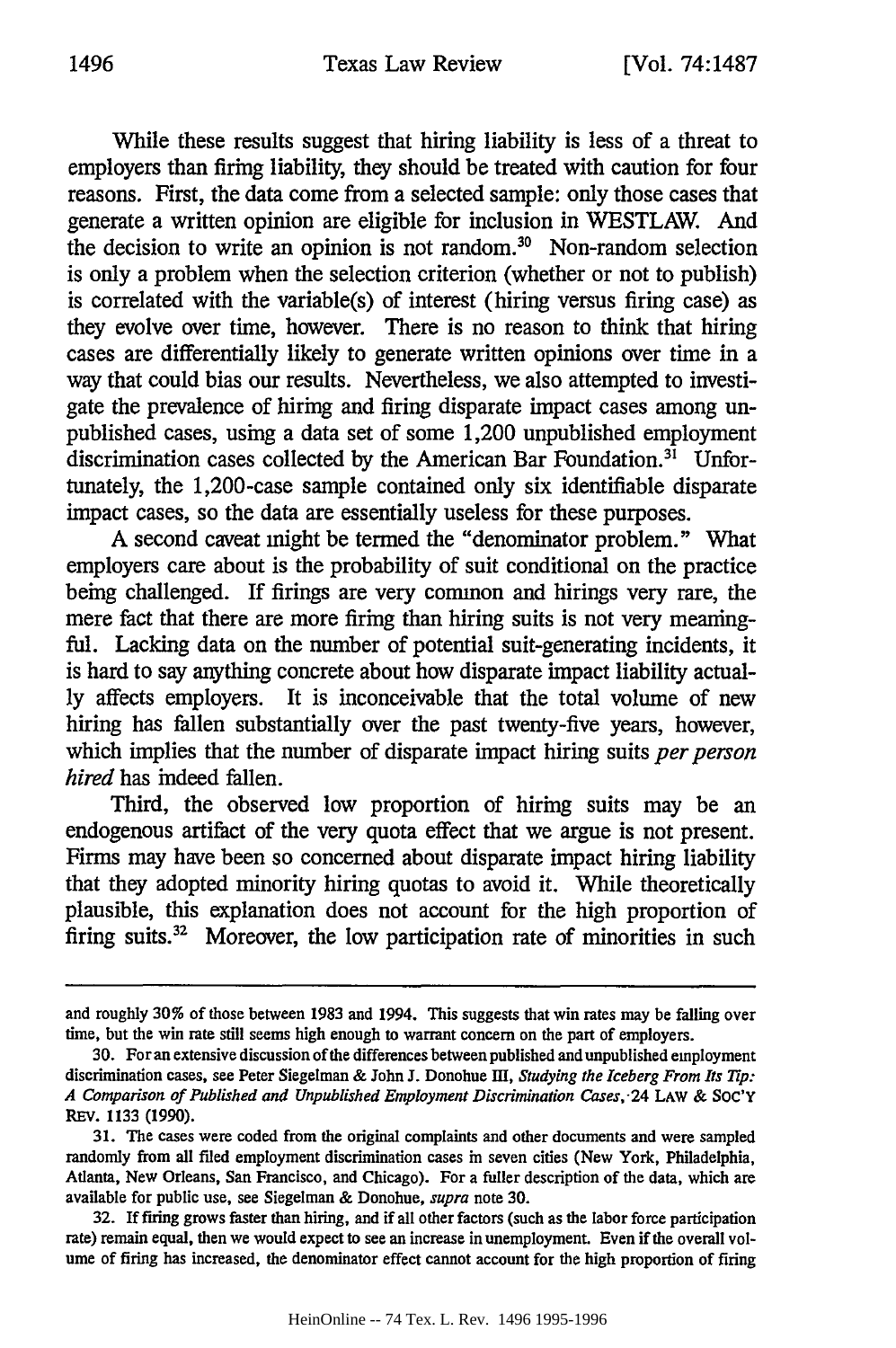While these results suggest that hiring liability is less of a threat to employers than firing liability, they should be treated with caution for four reasons. First, the data come from a selected sample: only those cases that generate a written opinion are eligible for inclusion in WESTLAW. And the decision to write an opinion is not random.<sup>30</sup> Non-random selection is only a problem when the selection criterion (whether or not to publish) is correlated with the variable(s) of interest (hiring versus firing case) as they evolve over time, however. There is no reason to think that hiring cases are differentially likely to generate written opinions over time in a way that could bias our results. Nevertheless, we also attempted to investigate the prevalence of hiring and firing disparate impact cases among unpublished cases, using a data set of some 1,200 unpublished employment discrimination cases collected by the American Bar Foundation.<sup>31</sup> Unfortunately, the 1,200-case sample contained only six identifiable disparate impact cases, so the data are essentially useless for these purposes.

A second caveat might be termed the "denominator problem." What employers care about is the probability of suit conditional on the practice being challenged. If firings are very common and hirings very rare, the mere fact that there are more firing than hiring suits is not very meaningful. Lacking data on the number of potential suit-generating incidents, it is hard to say anything concrete about how disparate impact liability actually affects employers. It is inconceivable that the total volume of new hiring has fallen substantially over the past twenty-five years, however, which implies that the number of disparate impact hiring suits *per person hired* has indeed fallen.

Third, the observed low proportion of hiring suits may be an endogenous artifact of the very quota effect that we argue is not present. Firms may have been so concerned about disparate impact hiring liability that they adopted minority hiring quotas to avoid it. While theoretically plausible, this explanation does not account for the high proportion of firing suits.<sup>32</sup> Moreover, the low participation rate of minorities in such

and roughly **30%** of those between 1983 and 1994. This suggests that win rates may be falling over time, but the win rate still seems high enough to warrant concern on the part of employers.

<sup>30.</sup> For an extensive discussion of the differences between published and unpublished employment discrimination cases, see Peter Siegelman & John J. Donohue Ill, *Studying the Iceberg From Its Tip: A Comparison of Published and Unpublished Employment Discrimination Cases,.24* LAW & SOC'Y REV. 1133 (1990).

<sup>31.</sup> The cases were coded from the original complaints and other documents and were sampled randomly from all filed employment discrimination cases in seven cities (New York, Philadelphia, Atlanta, New Orleans, San Francisco, and Chicago). For a fuller description of the data, which are available for public use, see Siegelman & Donohue, *supra* note 30.

<sup>32.</sup> If firing grows faster than hiring, and if all other factors (such as the labor force participation rate) remain equal, then we would expect to see an increase in unemployment. Even if the overall volume of firing has increased, the denominator effect cannot account for the high proportion of firing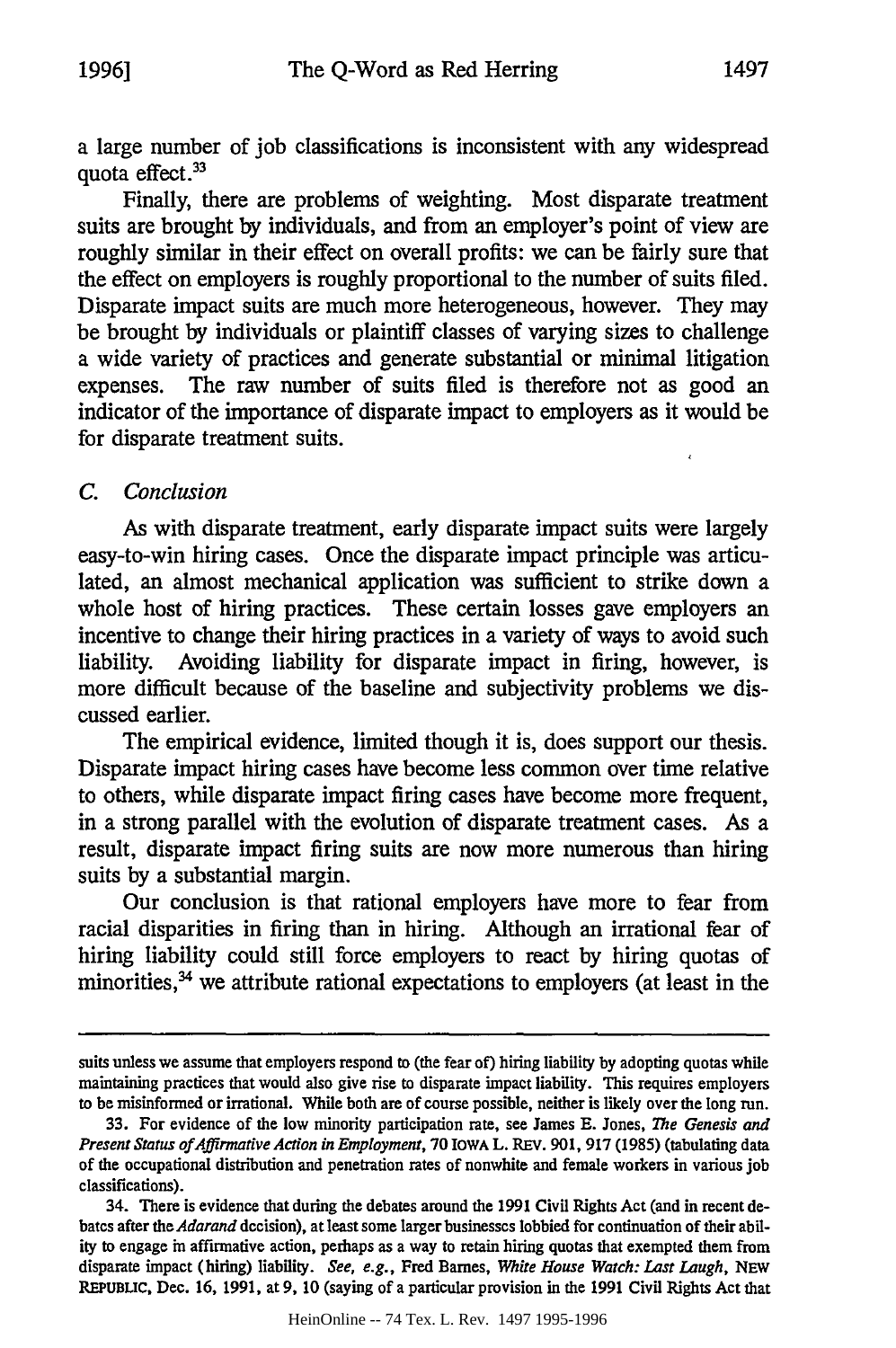a large number of job classifications is inconsistent with any widespread quota effect.<sup>33</sup>

Finally, there are problems of weighting. Most disparate treatment suits are brought by individuals, and from an employer's point of view are roughly similar in their effect on overall profits: we can be fairly sure that the effect on employers is roughly proportional to the number of suits filed. Disparate impact suits are much more heterogeneous, however. They may be brought by individuals or plaintiff classes of varying sizes to challenge a wide variety of practices and generate substantial or minimal litigation expenses. The raw number of suits filed is therefore not as good an indicator of the importance of disparate impact to employers as it would be for disparate treatment suits.

#### *C. Conclusion*

As with disparate treatment, early disparate impact suits were largely easy-to-win hiring cases. Once the disparate impact principle was articulated, an almost mechanical application was sufficient to strike down a whole host of hiring practices. These certain losses gave employers an incentive to change their hiring practices in a variety of ways to avoid such liability. Avoiding liability for disparate impact in firing, however, is more difficult because of the baseline and subjectivity problems we discussed earlier.

The empirical evidence, limited though it is, does support our thesis. Disparate impact hiring cases have become less common over time relative to others, while disparate impact firing cases have become more frequent, in a strong parallel with the evolution of disparate treatment cases. As a result, disparate impact firing suits are now more numerous than hiring suits by a substantial margin.

Our conclusion is that rational employers have more to fear from racial disparities in firing than in hiring. Although an irrational fear of hiring liability could still force employers to react by hiring quotas of minorities,<sup>34</sup> we attribute rational expectations to employers (at least in the

suits unless we assume that employers respond to (the fear of) hiring liability **by** adopting quotas while maintaining practices that would also give rise to disparate impact liability. This requires employers to be misinformed or irrational. While both are of course possible, neither is likely over the long run.

**<sup>33.</sup>** For evidence of the low minority participation rate, see James **E.** Jones, *The Genesis and Present Status of Affrmative Action in Employment,* 70 IOWA L. REv. 901, 917 (1985) (tabulating data of the occupational distribution and penetration rates of nonwhite and female workers in various job classifications).

<sup>34.</sup> There is evidence that during the debates around the 1991 Civil Rights Act (and in recent debates after the *Adarand* decision), at least some larger businesses lobbied for continuation of their ability to engage in affirmative action, perhaps as a way to retain hiring quotas that exempted them from disparate impact (hiring) liability. *See, e.g.,* Fred Barnes, *White House Watch: Last Laugh,* NEW **REPUBLIC, Dec.** 16, **1991,** at 9, **10** (saying of a particular provision in the **1991** Civil Rights Act that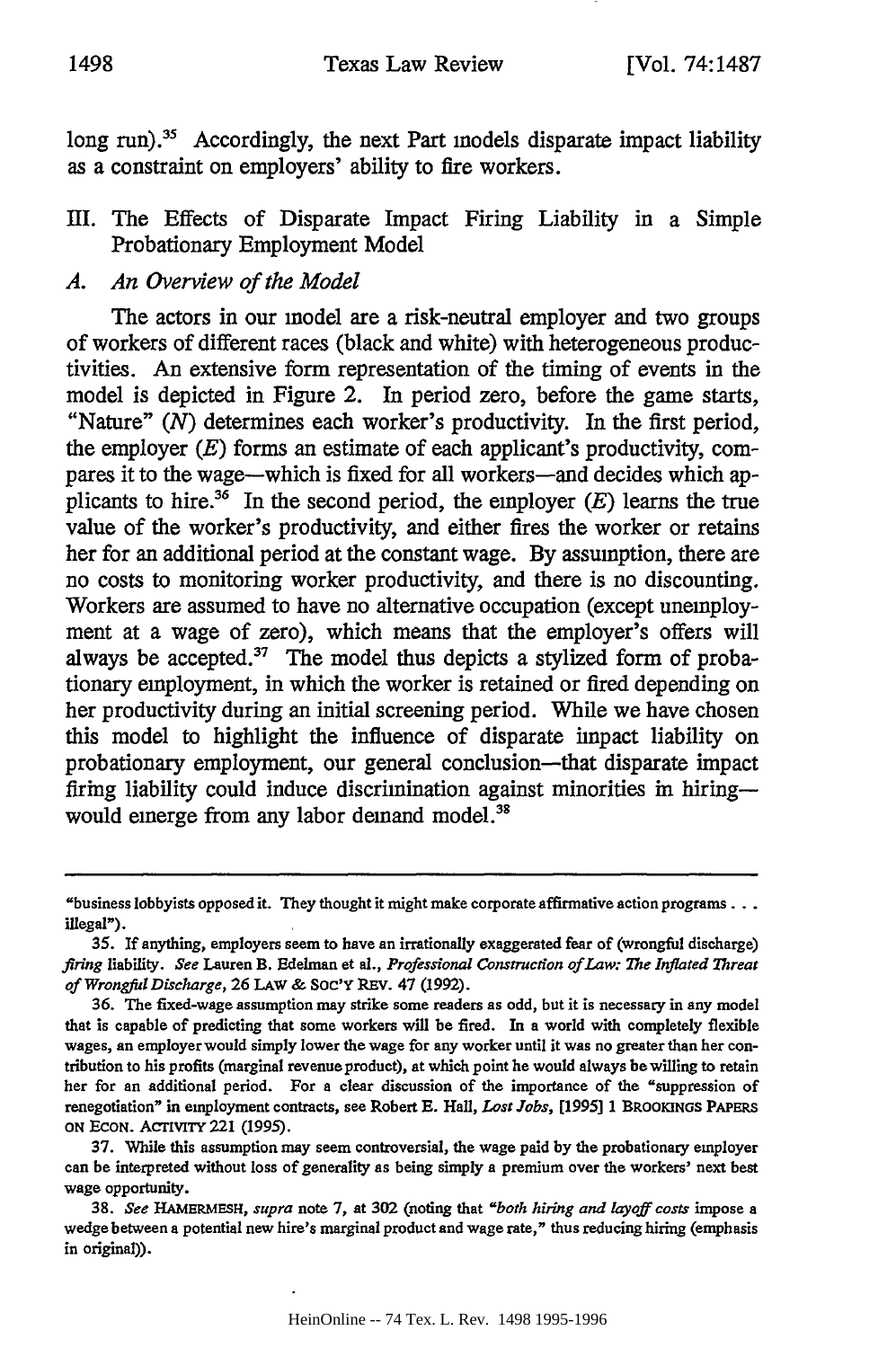long run).<sup>35</sup> Accordingly, the next Part models disparate impact liability as a constraint on employers' ability to fire workers.

## III. The Effects of Disparate Impact Firing Liability in a Simple Probationary Employment Model

## *A. An Overiew of the Model*

The actors in our model are a risk-neutral employer and two groups of workers of different races (black and white) with heterogeneous productivities. An extensive form representation of the timing of events in the model is depicted in Figure 2. In period zero, before the game starts, "Nature" *(N)* determines each worker's productivity. In the first period, the employer *(E)* forms an estimate of each applicant's productivity, compares it to the wage--which is fixed for all workers-and decides which applicants to hire.<sup>36</sup> In the second period, the employer  $(E)$  learns the true value of the worker's productivity, and either fires the worker or retains her for an additional period at the constant wage. By assumption, there are no costs to monitoring worker productivity, and there is no discounting. Workers are assumed to have no alternative occupation (except unemployment at a wage of zero), which means that the employer's offers will always be accepted. $37$  The model thus depicts a stylized form of probationary employment, in which the worker is retained or fired depending on her productivity during an initial screening period. While we have chosen this model to highlight the influence of disparate impact liability on probationary employment, our general conclusion-that disparate impact firing liability could induce discrimination against minorities in hiringwould einerge from any labor demand model.<sup>38</sup>

37. While this assumption may seem controversial, the wage paid by the probationary employer can be interpreted without loss of generality as being simply a premium over the workers' next best wage opportunity.

<sup>&</sup>quot;business lobbyists opposed it. They thought it might make corporate affirmative action programs... illegal").

**<sup>35.</sup> If** anything, employers seem to have an irrationally exaggerated fear of (wrongful discharge) *firing* liability. *See* Lauren B. Edelman et al., *Professional Construction of Law: The Inflated Threat of Wrongful Discharge,* 26 LAW **&** Soc'Y REv. 47 (1992).

<sup>36.</sup> The fixed-wage assumption may strike some readers as odd, but it is necessary in any model that is capable of predicting that some workers will be fired. In a world with completely flexible wages, an employer would simply lower the wage for any worker until it was no greater than her contribution to his profits (marginal revenue product), at which point he would always be willing to retain her for an additional period. For a clear discussion of the importance of the "suppression of renegotiation" in employment contracts, see Robert **E.** Hall, *Lost Jobs, [1995]* 1 **BROOMINOS PAPERS ON ECON.** AcTIvITY 221 (1995).

**<sup>38.</sup>** *See HAMERMESH, supra* note 7, at 302 (noting that *"both hiring and layoff costs* impose a wedge between a potential new hire's marginal product and wage rate," thus reducing hiring (emphasis in original)).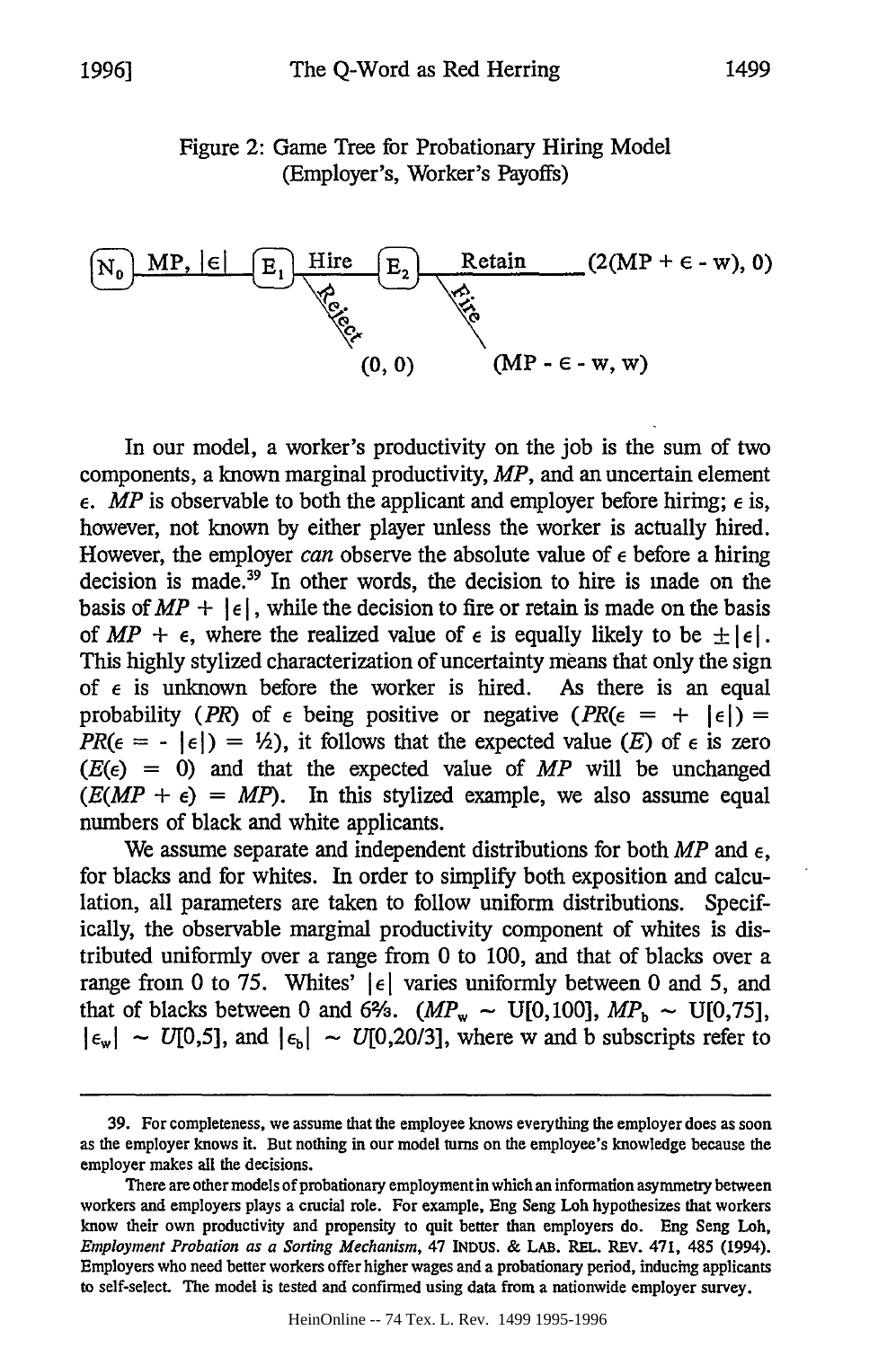## Figure **2:** Game Tree for Probationary Hiring Model (Employer's, Worker's Payoffs)



In our model, a worker's productivity on the job is the sum of two components, a known marginal productivity, *MP,* and an uncertain element  $\epsilon$ . *MP* is observable to both the applicant and employer before hiring;  $\epsilon$  is, however, not known by either player unless the worker is actually hired. However, the employer *can* observe the absolute value of e before a hiring decision is made.<sup>39</sup> In other words, the decision to hire is made on the basis of  $MP + |\epsilon|$ , while the decision to fire or retain is made on the basis of  $MP + \epsilon$ , where the realized value of  $\epsilon$  is equally likely to be  $\pm |\epsilon|$ . This highly stylized characterization of uncertainty means that only the sign of  $\epsilon$  is unknown before the worker is hired. As there is an equal probability *(PR)* of  $\epsilon$  being positive or negative  $(PR(\epsilon = + |\epsilon|))$  =  $PR(\epsilon = - |\epsilon|) = \frac{1}{2}$ , it follows that the expected value *(E)* of  $\epsilon$  is zero  $(E(\epsilon) = 0)$  and that the expected value of *MP* will be unchanged  $(E(MP + \epsilon) = MP)$ . In this stylized example, we also assume equal numbers of black and white applicants.

We assume separate and independent distributions for both  $MP$  and  $\epsilon$ , for blacks and for whites. In order to simplify both exposition and calculation, all parameters are taken to follow uniform distributions. Specifically, the observable marginal productivity component of whites is distributed uniformly over a range from 0 to 100, and that of blacks over a range from 0 to 75. Whites'  $|\epsilon|$  varies uniformly between 0 and 5, and that of blacks between 0 and 6%.  $(MP_w \sim U[0, 100], MP_b \sim U[0, 75],$  $|\epsilon_{w}|$  ~ U[0,5], and  $|\epsilon_{b}|$  ~ U[0,20/3], where w and b subscripts refer to

<sup>39.</sup> For completeness, we assume that the employee knows everything the employer does as soon as the employer knows it. But nothing in our model turns on the employee's knowledge because the employer makes all the decisions.

There are other models of probationary employment in which an information asymmetry between workers and employers plays a crucial role. For example, Eng Seng Loh hypothesizes that workers know their own productivity and propensity to quit better than employers do. Eng Seng Loh, *Employment Probation as a Sorting Mechanism,* 47 **INDUS.** & LAB. REL. REv. 471, 485 (1994). Employers who need better workers offer higher wages and a probationary period, inducing applicants to self-select. The model is tested and confirmed using data from a nationwide employer survey.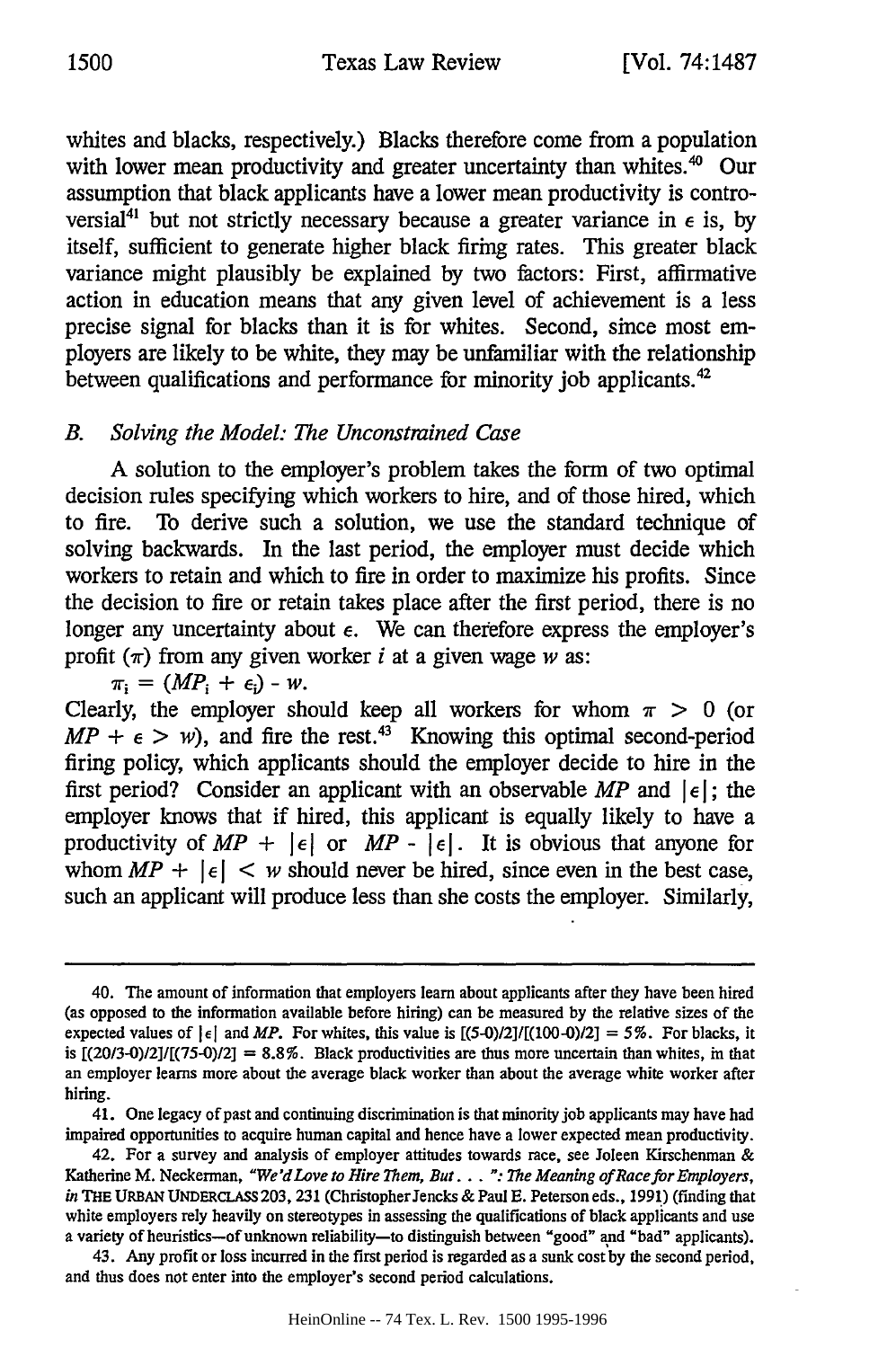whites and blacks, respectively.) Blacks therefore come from a population with lower mean productivity and greater uncertainty than whites.<sup>40</sup> Our assumption that black applicants have a lower mean productivity is controversial<sup>41</sup> but not strictly necessary because a greater variance in  $\epsilon$  is, by itself, sufficient to generate higher black firing rates. This greater black variance might plausibly be explained by two factors: First, affirmative action in education means that any given level of achievement is a less precise signal for blacks than it is for whites. Second, since most employers are likely to be white, they may be unfamiliar with the relationship between qualifications and performance for minority job applicants.

# *B. Solving the Model: The Unconstrained Case*

A solution to the employer's problem takes the form of two optimal decision rules specifying which workers to hire, and of those hired, which to fire. To derive such a solution, we use the standard technique of solving backwards. In the last period, the employer must decide which workers to retain and which to fire in order to maximize his profits. Since the decision to fire or retain takes place after the first period, there is no longer any uncertainty about  $\epsilon$ . We can therefore express the employer's profit  $(\pi)$  from any given worker *i* at a given wage *w* as:

 $\pi_i = (MP_i + \epsilon_i) - W$ .

Clearly, the employer should keep all workers for whom  $\pi > 0$  (or  $MP + \epsilon > w$ , and fire the rest.<sup>43</sup> Knowing this optimal second-period firing policy, which applicants should the employer decide to hire in the first period? Consider an applicant with an observable MP and  $\left| \epsilon \right|$ ; the employer knows that if hired, this applicant is equally likely to have a productivity of  $MP + |\epsilon|$  or  $MP - |\epsilon|$ . It is obvious that anyone for whom  $MP + |\epsilon| < w$  should never be hired, since even in the best case, such an applicant will produce less than she costs the employer. Similarly,

41. One legacy of past and continuing discrimination is that minority job applicants may have had impaired opportunities to acquire human capital and hence have a lower expected mean productivity.

<sup>40.</sup> The amount of information that employers learn about applicants after they have been hired (as opposed to the information available before hiring) can be measured **by** the relative sizes of the expected values of  $|\epsilon|$  and *MP*. For whites, this value is  $[(5-0)/2]/[(100-0)/2] = 5\%$ . For blacks, it is  $[(20/3-0)/2]/[(75-0)/2] = 8.8\%$ . Black productivities are thus more uncertain than whites, in that an employer learns more about the average black worker than about the average white worker after hiring.

<sup>42.</sup> For a survey and analysis of employer attitudes towards race, see Joleen Kirschennan & Katherine M. Neckerman, *"We'dLove to Hire Them, But... ': The Meaning of Race for Employers,* in THE **URBAN** UNDERCLASS 203, 231 (Christopher Jencks & Paul **E.** Peterson eds., 1991) (finding that white employers rely heavily on stereotypes in assessing the qualifications of black applicants and use a variety of heuristics-of unknown reliability-to distinguish between "good" and "bad" applicants).

<sup>43.</sup> Any profit or loss incurred in the first period is regarded as a sunk cost by the second period, and thus does not enter into the employer's second period calculations.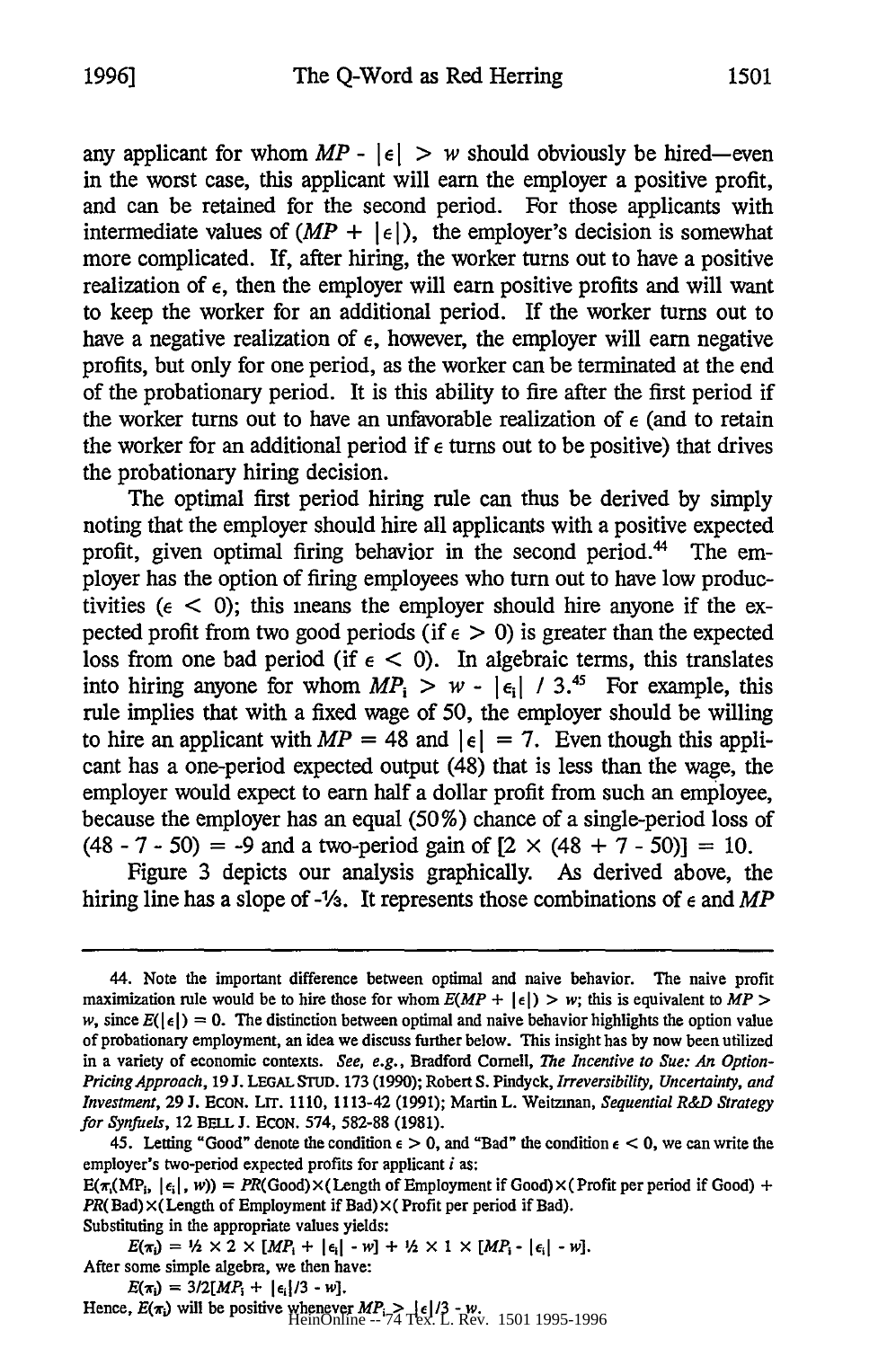any applicant for whom  $MP - |\epsilon| > w$  should obviously be hired-even in the worst case, this applicant will earn the employer a positive profit, and can be retained for the second period. For those applicants with intermediate values of  $(MP + |\epsilon|)$ , the employer's decision is somewhat more complicated. If, after hiring, the worker turns out to have a positive realization of e, then the employer will earn positive profits and will want to keep the worker for an additional period. If the worker turns out to have a negative realization of  $\epsilon$ , however, the employer will earn negative profits, but only for one period, as the worker can be terminated at the end of the probationary period. It is this ability to fire after the first period if the worker turns out to have an unfavorable realization of  $\epsilon$  (and to retain the worker for an additional period if  $\epsilon$  turns out to be positive) that drives the probationary hiring decision.

The optimal first period hiring rule can thus be derived by simply noting that the employer should hire all applicants with a positive expected profit, given optimal firing behavior in the second period.<sup>44</sup> The employer has the option of firing employees who turn out to have low productivities ( $\epsilon$  < 0); this means the employer should hire anyone if the expected profit from two good periods (if  $\epsilon > 0$ ) is greater than the expected loss from one bad period (if  $\epsilon$  < 0). In algebraic terms, this translates into hiring anyone for whom  $MP_i > w - |\epsilon_i| / 3^{45}$  For example, this rule implies that with a fixed wage of 50, the employer should be willing to hire an applicant with  $MP = 48$  and  $|\epsilon| = 7$ . Even though this applicant has a one-period expected output (48) that is less than the wage, the employer would expect to earn half a dollar profit from such an employee, because the employer has an equal (50%) chance of a single-period loss of (48 - 7 - 50) = -9 and a two-period gain of [2 **x** (48 + 7 - *50)] =* 10.

Figure 3 depicts our analysis graphically. As derived above, the hiring line has a slope of -1⁄3. It represents those combinations of  $\epsilon$  and MP

Substituting in the appropriate values yields:

 $E(\pi_i) = 1/2 \times 2 \times [MP_i + |\epsilon_i| - w] + 1/2 \times 1 \times [MP_i - |\epsilon_i| - w].$ After some simple algebra, we then have:

 $E(\pi_i) = 3/2[MP_i + |\epsilon_i|/3 - w].$ 

Hence,  $E(\pi_i)$  will be positive whenever  $MP_i > \{\epsilon | 73 - w_i\}$ .<br>
HeinOnline --74 Tex. L. Rev. 1501 1995-1996

<sup>44.</sup> Note the important difference between optimal and naive behavior. The naive profit maximization rule would be to hire those for whom  $E(MP + |\epsilon|) > w$ ; this is equivalent to  $MP >$ *w*, since  $E(|e|) = 0$ . The distinction between optimal and naive behavior highlights the option value of probationary employment, an idea we discuss further below. This insight has by now been utilized in a variety of economic contexts. *See, e.g.,* Bradford Cornell, *The Incentive to Sue: An Option-Pricing Approach,* 19 J. LEGAL **STUD.** 173 (1990); Robert S. Pindyck, *Irreversibility, Uncertainty, and Investment,* 29 J. ECON. Lrr. 1110, 1113-42 (1991); Martin L. Weitzman, *Sequential R&D Strategy for Synfuels,* 12 BELL J. ECON. 574, 582-88 (1981).

<sup>45.</sup> Letting "Good" denote the condition  $\epsilon > 0$ , and "Bad" the condition  $\epsilon < 0$ , we can write the employer's two-period expected profits for applicant *i* as:

 $E(\pi_1(MP_i, | \epsilon_i |, w)) = PR(Good) \times (Length of Employment if Good) \times (Profit per period if Good) +$  $PR(Bad) \times (Length of Employment if Bad) \times (Profit per period if Bad).$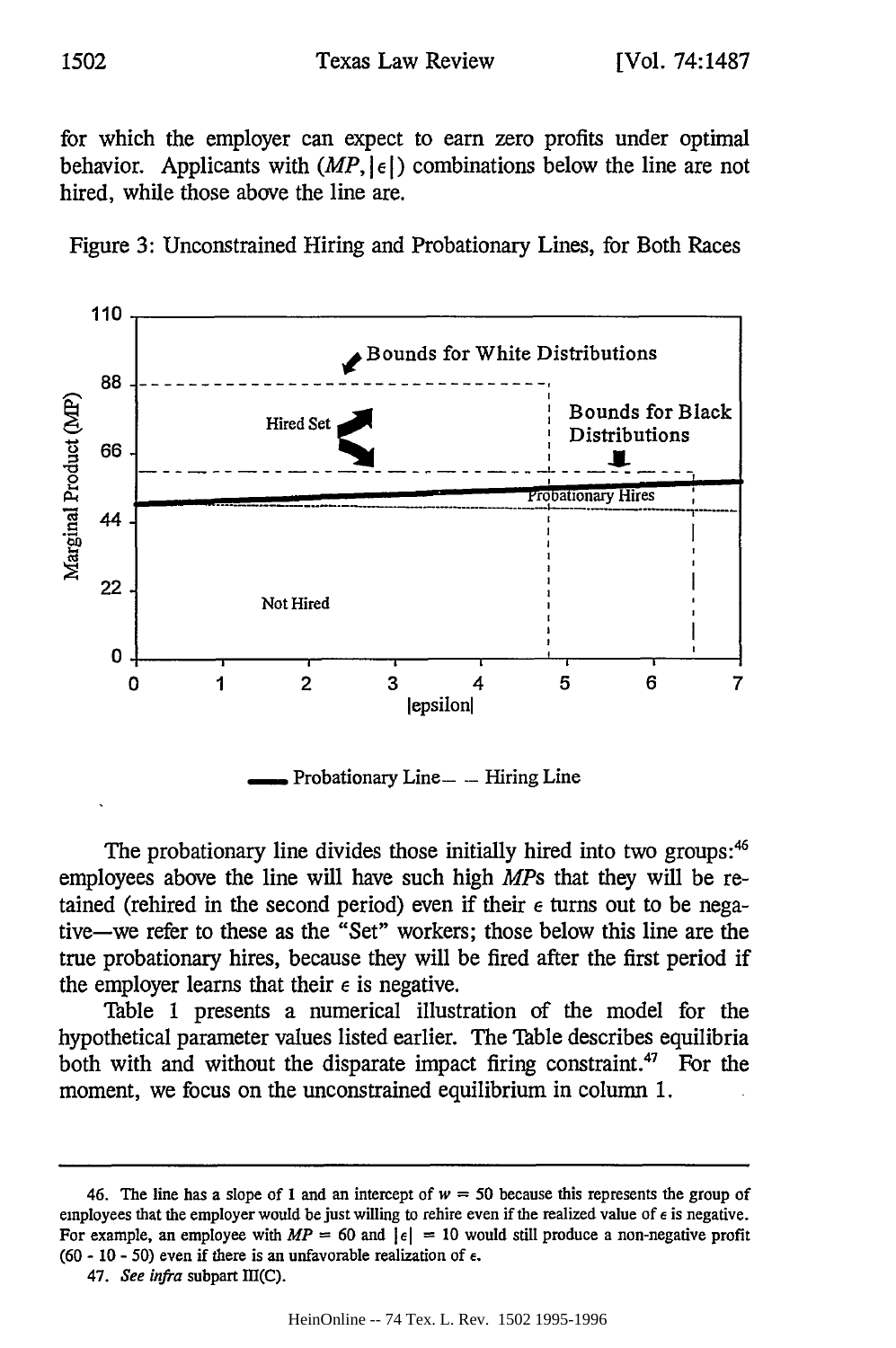for which the employer can expect to earn zero profits under optimal behavior. Applicants with  $(MP, |\epsilon|)$  combinations below the line are not hired, while those above the line are.





The probationary line divides those initially hired into two groups:<sup>46</sup> employees above the line will have such high *MPs* that they will be retained (rehired in the second period) even if their  $\epsilon$  turns out to be negative-we refer to these as the "Set" workers; those below this line are the true probationary hires, because they will be fired after the first period if the employer learns that their  $\epsilon$  is negative.

Table 1 presents a numerical illustration of the model for the hypothetical parameter values listed earlier. The Table describes equilibria both with and without the disparate impact firing constraint.<sup>47</sup> For the moment, we focus on the unconstrained equilibrium in column 1.

<sup>46.</sup> The line has a slope of 1 and an intercept of  $w = 50$  because this represents the group of employees that the employer would be just willing to rehire even if the realized value of **e** is negative. For example, an employee with  $MP = 60$  and  $|\epsilon| = 10$  would still produce a non-negative profit (60 - 10 - 50) even if there is an unfavorable realization of  $\epsilon$ .

<sup>47.</sup> *See infra* subpart 1II(C).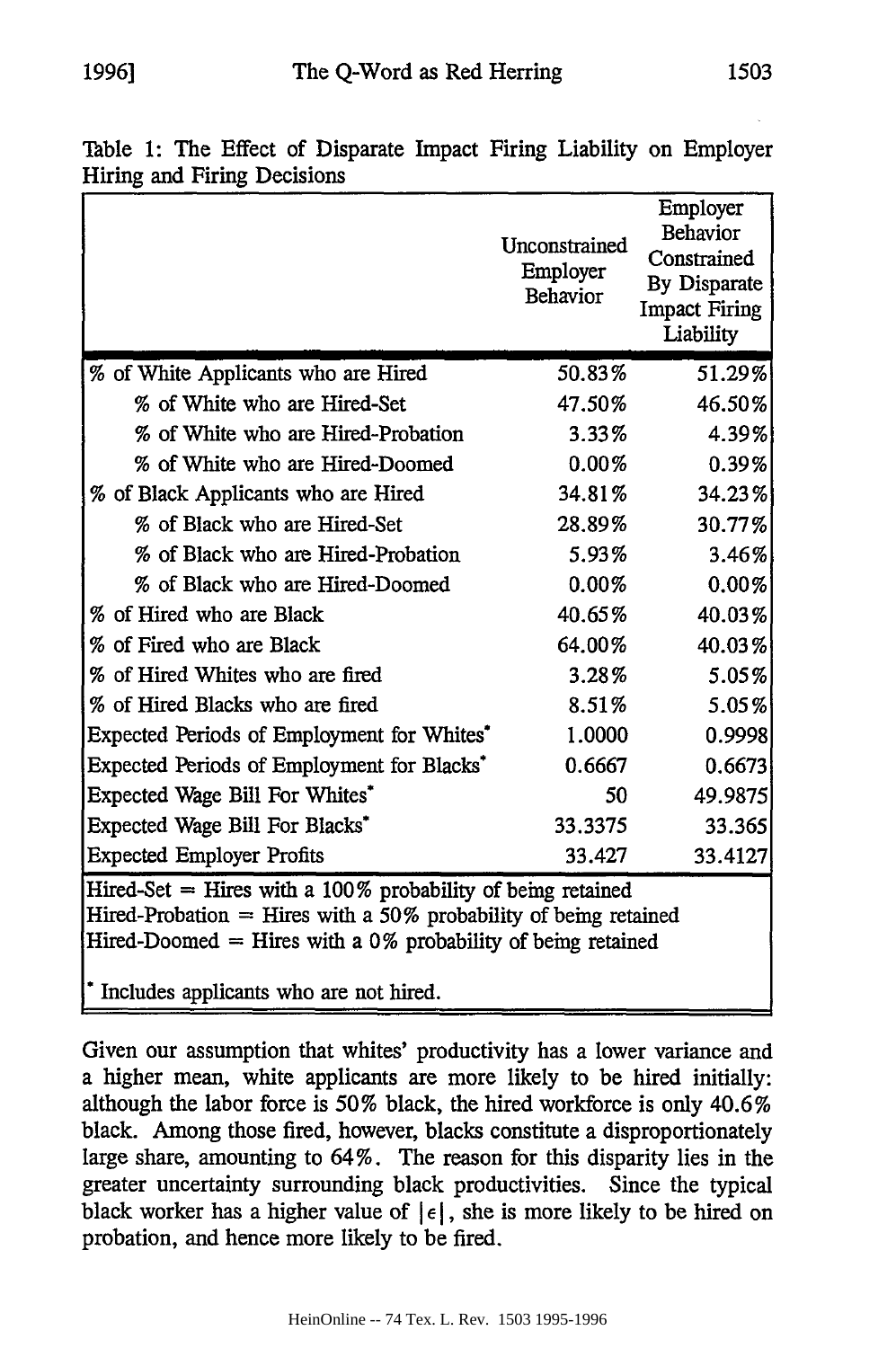| runng and runng Decisions                                                                                                                                                                                                                         |                                              |                                                                                                 |
|---------------------------------------------------------------------------------------------------------------------------------------------------------------------------------------------------------------------------------------------------|----------------------------------------------|-------------------------------------------------------------------------------------------------|
|                                                                                                                                                                                                                                                   | Unconstrained<br>Employer<br><b>Behavior</b> | Employer<br><b>Behavior</b><br>Constrained<br>By Disparate<br><b>Impact Firing</b><br>Liability |
| % of White Applicants who are Hired                                                                                                                                                                                                               | 50.83%                                       | 51.29%                                                                                          |
| % of White who are Hired-Set                                                                                                                                                                                                                      | 47.50%                                       | 46.50%                                                                                          |
| % of White who are Hired-Probation                                                                                                                                                                                                                | 3.33%                                        | 4.39%                                                                                           |
| % of White who are Hired-Doomed                                                                                                                                                                                                                   | 0.00%                                        | 0.39%                                                                                           |
| % of Black Applicants who are Hired                                                                                                                                                                                                               | 34.81%                                       | 34.23%                                                                                          |
| % of Black who are Hired-Set                                                                                                                                                                                                                      | 28.89%                                       | 30.77%                                                                                          |
| % of Black who are Hired-Probation                                                                                                                                                                                                                | 5.93%                                        | 3.46%                                                                                           |
| % of Black who are Hired-Doomed                                                                                                                                                                                                                   | 0.00%                                        | 0.00%                                                                                           |
| % of Hired who are Black                                                                                                                                                                                                                          | 40.65%                                       | 40.03%                                                                                          |
| % of Fired who are Black                                                                                                                                                                                                                          | 64.00%                                       | 40.03%                                                                                          |
| % of Hired Whites who are fired                                                                                                                                                                                                                   | $3.28\%$                                     | 5.05%                                                                                           |
| % of Hired Blacks who are fired                                                                                                                                                                                                                   | 8.51%                                        | 5.05%                                                                                           |
| Expected Periods of Employment for Whites*                                                                                                                                                                                                        | 1.0000                                       | 0.9998                                                                                          |
| Expected Periods of Employment for Blacks <sup>*</sup>                                                                                                                                                                                            | 0.6667                                       | 0.6673                                                                                          |
| Expected Wage Bill For Whites*                                                                                                                                                                                                                    | 50                                           | 49.9875                                                                                         |
| Expected Wage Bill For Blacks <sup>*</sup>                                                                                                                                                                                                        | 33.3375                                      | 33.365                                                                                          |
| <b>Expected Employer Profits</b>                                                                                                                                                                                                                  | 33.427                                       | 33.4127                                                                                         |
| Hired-Set $=$ Hires with a 100% probability of being retained<br>Hired-Probation $=$ Hires with a 50% probability of being retained<br>Hired-Doomed $=$ Hires with a 0% probability of being retained<br>* Includes applicants who are not hired. |                                              |                                                                                                 |
|                                                                                                                                                                                                                                                   |                                              |                                                                                                 |

Table 1: The Effect of Disparate Impact Firing Liability on Employer Hiring and Firing Decisions

Given our assumption that whites' productivity has a lower variance and a higher mean, white applicants are more likely to be hired initially: although the labor force is 50% black, the hired workforce is only 40.6% black. Among those fired, however, blacks constitute a disproportionately large share, amounting to 64%. The reason for this disparity lies in the greater uncertainty surrounding black productivities. Since the typical black worker has a higher value of  $\left| \epsilon \right|$ , she is more likely to be hired on probation, and hence more likely to be fired.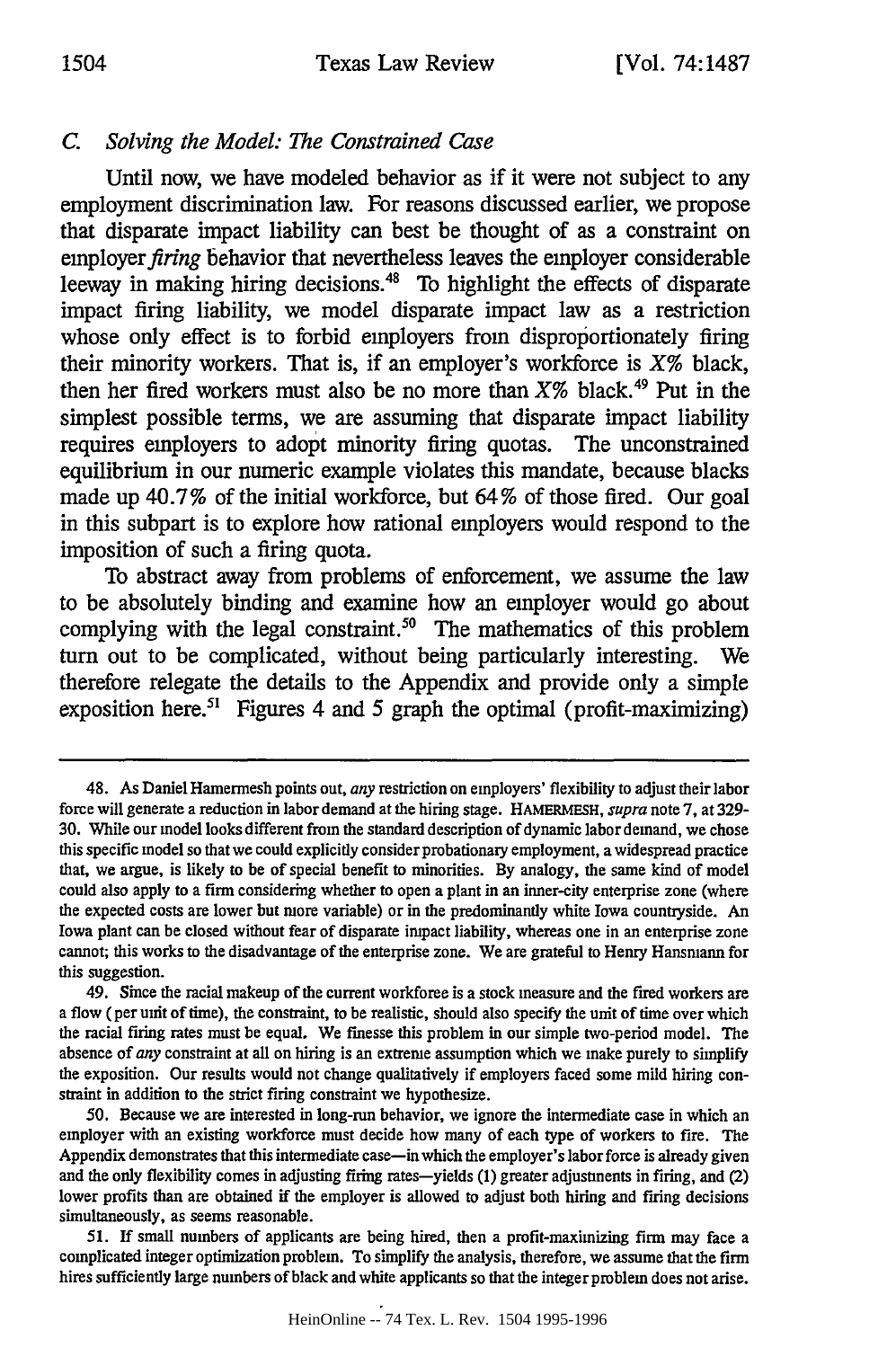# *C. Solving the Model: The Constrained Case*

Until now, we have modeled behavior as if it were not subject to any employment discrimination law. For reasons discussed earlier, we propose that disparate impact liability can best be thought of as a constraint on employer firing behavior that nevertheless leaves the employer considerable leeway in making hiring decisions.<sup>48</sup> To highlight the effects of disparate impact firing liability, we model disparate impact law as a restriction whose only effect is to forbid employers from disproportionately firing their minority workers. That is, if an employer's workforce is  $X\%$  black, then her fired workers must also be no more than  $X\%$  black.<sup>49</sup> Put in the simplest possible terms, we are assuming that disparate impact liability requires employers to adopt minority firing quotas. The unconstrained equilibrium in our numeric example violates this mandate, because blacks made up 40.7% of the initial workforce, but **64%** of those fired. Our goal in this subpart is to explore how rational employers would respond to the imposition of such a firing quota.

To abstract away from problems of enforcement, we assume the law to be absolutely binding and examine how an employer would go about complying with the legal constraint.<sup>50</sup> The mathematics of this problem turn out to be complicated, without being particularly interesting. We therefore relegate the details to the Appendix and provide only a simple exposition here.5' Figures 4 and **5** graph the optimal (profit-maximizing)

<sup>48.</sup> As Daniel Hamermesh points out, *any* restriction on employers' flexibility to adjust their labor force will generate a reduction in labor demand at the hiring stage. **HAMERMESH,** *supra* note **7,** at **329-** 30. While our model looks different from the standard description of dynamic labor demand, we chose this specific model so that we could explicitly consider probationary employment, a widespread practice that, we argue, is likely to be of special benefit to minorities. By analogy, the same kind of model could also apply to a firm considering whether to open a plant in an inner-city enterprise zone (where the expected costs are lower but more variable) or in the predominantly white Iowa countryside. An Iowa plant can be closed without fear of disparate impact liability, whereas one in an enterprise zone cannot; this works to the disadvantage of the enterprise zone. We are grateful to Henry Hansmann for this suggestion.

<sup>49.</sup> Since the racial makeup of the current workforce is a stock measure and the fired workers are a flow (per unit of time), the constraint, to be realistic, should also specify the unit of time over which the racial firing rates must be equal. We finesse this problem in our simple two-period model. The absence of *any* constraint at all on hiring is an extreme assumption which we make purely to simplify the exposition. Our results would not change qualitatively if employers faced some mild hiring constraint in addition to the strict firing constraint we hypothesize.

**<sup>50.</sup>** Because we are interested in long-run behavior, we ignore the intermediate case in which an employer with an existing workforce must decide how many of each type of workers to fire. The Appendix demonstrates that this intermediate case-in which the employer's labor force is already given and the only flexibility comes in adjusting firing rates-yields (I) greater adjustments in firing, and (2) lower profits than are obtained if the employer is allowed to adjust both hiring and firing decisions simultaneously, as seems reasonable.

*<sup>51.</sup>* If small numbers of applicants are being hired, then a profit-maximizing firm may face a complicated integer optimization problem. To simplify the analysis, therefore, we assume that the firm hires sufficiently large numbers of black and white applicants so that the integer problem does not arise.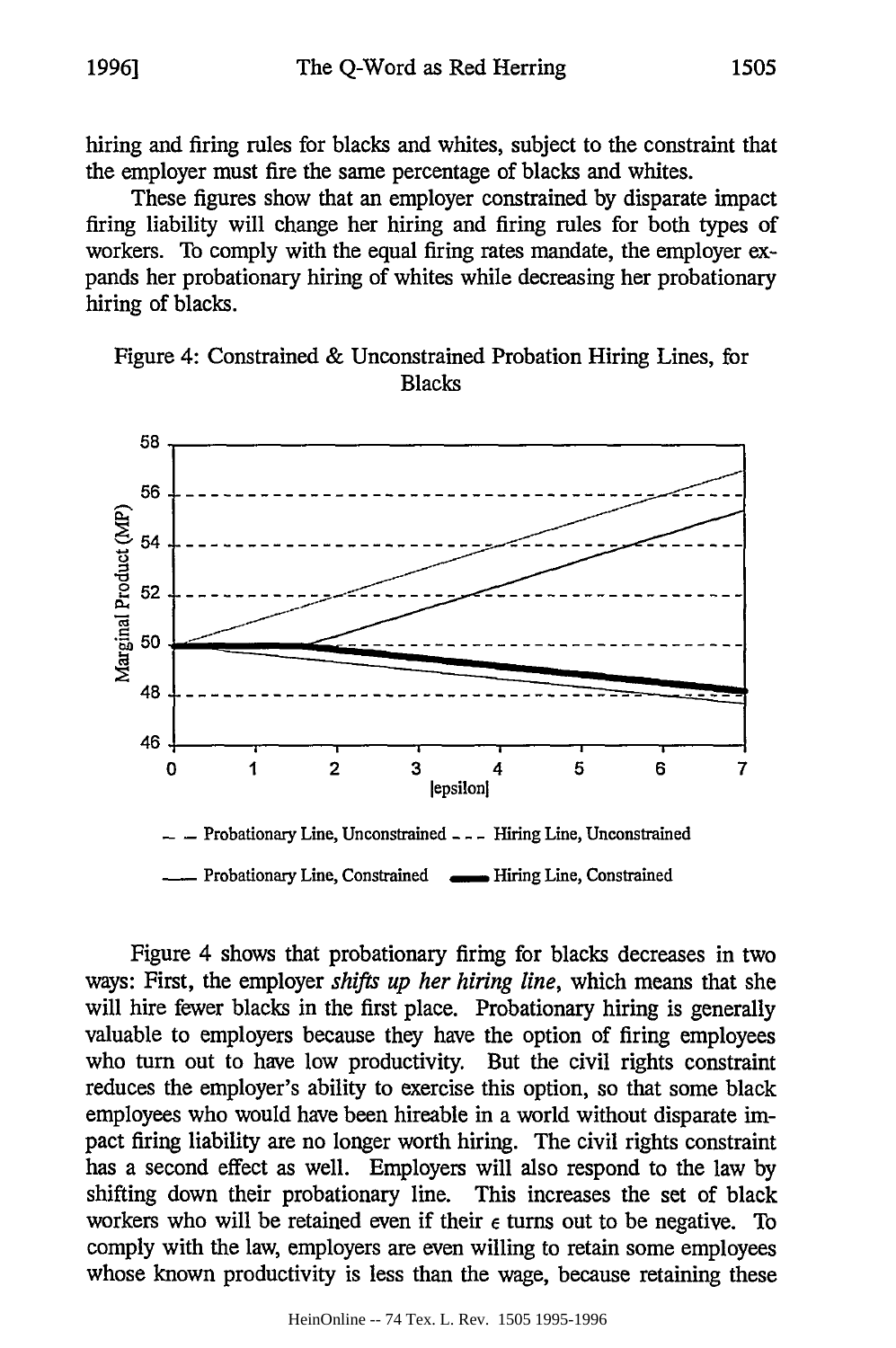hiring and firing rules for blacks and whites, subject to the constraint that the employer must fire the same percentage of blacks and whites.

These figures show that an employer constrained by disparate impact firing liability will change her hiring and firing rules for both types of workers. To comply with the equal firing rates mandate, the employer expands her probationary hiring of whites while decreasing her probationary hiring of blacks.

Figure 4: Constrained & Unconstrained Probation Hiring Lines, for Blacks



Figure 4 shows that probationary firing for blacks decreases in two ways: First, the employer *shifts up her hiring line,* which means that she will hire fewer blacks in the first place. Probationary hiring is generally valuable to employers because they have the option of firing employees who turn out to have low productivity. But the civil rights constraint reduces the employer's ability to exercise this option, so that some black employees who would have been hireable in a world without disparate impact firing liability are no longer worth hiring. The civil rights constraint has a second effect as well. Employers will also respond to the law by shifting down their probationary line. This increases the set of black workers who will be retained even if their **e** turns out to be negative. To comply with the law, employers are even willing to retain some employees whose known productivity is less than the wage, because retaining these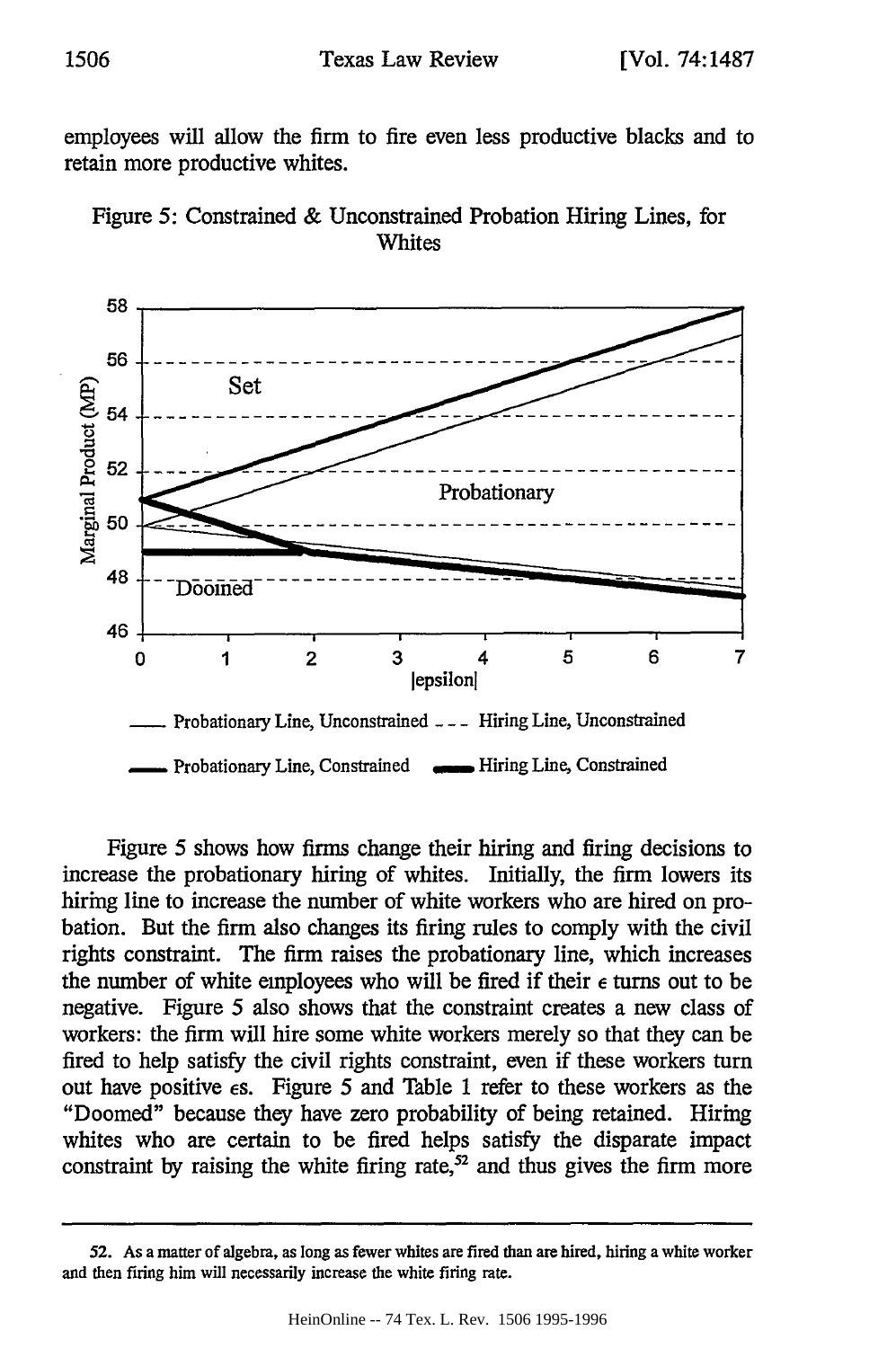employees will allow the firm to fire even less productive blacks and to retain more productive whites.





Figure 5 shows how firms change their hiring and firing decisions to increase the probationary hiring of whites. Initially, the firm lowers its hiring line to increase the number of white workers who are hired on probation. But the firm also changes its firing rules to comply with the civil rights constraint. The firm raises the probationary line, which increases the number of white employees who will be fired if their  $\epsilon$  turns out to be negative. Figure 5 also shows that the constraint creates a new class of workers: the firm will hire some white workers merely so that they can be fired to help satisfy the civil rights constraint, even if these workers turn out have positive  $\epsilon$ s. Figure 5 and Table 1 refer to these workers as the "Doomed" because they have zero probability of being retained. Hiring whites who are certain to be fired helps satisfy the disparate impact constraint by raising the white firing rate, $52$  and thus gives the firm more

**<sup>52.</sup>** As a matter of algebra, as long as fewer whites are fired than are hired, hiring a white worker and then firing him will necessarily increase the white firing rate.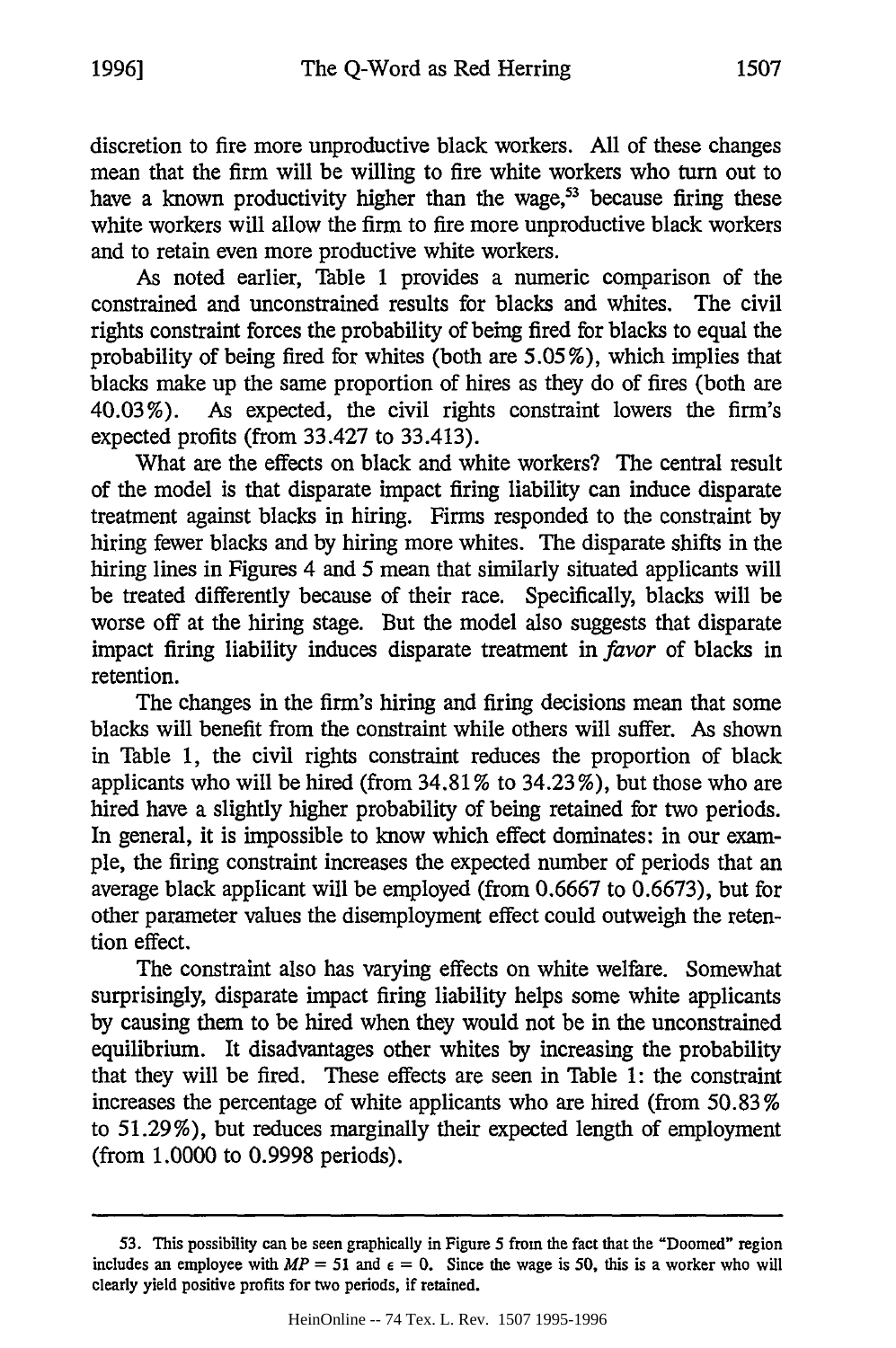discretion to fire more unproductive black workers. All of these changes mean that the firm will be willing to fire white workers who turn out to have a known productivity higher than the wage,<sup>53</sup> because firing these white workers will allow the firm to fire more unproductive black workers and to retain even more productive white workers.

As noted earlier, Table 1 provides a numeric comparison of the constrained and unconstrained results for blacks and whites. The civil rights constraint forces the probability of being fired for blacks to equal the probability of being fired for whites (both are 5.05%), which implies that blacks make up the same proportion of hires as they do of fires (both are 40.03%). As expected, the civil rights constraint lowers the firm's expected profits (from 33.427 to 33.413).

What are the effects on black and white workers? The central result of the model is that disparate impact firing liability can induce disparate treatment against blacks in hiring. Firms responded to the constraint by hiring fewer blacks and by hiring more whites. The disparate shifts in the hiring lines in Figures 4 and 5 mean that similarly situated applicants will be treated differently because of their race. Specifically, blacks will be worse off at the hiring stage. But the model also suggests that disparate impact firing liability induces disparate treatment in *favor* of blacks in retention.

The changes in the firm's hiring and firing decisions mean that some blacks will benefit from the constraint while others will suffer. As shown in Table 1, the civil rights constraint reduces the proportion of black applicants who will be hired (from 34.81% to 34.23 %), but those who are hired have a slightly higher probability of being retained for two periods. In general, it is impossible to know which effect dominates: in our example, the firing constraint increases the expected number of periods that an average black applicant will be employed (from 0.6667 to 0.6673), but for other parameter values the disemployment effect could outweigh the retention effect.

The constraint also has varying effects on white welfare. Somewhat surprisingly, disparate impact firing liability helps some white applicants by causing them to be hired when they would not be in the unconstrained equilibrium. It disadvantages other whites by increasing the probability that they will be fired. These effects are seen in Table 1: the constraint increases the percentage of white applicants who are hired (from 50.83% to 51.29%), but reduces marginally their expected length of employment (from 1.0000 to 0.9998 periods).

**<sup>53.</sup>** This possibility can be seen graphically in Figure 5 from the fact that the "Doomed" region includes an employee with  $MP = 51$  and  $\epsilon = 0$ . Since the wage is 50, this is a worker who will clearly yield positive profits for two periods, if retained.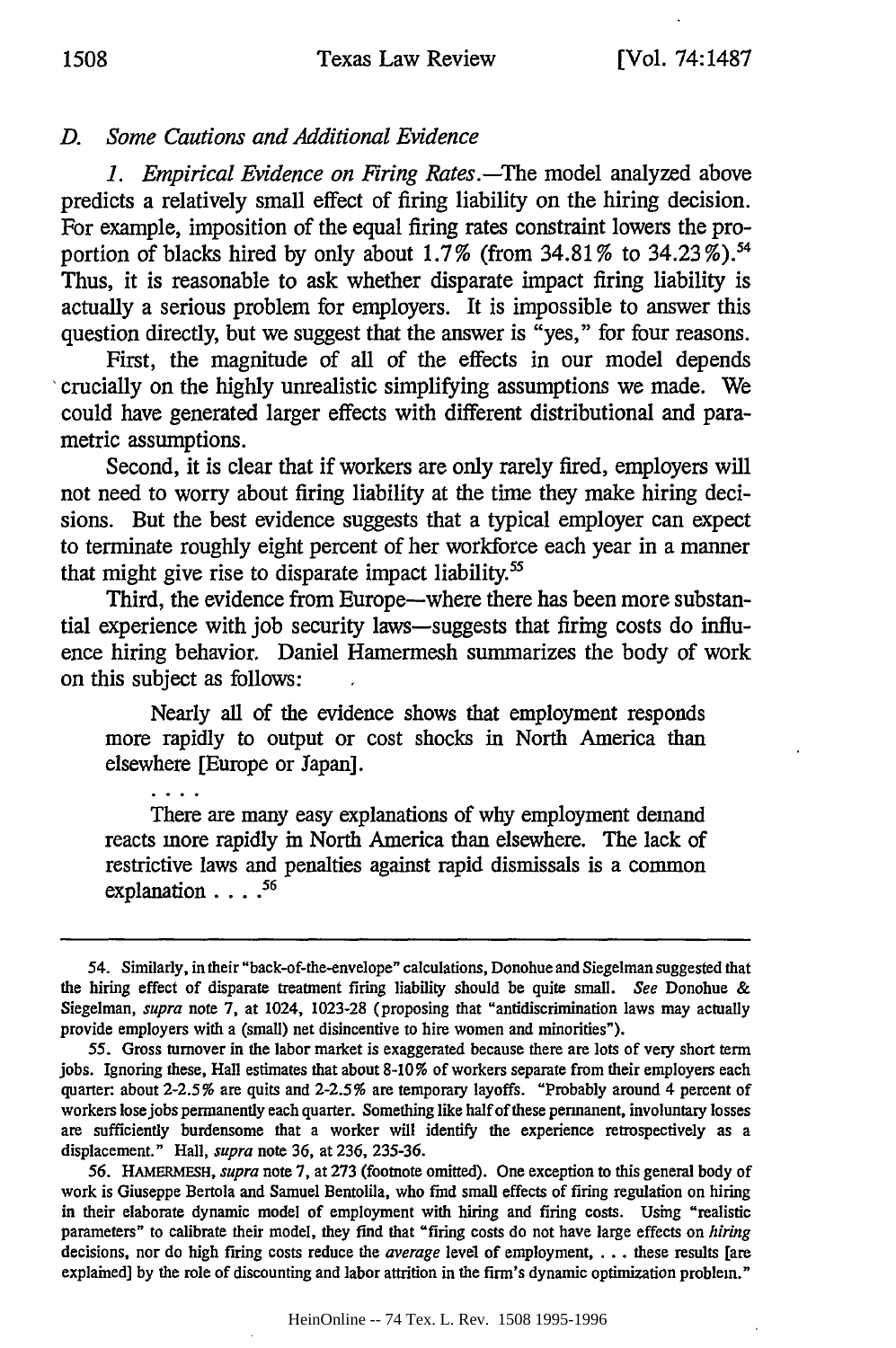#### *D. Some Cautions and Additional Evidence*

*1. Empirical Evidence on Firing Rates.-The* model analyzed above predicts a relatively small effect of firing liability on the hiring decision. For example, imposition of the equal firing rates constraint lowers the proportion of blacks hired by only about  $1.7\%$  (from  $34.81\%$  to  $34.23\%$ ).<sup>54</sup> Thus, it is reasonable to ask whether disparate impact firing liability is actually a serious problem for employers. It is impossible to answer this question directly, but we suggest that the answer is "yes," for four reasons.

First, the magnitude of all of the effects in our model depends 'crucially on the highly unrealistic simplifying assumptions we made. We could have generated larger effects with different distributional and parametric assumptions.

Second, it is clear that if workers are only rarely fired, employers will not need to worry about firing liability at the time they make hiring decisions. But the best evidence suggests that a typical employer can expect to terminate roughly eight percent of her workforce each year in a manner that might give rise to disparate impact liability.<sup>55</sup>

Third, the evidence from Europe--where there has been more substantial experience with job security laws-suggests that firing costs do influence hiring behavior. Daniel Hamermesh summarizes the body of work on this subject as follows:

Nearly all of the evidence shows that employment responds more rapidly to output or cost shocks in North America than elsewhere [Europe or Japan].

There are many easy explanations of why employment demand reacts more rapidly in North America than elsewhere. The lack of restrictive laws and penalties against rapid dismissals is a common explanation **....** 56

<sup>54.</sup> Similarly, in their "back-of-the-envelope" calculations, Donohue and Siegelman suggested that the hiring effect of disparate treatment firing liability should be quite small. *See* Donohue & Siegelman, *supra* note 7, at 1024, 1023-28 (proposing that "antidiscrimination laws may actually provide employers with a (small) net disincentive to hire women and minorities").

<sup>55.</sup> Gross turnover in the labor market is exaggerated because there are lots of very short term jobs. Ignoring these, Hall estimates that about 8-10% of workers separate from their employers each quarter: about 2-2.5% are quits and 2-2.5% are temporary layoffs. "Probably around 4 percent of workers Iosejobs permanently each quarter. Something like half of these permanent, involuntary losses are sufficiently burdensome that a worker will identify the experience retrospectively as a displacement." Hall, *supra* note 36, at 236, 235-36.

<sup>56.</sup> HAMERMESH, *supra* note 7, at 273 (footnote omitted). One exception to this general body of work is Giuseppe Bertola and Samuel Bentolila, who find small effects of firing regulation on hiring in their elaborate dynamic model of employment with hiring and firing costs. Using "realistic parameters" to calibrate their model, they find that "firing costs do not have large effects on *hiring* decisions, nor do high firing costs reduce the *average* level of employment, . . . these results [are explained] by the role of discounting and labor attrition in the firm's dynamic optimization problem."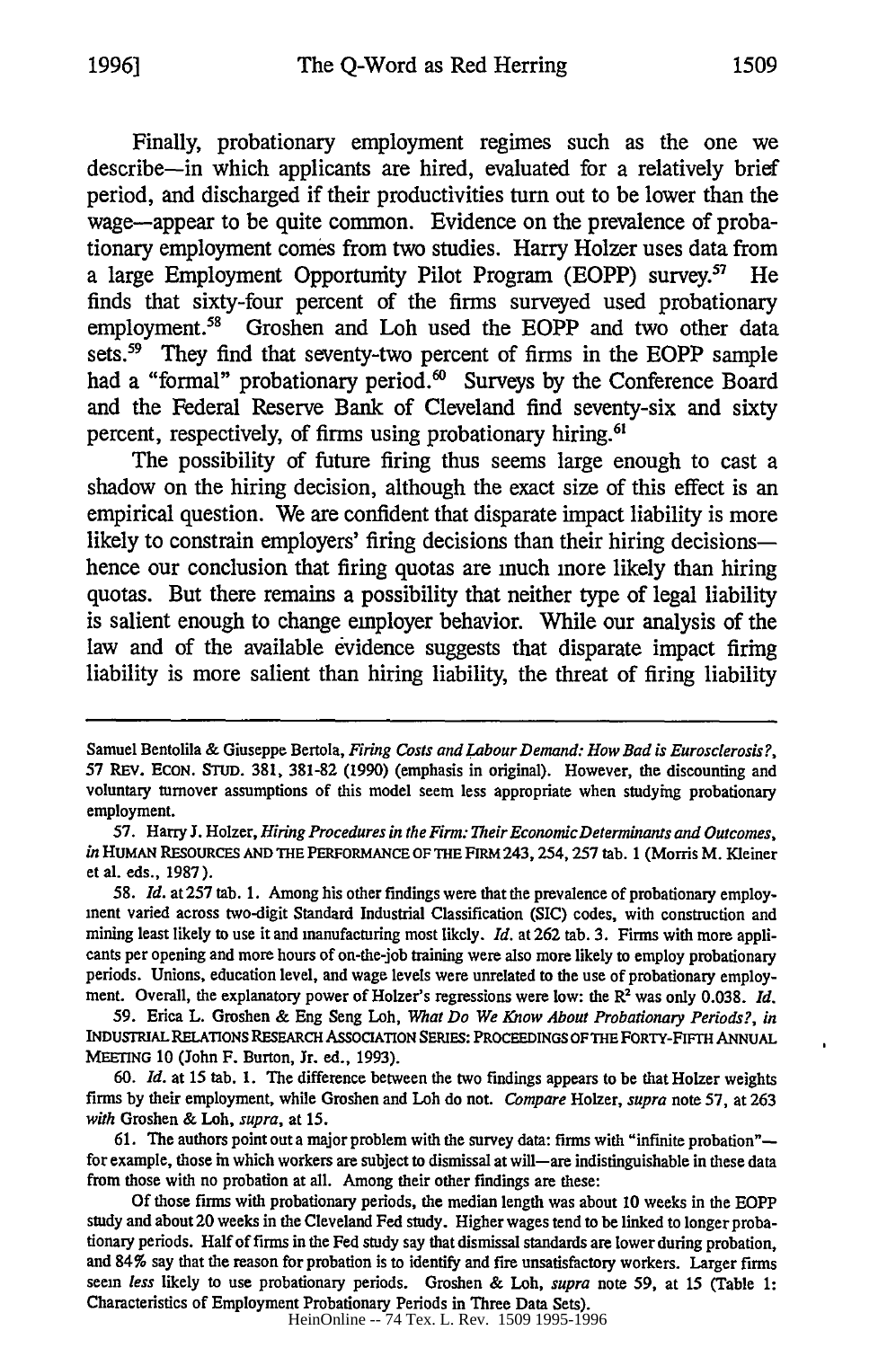Finally, probationary employment regimes such as the one we describe-in which applicants are hired, evaluated for a relatively brief period, and discharged if their productivities turn out to be lower than the wage-appear to be quite common. Evidence on the prevalence of probationary employment comes from two studies. Harry Holzer uses data from a large Employment Opportunity Pilot Program (EOPP) survey.<sup>57</sup> He finds that sixty-four percent of the **firms** surveyed used probationary employment.<sup>58</sup> Groshen and Loh used the EOPP and two other data sets.<sup>59</sup> They find that seventy-two percent of firms in the EOPP sample had a "formal" probationary period.<sup>60</sup> Surveys by the Conference Board and the Federal Reserve Bank of Cleveland find seventy-six and sixty percent, respectively, of firms using probationary hiring.<sup>6</sup>

The possibility of future firing thus seems large enough to cast a shadow on the hiring decision, although the exact size of this effect is an empirical question. We are confident that disparate impact liability is more likely to constrain employers' firing decisions than their hiring decisionshence our conclusion that firing quotas are much more likely than hiring quotas. But there remains a possibility that neither type of legal liability is salient enough to change employer behavior. While our analysis of the law and of the available evidence suggests that disparate impact firing liability is more salient than hiring liability, the threat of firing liability

HeinOnline -- 74 Tex. L. Rev. 1509 1995-1996

Samuel Bentolila & Giuseppe Bertola, *Firing Costs and Labour Demand: How Bad is Eurosclerosis?,* 57 REV. ECON. **STUD.** 381, 381-82 (1990) (emphasis in original). However, the discounting and voluntary turnover assumptions of this model seem less appropriate when studying probationary employment.

<sup>57.</sup> Harry J. Holzer, *Hiring Procedures in the Firm: Their EconomicDeterminants and Outcomes, in* HUMAN RESOURCES **AND THE** PERFORMANCE OF **THE** FIRM 243,254, **257** tab. **1** (Morris M. Kleiner et al. eds., 1987).

<sup>58.</sup> *Id.* at 257 tab. 1. Among his other findings were that the prevalence of probationary employment varied across two-digit Standard Industrial Classification (SIC) codes, with construction and mining least likely to use it and manufacturing most likely. *Id.* at 262 tab. 3. Firms with more applicants per opening and more hours of on-the-job training were also more likely to employ probationary periods. Unions, education level, and wage levels were unrelated to the use of probationary employment. Overall, the explanatory power of Holzer's regressions were low: the R<sup>2</sup> was only 0.038. *Id.* 

<sup>59.</sup> Erica L. Groshen & Eng Seng Loh, *What Do We Know About Probationary Periods?, in* INDUSTRIAL RELATIONS RESEARCH ASSOCIATION SERIES: PROCEEDINGS OF THE FORTY-FIFTH ANNUAL MEETING **10** (John F. Burton, Jr. ed., **1993).**

*<sup>60.</sup> Id.* at 15 tab. 1. The difference between the two findings appears to be that Holzer weights firms by their employment, while Groshen and Loh do not. *Compare* Holzer, *supra* note 57, at 263 *with* Groshen & Loh, *supra,* at 15.

<sup>61.</sup> The authors point out a major problem with the survey data: firms with "infinite probation" for example, those in which workers are subject to dismissal at will-are indistinguishable in these data from those with no probation at all. Among their other findings are these:

Of those firms with probationary periods, the median length was about 10 weeks in the EOPP study and about 20 weeks in the Cleveland Fed study. Higher wages tend to be linked to longer probationary periods. Half of firms in the Fed study say that dismissal standards are lower during probation, and 84% say that the reason for probation is to identify and fire unsatisfactory workers. Larger firms seem *less* likely to use probationary periods. Groshen & Loh, *supra* note 59, at 15 (Table 1: Characteristics of Employment Probationary Periods in Three Data Sets).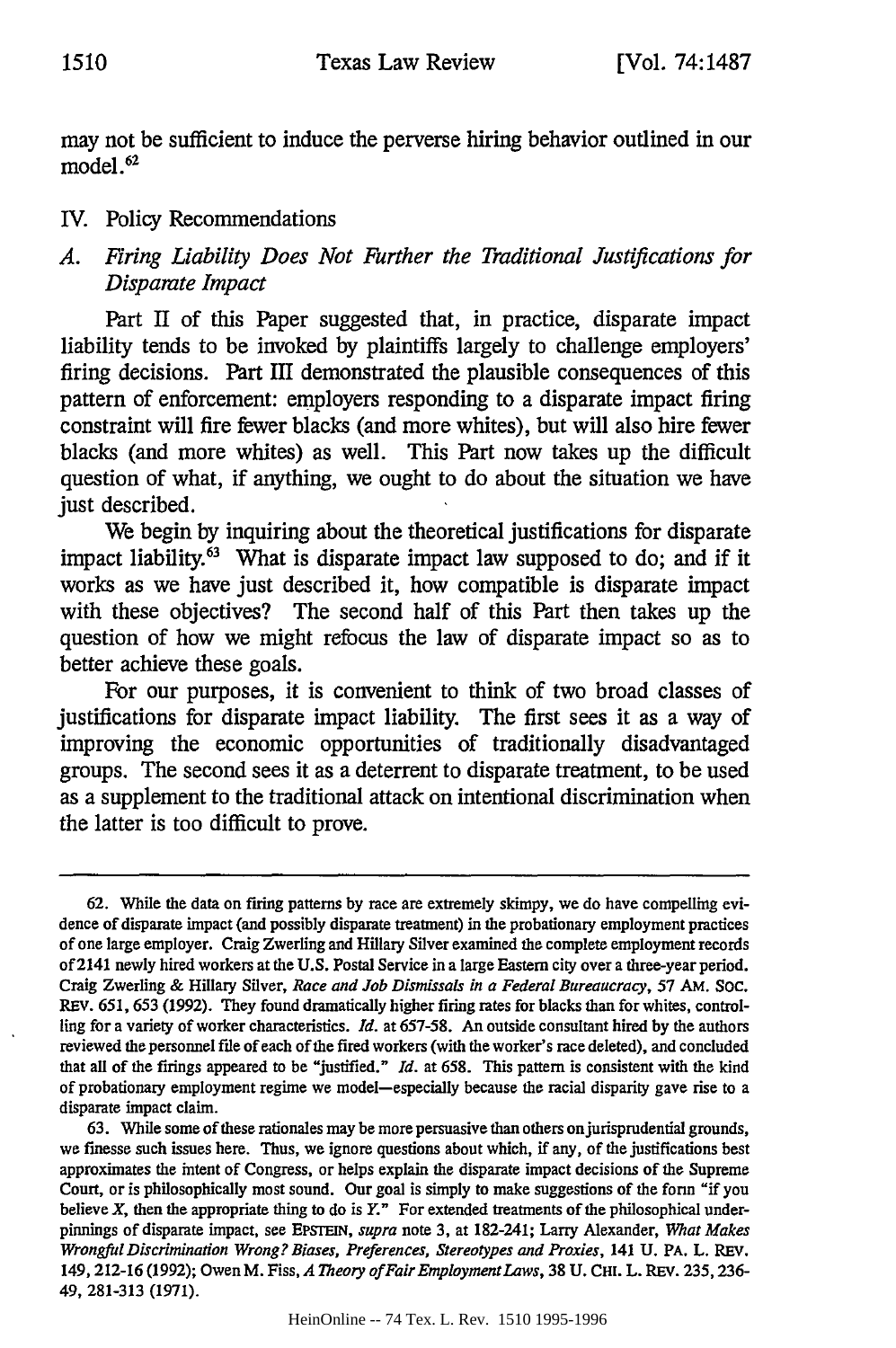may not be sufficient to induce the perverse hiring behavior outlined in our model.<sup>62</sup>

#### IV. Policy Recommendations

## *A. Firing Liability Does Not Further the Traditional Justifications for Disparate Impact*

Part **II** of this Paper suggested that, in practice, disparate impact liability tends to be invoked **by** plaintiffs largely to challenge employers' firing decisions. Part **III** demonstrated the plausible consequences of this pattern of enforcement: employers responding to a disparate impact firing constraint will fire fewer blacks (and more whites), but will also hire fewer blacks (and more whites) as well. This Part now takes up the difficult question of what, if anything, we ought to do about the situation we have just described.

We begin **by** inquiring about the theoretical justifications for disparate impact liability.<sup>63</sup> What is disparate impact law supposed to do; and if it works as we have just described it, how compatible is disparate impact with these objectives? The second half of this Part then takes up the question of how we might refocus the law of disparate impact so as to better achieve these goals.

**For** our purposes, it is convenient to think of two broad classes of justifications for disparate impact liability. The first sees it as a way of improving the economic opportunities of traditionally disadvantaged groups. The second sees it as a deterrent to disparate treatment, to be used as a supplement to the traditional attack on intentional discrimination when the latter is too difficult to prove.

**<sup>62.</sup>** While the data on firing patterns **by** race are extremely skimpy, we do have compelling evidence of disparate impact (and possibly disparate treatment) in the probationary employment practices of one large employer. Craig Zwerling and **Hillary** Silver examined the complete employment records of 2141 newly hired workers at the **U.S.** Postal Service in a large Eastern city over a three-year period. Craig Zwerling **&** Hillary Silver, *Race and Job Dismissals in a Federal Bureaucracy,* **57 AM. Soc. REV. 651, 653 (1992).** They found dramatically higher firing rates for blacks than for whites, controlling for a variety of worker characteristics. *Id.* at **657-58.** An outside consultant hired **by** the authors reviewed the personnel file of each of the fired workers (with the worker's race deleted), and concluded that all of the firings appeared to be "justified." *Id.* at **658.** This pattern is consistent with the kind of probationary employment regime we model-especially because the racial disparity gave rise to a disparate impact claim.

**<sup>63.</sup>** While some of these rationales may be more persuasive than others on jurisprudential grounds, we finesse such issues here. Thus, we ignore questions about which, if any, of the justifications best approximates the intent of Congress, or helps explain the disparate impact decisions of the Supreme Court, or is philosophically most sound. Our goal is simply to make suggestions of the form "if you believe X, then the appropriate thing to do is *Y."* For extended treatments of the philosophical underpinnings of disparate impact, see EPSrEIN, *supra* note **3,** at 182-241; **Larry** Alexander, *What Makes Wrongful Discrimination Wrong? Biases, Preferences, Stereotypes and Proxies,* 141 **U.** PA. L. REV. 149,212-16 **(1992);** Owen M. Fiss, *A Theory ofFairEmploymentLaws,* **38 U.** Ct. L. REV. **235,236-** 49, **281-313 (1971).**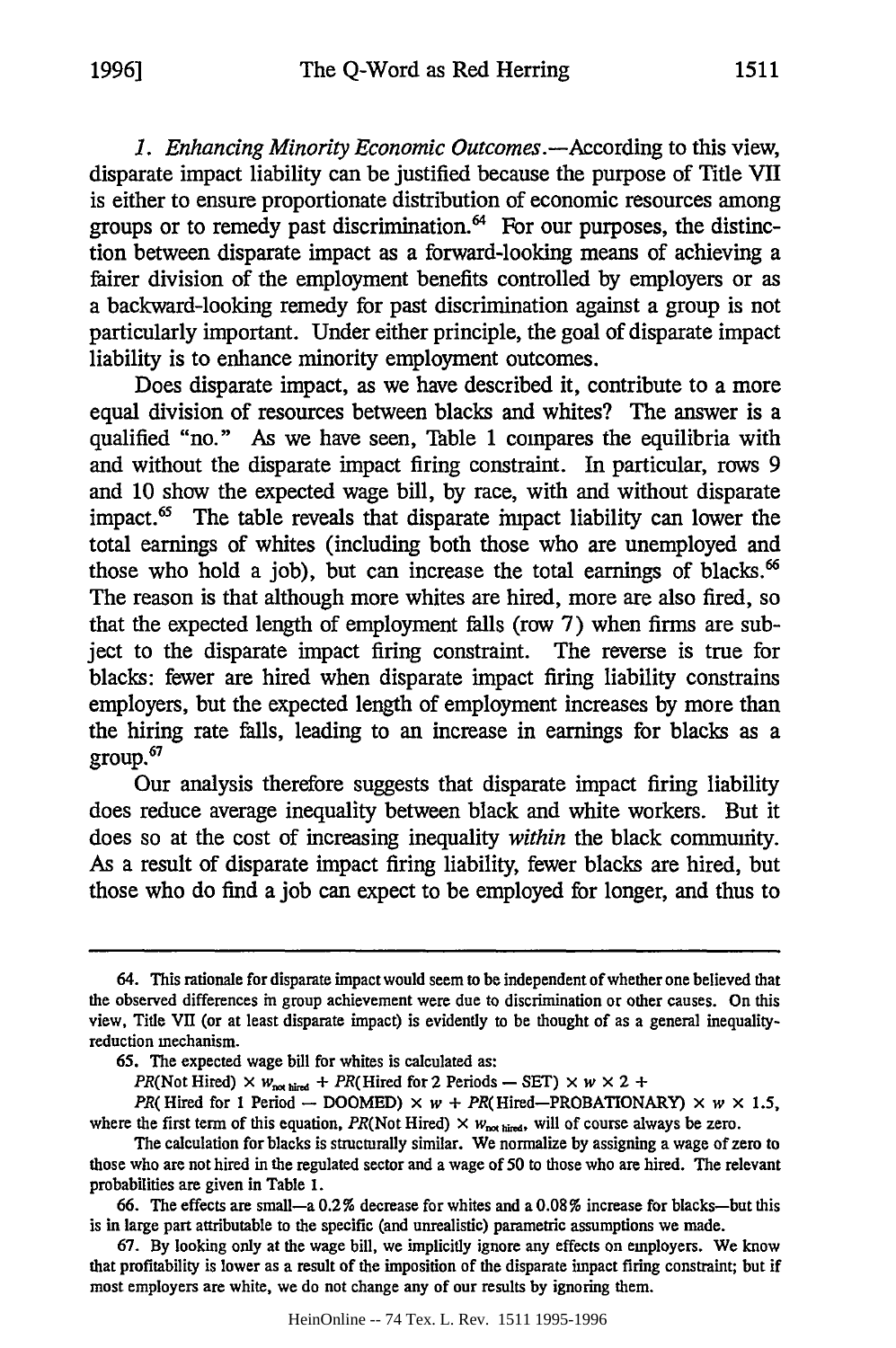*1. Enhancing Minority Economic Outcomes.-According* to this view, disparate impact liability can be justified because the purpose of Title VII is either to ensure proportionate distribution of economic resources among groups or to remedy past discrimination. $<sup>64</sup>$  For our purposes, the distinc-</sup> tion between disparate impact as a forward-looking means of achieving a fairer division of the employment benefits controlled by employers or as a backward-looking remedy for past discrimination against a group is not particularly important. Under either principle, the goal of disparate impact liability is to enhance minority employment outcomes.

Does disparate impact, as we have described it, contribute to a more equal division of resources between blacks and whites? The answer is a qualified "no." As we have seen, Table 1 compares the equilibria with and without the disparate impact firing constraint. In particular, rows 9 and 10 show the expected wage bill, by race, with and without disparate impact. $<sup>65</sup>$  The table reveals that disparate impact liability can lower the</sup> total earnings of whites (including both those who are unemployed and those who hold a job), but can increase the total earnings of blacks.' The reason is that although more whites are hired, more are also fired, so that the expected length of employment falls (row 7) when firms are subject to the disparate impact firing constraint. The reverse is true for blacks: fewer are hired when disparate impact firing liability constrains employers, but the expected length of employment increases by more than the hiring rate falls, leading to an increase in earnings for blacks as a group.67

Our analysis therefore suggests that disparate impact firing liability does reduce average inequality between black and white workers. But it does so at the cost of increasing inequality *within* the black community. As a result of disparate impact firing liability, fewer blacks are hired, but those who do find a job can expect to be employed for longer, and thus to

<sup>64.</sup> This rationale for disparate impact would seem to be independent of whether one believed that the observed differences in group achievement were due to discrimination or other causes. On this view, Title VII (or at least disparate impact) is evidently to be thought of as a general inequalityreduction mechanism.

<sup>65.</sup> The expected wage bill for whites is calculated as:

PR(Not Hired)  $\times$  *w*<sub>not hired</sub> + PR(Hired for 2 Periods - SET)  $\times$  *w*  $\times$  2 +

*PR*( Hired for 1 Period - DOOMED)  $\times w$  + *PR*( Hired-PROBATIONARY)  $\times w \times 1.5$ , where the first term of this equation, *PR*(Not Hired)  $\times w_{\text{not direct}}$ , will of course always be zero.

The calculation for blacks is structurally similar. We normalize by assigning a wage of zero to those who are not hired in the regulated sector and a wage of 50 to those who are hired. The relevant probabilities are given in Table 1.

<sup>66.</sup> The effects are small—a  $0.2\%$  decrease for whites and a  $0.08\%$  increase for blacks—but this is in large part attributable to the specific (and unrealistic) parametric assumptions we made.

<sup>67.</sup> By looking only at the wage bill, we implicitly ignore any effects on employers. We know that profitability is lower as a result of the imposition of the disparate impact firing constraint; but if most employers are white, we do not change any of our results by ignoring them.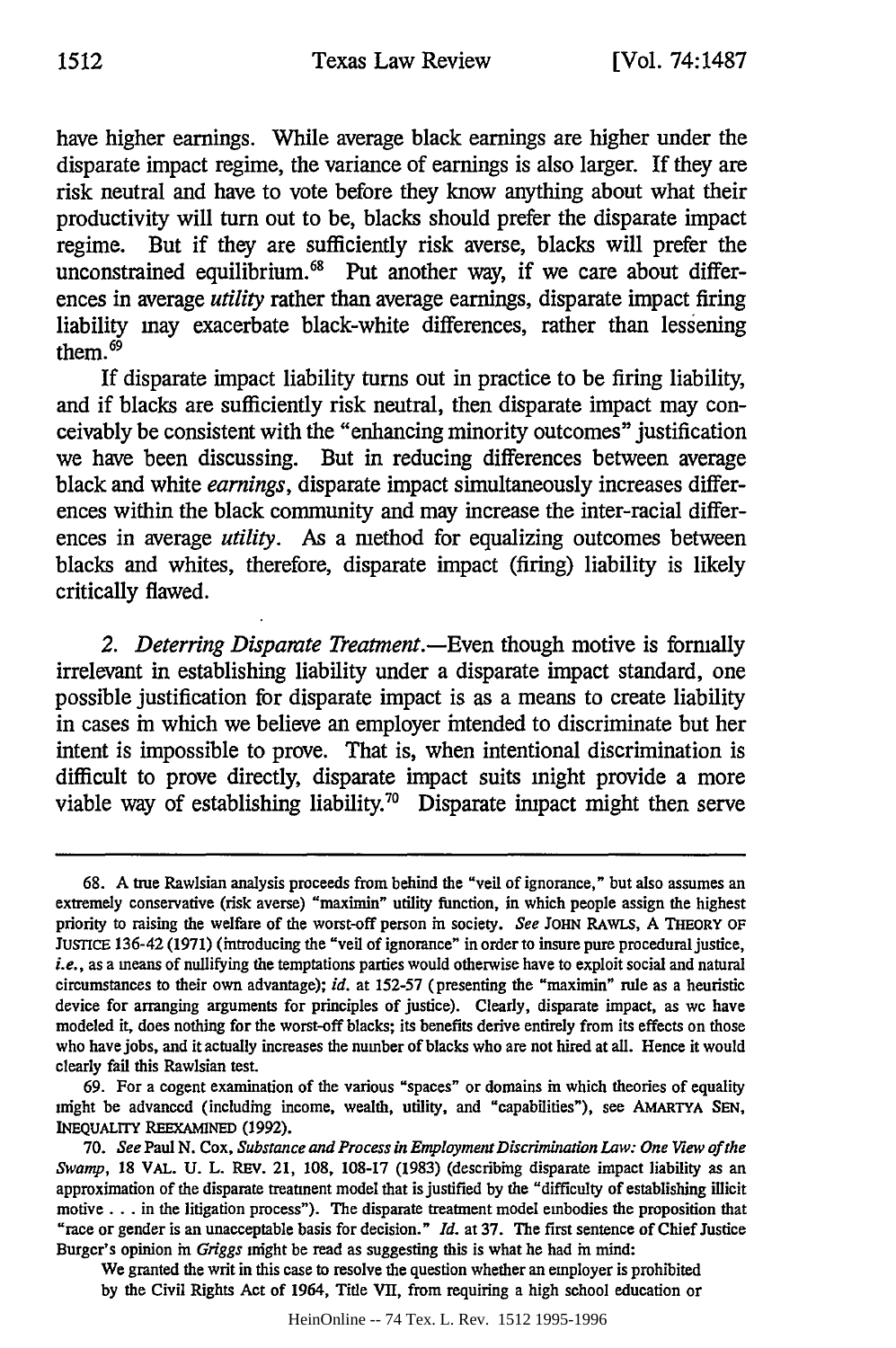have higher earnings. While average black earnings are higher under the disparate impact regime, the variance of earnings is also larger. If they are risk neutral and have to vote before they know anything about what their productivity will turn out to be, blacks should prefer the disparate impact regime. But if they are sufficiently risk averse, blacks will prefer the unconstrained equilibrium. $68$  Put another way, if we care about differences in average *utility* rather than average earnings, disparate impact firing liability may exacerbate black-white differences, rather than lessening them. $69$ 

**If** disparate impact liability turns out in practice to be firing liability, and if blacks are sufficiently risk neutral, then disparate impact may conceivably be consistent with the "enhancing minority outcomes" justification we have been discussing. But in reducing differences between average black and white *earnings,* disparate impact simultaneously increases differences within the black community and may increase the inter-racial differences in average *utility.* As a method for equalizing outcomes between blacks and whites, therefore, disparate impact (firing) liability is likely critically flawed.

2. *Deterring Disparate Treatment*.—Even though motive is formally irrelevant in establishing liability under a disparate impact standard, one possible justification for disparate impact is as a means to create liability in cases in which we believe an employer intended to discriminate but her intent is impossible to prove. That is, when intentional discrimination is difficult to prove directly, disparate impact suits might provide a more viable way of establishing liability.<sup>70</sup> Disparate impact might then serve

69. For a cogent examination of the various "spaces" or domains in which theories of equality might be advanced (including income, wealth, utility, and "capabilities"), see AMARTYA **SEN,** INEQUALITY **REEXAMINED (1992).**

We granted the writ in this case to resolve the question whether an employer is prohibited **by** the Civil Rights Act of 1964, Title VII, from requiring a high school education or

**<sup>68.</sup>** A true Rawlsian analysis proceeds from behind the "veil of ignorance," but also assumes an extremely conservative (risk averse) "maximin" utility function, in which people assign the highest priority to raising the welfare of the worst-off person in society. *See* **JOHN** RAWLS, A THEORY OF JuSTICE 136-42 (1971) (introducing the "veil of ignorance" in order to insure pure procedural justice, *i.e.,* as a means of nullifying the temptations parties would otherwise have to exploit social and natural circumstances to their own advantage); *id.* at 152-57 (presenting the "maximin" rule as a heuristic device for arranging arguments for principles of justice). Clearly, disparate impact, as we have modeled it, does nothing for the worst-off blacks; its benefits derive entirely from its effects on those who have jobs, and it actually increases the number of blacks who are not hired at all. Hence it would clearly fail this Rawlsian test.

**<sup>70.</sup>** *See* Paul **N.** Cox, *Substance and Process in EmploymentDiscrimination Law: One View of the Swamp,* 18 VAL. **U.** L. REV. 21, **108,** 108-17 **(1983)** (describing disparate impact liability as an approximation of the disparate treatment model that is justified **by** the "difficulty of establishing illicit motive... in the litigation process"). The disparate treatment model embodies the proposition that "race or gender is an unacceptable basis for decision." *Id.* at 37. The first sentence of Chief Justice Burger's opinion in *Griggs* might be read as suggesting this is what he had in mind: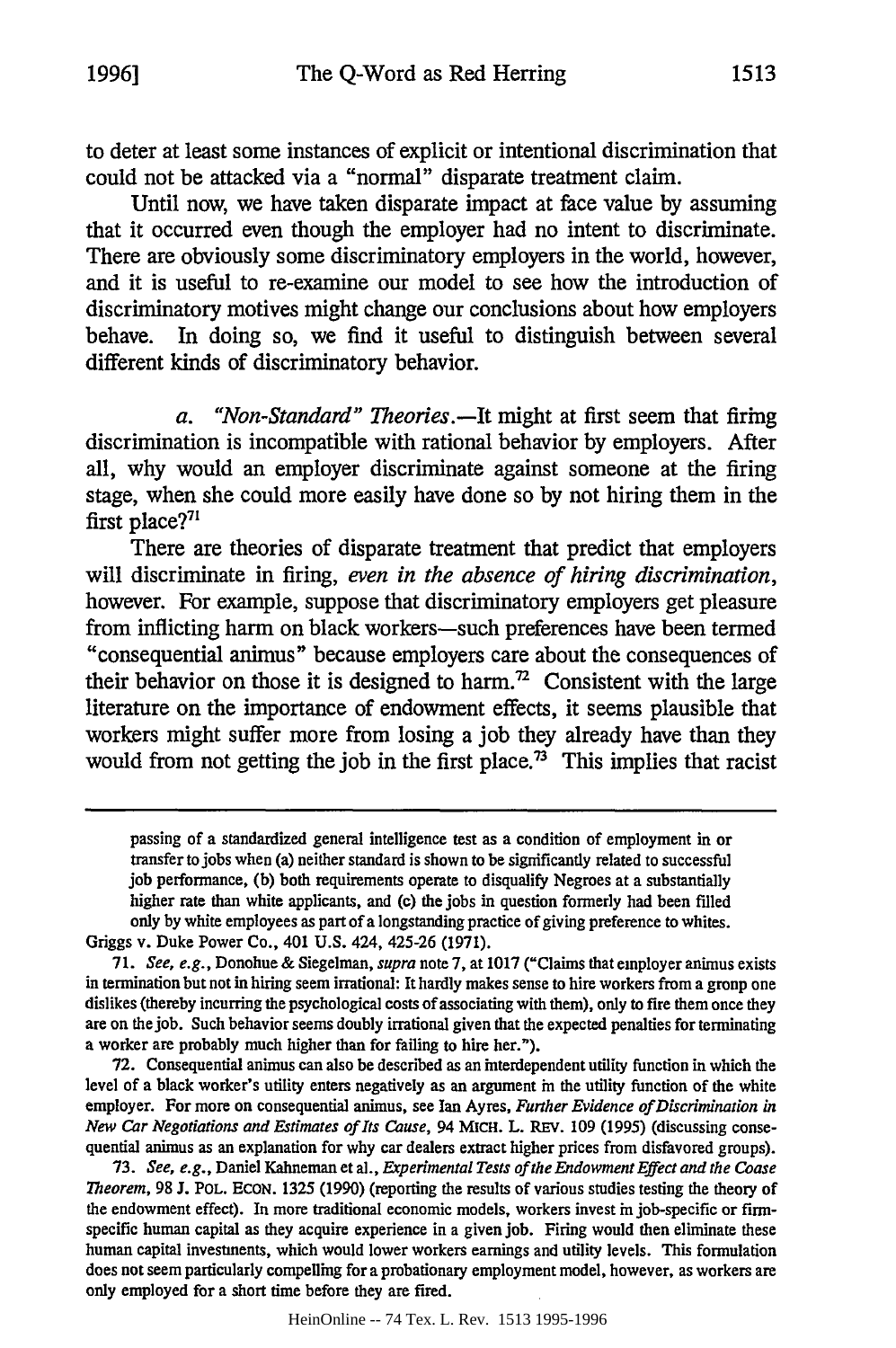to deter at least some instances of explicit or intentional discrimination that could not be attacked via a "normal" disparate treatment claim.

Until now, we have taken disparate impact at face value **by** assuming that it occurred even though the employer had no intent to discriminate. There are obviously some discriminatory employers in the world, however, and it is useful to re-examine our model to see how the introduction of discriminatory motives might change our conclusions about how employers behave. In doing so, we find it useful to distinguish between several different kinds of discriminatory behavior.

*a. "Non-Standard" Theories.-It* **might** at first seem that firing discrimination is incompatible with rational behavior **by** employers. After all, why would an employer discriminate against someone at the firing stage, when she could more easily have done so **by** not hiring them in the first place?<sup>71</sup>

There are theories of disparate treatment that predict that employers will discriminate in firing, *even in the absence of hiring discrimination,* however. **For** example, suppose that discriminatory employers get pleasure from inflicting harm on black workers-such preferences have been termed "consequential animus" because employers care about the consequences of their behavior on those it is designed to harm.<sup>72</sup> Consistent with the large literature on the importance of endowment effects, it seems plausible that workers might suffer more from losing a **job** they already have than they would from not getting the job in the first place.<sup>73</sup> This implies that racist

passing of a standardized general intelligence test as a condition of employment in or transfer to jobs when (a) neither standard is shown to be significantly related to successful job performance, (b) both requirements operate to disqualify Negroes at a substantially higher rate than white applicants, and **(c)** the jobs in question formerly had been filled only by white employees as part of a longstanding practice of giving preference to whites. Griggs v. Duke Power Co., 401 **U.S.** 424, 425-26 (1971).

*71. See, e.g.,* Donohue& Siegelman, *supra* note 7, at 1017 ("Claims that employer animus exists in termination but not in hiring seem irrational: It hardly makes sense to hire workers from a group one dislikes (thereby incurring the psychological costs of associating with them), only to fire them once they are on thejob. Such behavior seems doubly irrational given that the expected penalties for terminating a worker are probably much higher than for failing to hire her.").

**72.** Consequential animus can also be described as an interdependent utility function in which the level of a black worker's utility enters negatively as an argument in the utility function of the white employer. For more on consequential animus, see Ian Ayres, *Further Evidence of Discrimination in New Car Negotiations and Estimates of Its Cause,* 94 MicH. L. **REV.** 109 (1995) (discussing consequential animus as an explanation for why car dealers extract higher prices from disfavored groups).

73. *See, e.g.,* Daniel Kahneman et al., *Experimental Tests of the Endowment Effect and the Coase Theorem,* 98 J. POL. ECON. 1325 (1990) (reporting the results of various studies testing the theory of the endowment effect). In more traditional economic models, workers invest in job-specific or firmspecific human capital as they acquire experience in a given job. Firing would then eliminate these human capital investments, which would lower workers earnings and utility levels. This formulation does not seem particularly compelling for a probationary employment model, however, as workers are only employed for a short time before they are fired.

HeinOnline -- 74 Tex. L. Rev. 1513 1995-1996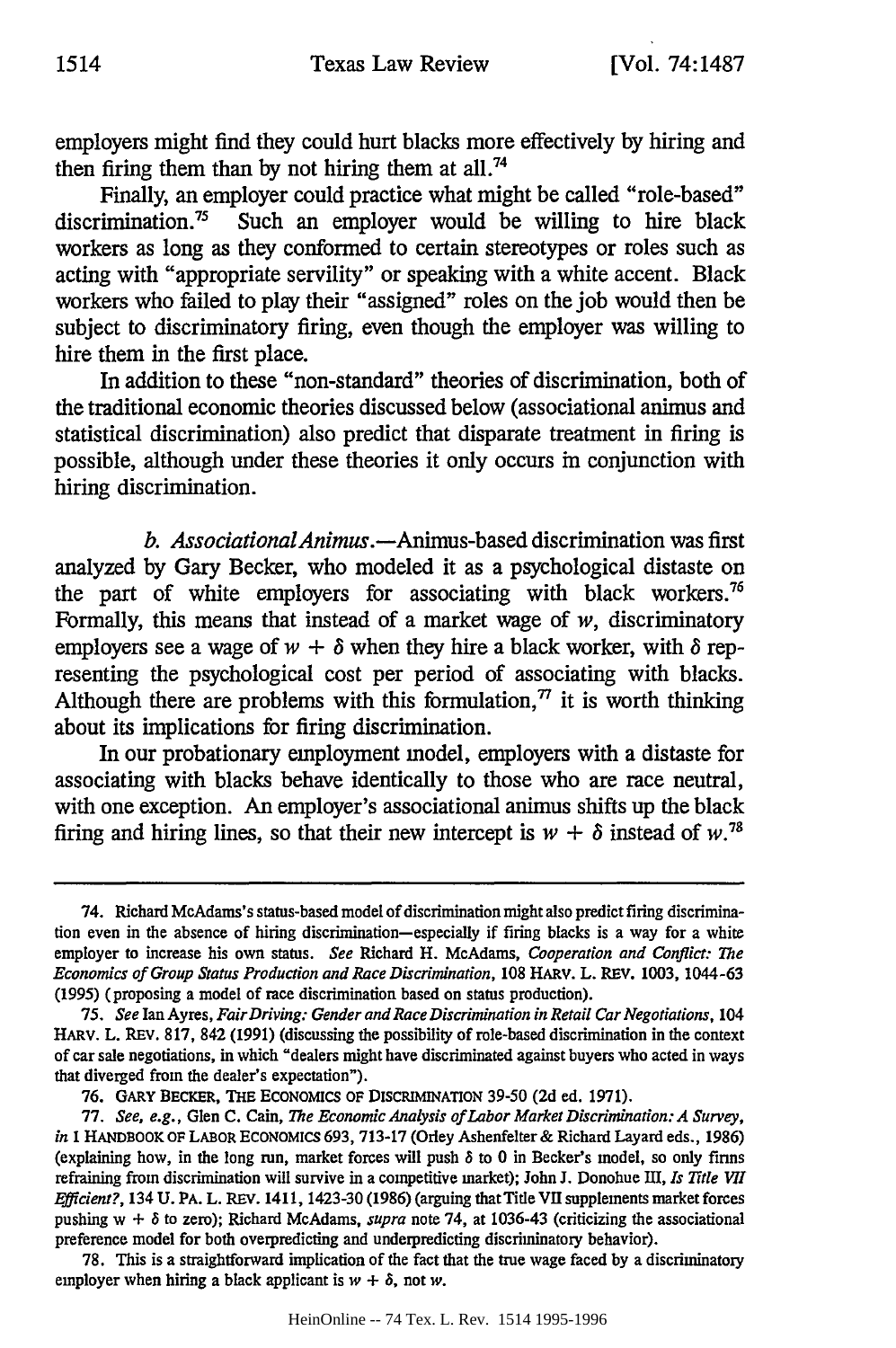employers might find they could hurt blacks more effectively **by** hiring and then firing them than **by** not hiring them at all.74

Finally, an employer could practice what might be called "role-based" discrimination.75 Such an employer would be willing to hire black workers as long as they conformed to certain stereotypes or roles such as acting with "appropriate servility" or speaking with a white accent. Black workers who failed to play their "assigned" roles on the **job** would then be subject to discriminatory firing, even though the employer was willing to hire them in the first place.

In addition to these "non-standard" theories of discrimination, both of the traditional economic theories discussed below (associational animus and statistical discrimination) also predict that disparate treatment in firing is possible, although under these theories it only occurs in conjunction with hiring discrimination.

*b. AssociationalAnimus.-Animus-based* discrimination was first analyzed **by** Gary Becker, who modeled it as a psychological distaste on the part of white employers for associating with black workers.<sup>76</sup> Formally, this means that instead of a market wage of *w,* discriminatory employers see a wage of  $w + \delta$  when they hire a black worker, with  $\delta$  representing the psychological cost per period of associating with blacks. Although there are problems with this formulation, $\eta$  it is worth thinking about its implications for firing discrimination.

In our probationary employment model, employers with a distaste for associating with blacks behave identically to those who are race neutral, with one exception. An employer's associational animus shifts up the black firing and hiring lines, so that their new intercept is  $w + \delta$  instead of  $w^{78}$ 

<sup>74.</sup> Richard McAdams's status-based model of discrimination **might** also predict **firing** discrimina**tion** even in the absence of hiring discrimination-especially if firing blacks is a way for a white employer to increase his own status. *See* Richard H. McAdams, *Cooperation and Conflict: The Economics of Group Status Production and Race Discrimination,* 108 HARv. L. REv. 1003, 1044-63 (1995) (proposing a model of race discrimination based on status production).

*<sup>75.</sup> See* Ian Ayres, *FairDriving: Gender and RaceDiscrimination in Retail Car Negotiations,* 104 HARV. L. REv. 817, 842 (1991) (discussing the possibility of role-based discrimination in the context of car sale negotiations, in which "dealers **might** have discriminated against buyers who acted in ways that diverged from the dealer's expectation").

**<sup>76.</sup>** GARY BECKER, THE ECONOMICS **OF** DISCRIMINATION **39-50 (2d** ed. 1971).

<sup>77.</sup> *See, e.g.,* Glen **C.** Cain, *The Economic Analysis of Labor Market Discrimination: A Survey, in* **I** HANDBOOK OF LABOR ECONOMtCS 693, 713-17 (Orley Ashenfelter **&** Richard Layard eds., 1986) (explaining how, in the long run, market forces will push *8* to **0** in Becker's model, so only firms refraining from discrimination will survive in a competitive market); John **J.** Donohue III, *Is Title VII Efficient?,* 134 U. PA. L. REv. 1411, 1423-30 (1986) (arguing that Title **VI** supplements market forces pushing w + *8* to zero); Richard McAdams, *supra* note 74, at 1036-43 (criticizing the associational preference model for both overpredicting and underpredicting discriminatory behavior).

<sup>78.</sup> This is a straightforward implication of the fact that the true wage faced **by** a discriminatory employer when hiring a black applicant is  $w + \delta$ , not *w*.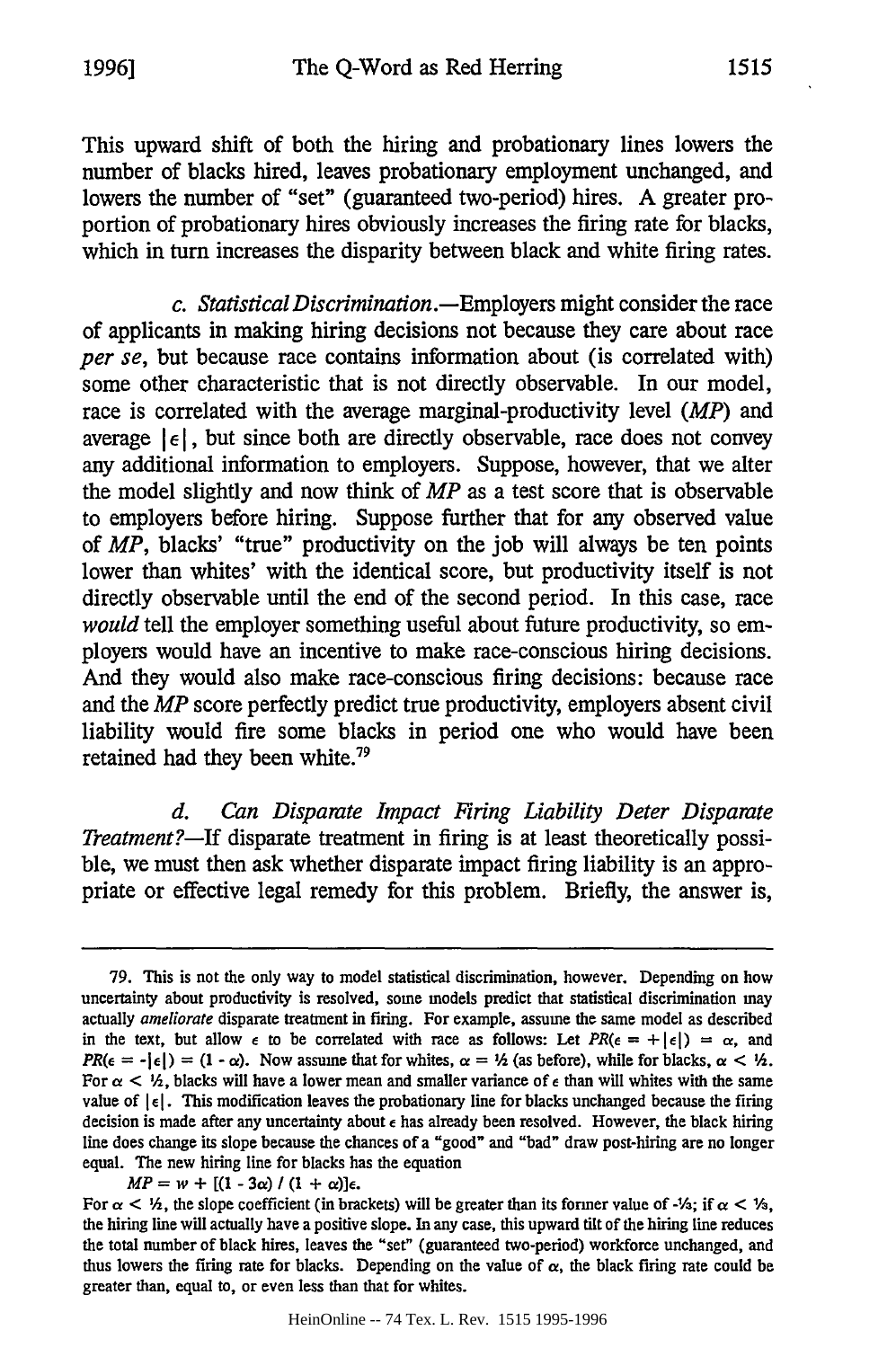This upward shift of both the hiring and probationary lines lowers the number of blacks hired, leaves probationary employment unchanged, and lowers the number of "set" (guaranteed two-period) hires. **A** greater proportion of probationary hires obviously increases the firing rate for blacks, which in turn increases the disparity between black and white firing rates.

*c. Statistical Discrimination.-Employers* might consider the race of applicants in making hiring decisions not because they care about race *per se,* but because race contains information about (is correlated with) some other characteristic that is not directly observable. In our model, race is correlated with the average marginal-productivity level *(MP)* and average  $|\epsilon|$ , but since both are directly observable, race does not convey any additional information to employers. Suppose, however, that we alter the model slightly and now think of *MP* as a test score that is observable to employers before hiring. Suppose further that for any observed value of *MP,* blacks' "true" productivity on the **job** will always be ten points lower than whites' with the identical score, but productivity itself is not directly observable until the end of the second period. In this case, race *would* tell the employer something useful about future productivity, so employers would have an incentive to make race-conscious hiring decisions. And they would also make race-conscious firing decisions: because race and the *MP* score perfectly predict true productivity, employers absent civil liability would fire some blacks in period one who would have been retained had they been white.79

*d. Can Disparate Impact Firing Liability Deter Disparate Treatment?-If* disparate treatment in firing is at least theoretically possible, we must then ask whether disparate impact firing liability is an appropriate or effective legal remedy for this problem. Briefly, the answer is,

 $MP = w + [(1 - 3\alpha) / (1 + \alpha)]\epsilon.$ 

**<sup>79.</sup> This** is not the only way to model statistical discrimination, however. Depending on how uncertainty about productivity is resolved, some models predict that statistical discrimination may actually *ameliorate* disparate treatment in firing. For example, assume the same model as described in the text, but allow  $\epsilon$  to be correlated with race as follows: Let  $PR(\epsilon = +|\epsilon|) = \alpha$ , and  $PR(\epsilon = -|\epsilon|) = (1 - \alpha)$ . Now assume that for whites,  $\alpha = \frac{1}{2}$  (as before), while for blacks,  $\alpha < \frac{1}{2}$ . For  $\alpha < \frac{1}{2}$ , blacks will have a lower mean and smaller variance of  $\epsilon$  than will whites with the same value of  $\left|\epsilon\right|$ . This modification leaves the probationary line for blacks unchanged because the firing decision is made after any uncertainty about **e** has already been resolved. However, the black hiring line does change its slope because the chances of a "good" and "bad" draw post-hiring are no longer equal. The new hiring line for blacks has the equation

For  $\alpha < \frac{1}{2}$ , the slope coefficient (in brackets) will be greater than its former value of  $\frac{1}{2}$ ; if  $\alpha < \frac{1}{2}$ , the hiring line will actually have a positive slope. In any case, this upward tilt of the hiring line reduces the total number of black hires, leaves the "set" (guaranteed two-period) workforee unchanged, and thus lowers the firing rate for blacks. Depending on the value of  $\alpha$ , the black firing rate could be greater than, equal to, or even less than that for whites.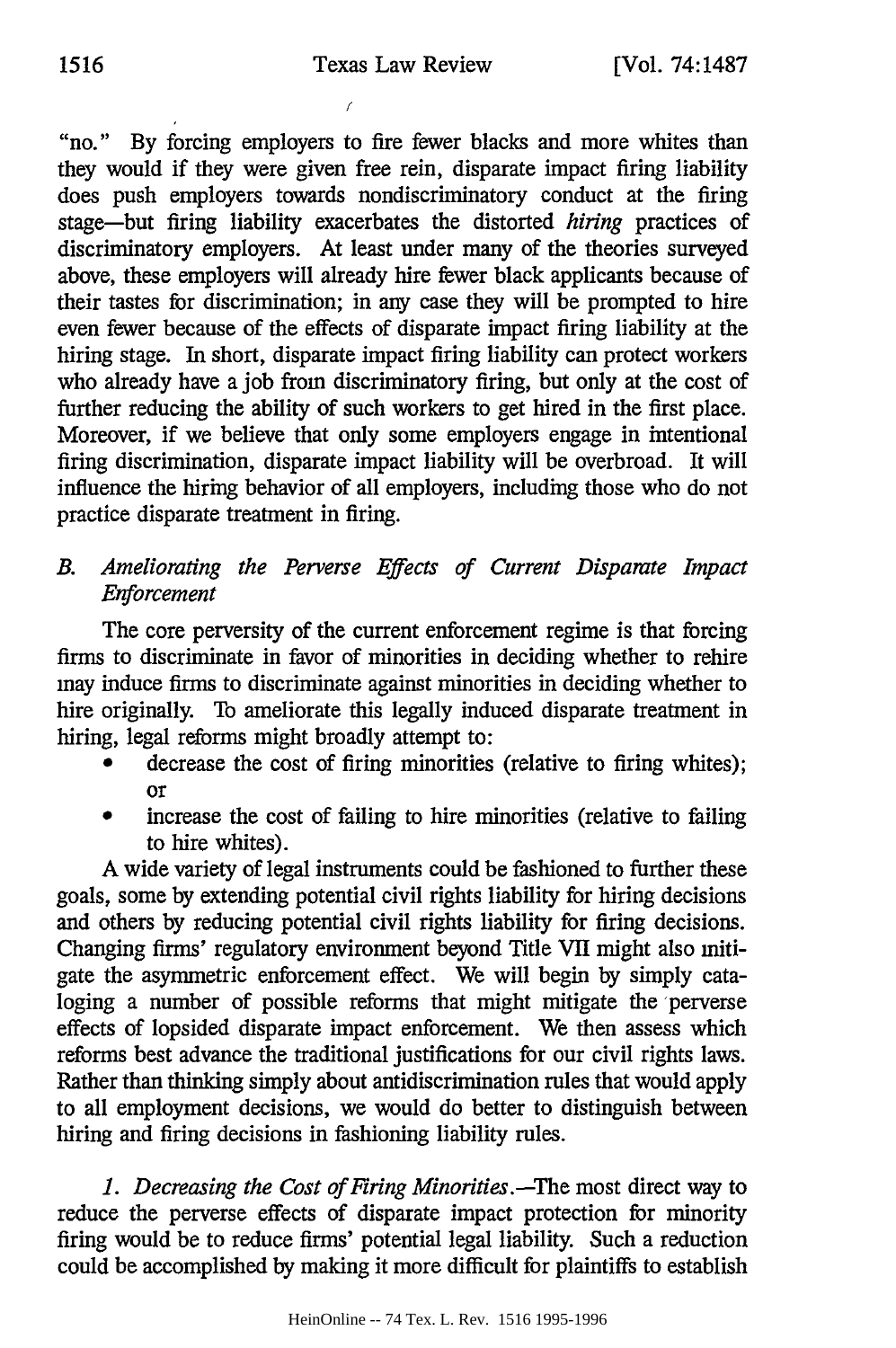"no." By forcing employers to fire fewer blacks and more whites than they would if they were given free rein, disparate impact firing liability does push employers towards nondiscriminatory conduct at the firing stage-but firing liability exacerbates the distorted *hiring* practices of discriminatory employers. At least under many of the theories surveyed above, these employers will already hire fewer black applicants because of their tastes for discrimination; in any case they will be prompted to hire even fewer because of the effects of disparate impact firing liability at the hiring stage. In short, disparate impact firing liability can protect workers who already have a job from discriminatory firing, but only at the cost of further reducing the ability of such workers to get hired in the first place. Moreover, if we believe that only some employers engage in intentional firing discrimination, disparate impact liability will be overbroad. It will influence the hiring behavior of all employers, including those who do not practice disparate treatment in firing.

*B. Ameliorating the Perverse Effects of Current Disparate Impact Enforcement*

The core perversity of the current enforcement regime is that forcing firms to discriminate in favor of minorities in deciding whether to rehire may induce finns to discriminate against minorities in deciding whether to hire originally. To ameliorate this legally induced disparate treatment in hiring, legal reforms might broadly attempt to:

- decrease the cost of firing minorities (relative to firing whites); or
- increase the cost of failing to hire minorities (relative to failing to hire whites).

A wide variety of legal instruments could be fashioned to further these goals, some by extending potential civil rights liability for hiring decisions and others by reducing potential civil rights liability for firing decisions. Changing firms' regulatory environment beyond Title VII might also mitigate the asymmetric enforcement effect. We will begin by simply cataloging a number of possible reforms that might mitigate the perverse effects of lopsided disparate impact enforcement. We then assess which reforms best advance the traditional justifications for our civil rights laws. Rather than thinking simply about antidiscrimination rules that would apply to all employment decisions, we would do better to distinguish between hiring and firing decisions in fashioning liability rules.

*1. Decreasing the Cost of Firing Minorities.-The* most direct way to reduce the perverse effects of disparate impact protection for minority firing would be to reduce firms' potential legal liability. Such a reduction could be accomplished by making it more difficult for plaintiffs to establish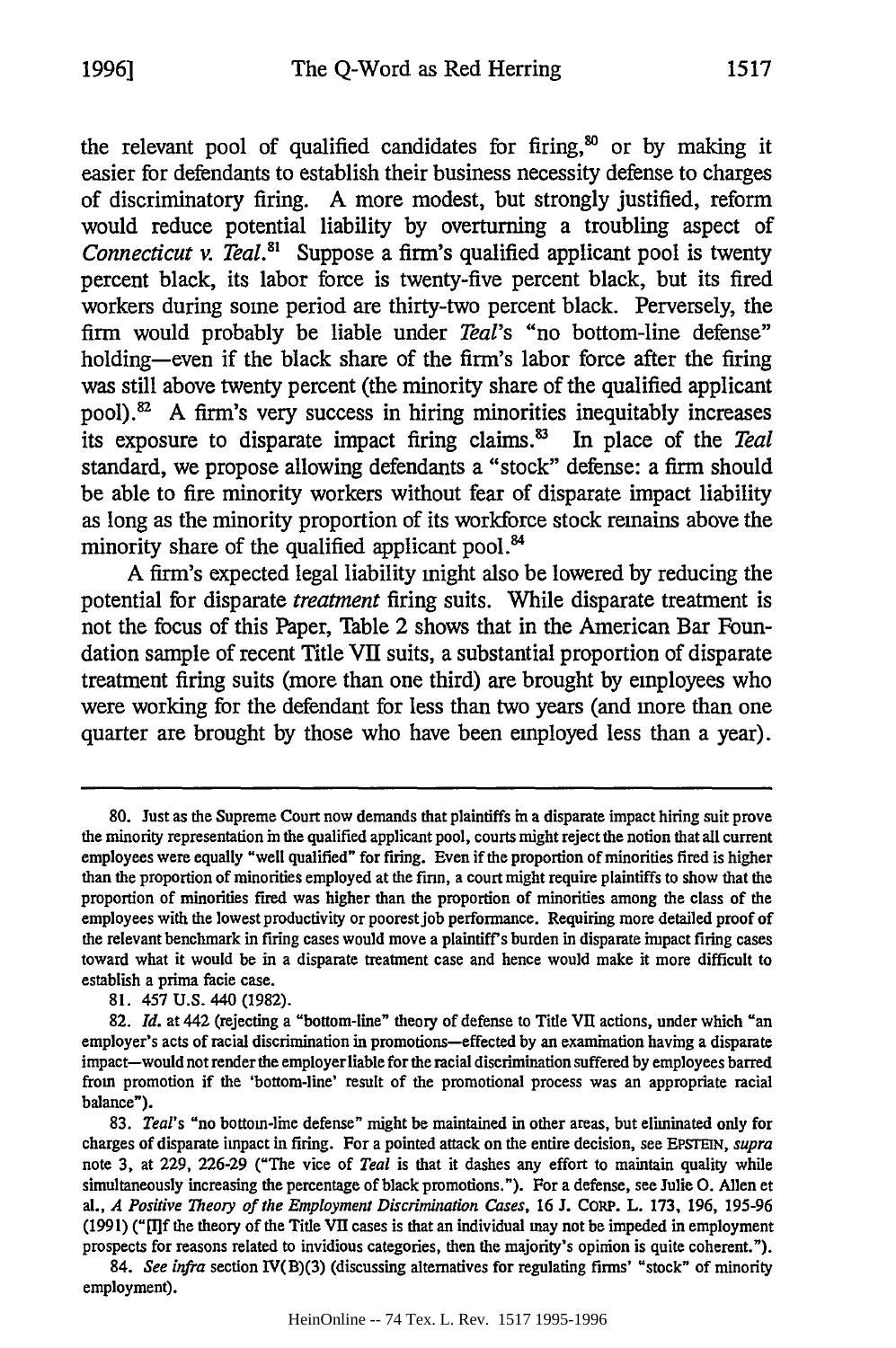the relevant pool of qualified candidates for firing,<sup>80</sup> or by making it easier for defendants to establish their business necessity defense to charges of discriminatory firing. **A** more modest, but strongly justified, reform would reduce potential liability **by** overturning a troubling aspect of *Connecticut v. Teal.*<sup>81</sup> Suppose a firm's qualified applicant pool is twenty percent black, its labor force is twenty-five percent black, but its fired workers during some period are thirty-two percent black. Perversely, the firm would probably be liable under *Teal's* "no bottom-line defense" holding-even if the black share of the firm's labor force after the firing was still above twenty percent (the minority share of the qualified applicant pool).<sup>82</sup> A firm's very success in hiring minorities inequitably increases its exposure to disparate impact firing claims.<sup>83</sup> In place of the *Teal* standard, we propose allowing defendants a "stock" defense: a firm should be able to fire minority workers without fear of disparate impact liability as long as the minority proportion of its workforce stock remains above the minority share of the qualified applicant pool.<sup>84</sup>

**A** firm's expected legal liability might also be lowered **by** reducing the potential for disparate *treatment* firing suits. **While** disparate treatment is not the focus of this Paper, Table 2 shows that in the American Bar Foundation sample of recent Title VII suits, a substantial proportion of disparate treatment firing suits (more than one third) are brought **by** employees who were working for the defendant for less than two years (and more than one quarter are brought **by** those who have been employed less than a year).

**81.** 457 U.S. 440 (1982).

**<sup>80.</sup>** Just as the Supreme Court now demands that plaintiffs in a disparate impact hiring suit prove the minority representation in the qualified applicant pool, courts might reject the notion that all current employees were equally "well qualified" for firing. Even if the proportion of minorities fired is higher than the proportion of minorities employed at the firm, a court might require plaintiffs to show that the proportion of minorities fired was higher than the proportion of minorities among the class of the employees with the lowest productivity or poorest job performance. Requiring more detailed proof of the relevant benchmark in firing cases would move a plaintiff's burden in disparate impact firing cases toward what it would be in a disparate treatment case and hence would make it more difficult to establish a prima facie case.

<sup>82.</sup> *Id.* at 442 (rejecting a "bottom-line" theory of defense to Title VII actions, under which "an employer's acts of racial discrimination in promotions-effected by an examination having a disparate impact-would not render the employer liable for the racial discrimination suffered by employees barred from promotion if the 'bottom-line' result of the promotional process was an appropriate racial balance").

<sup>83.</sup> *Teal's* "no bottom-line defense" might be maintained in other areas, but eliminated only for charges of disparate impact in firing. For a pointed attack on the entire decision, see EPSTEIN, *supra* note 3, at 229, 226-29 ("The vice of *Teal* is that it dashes any effort to maintain quality while simultaneously increasing the percentage of black promotions."). For a defense, see Julie **0.** Allen et al., *A Positive Theory of the Employment Discrimination Cases,* 16 J. CORP. L. 173, 196, 195-96 (1991) **("[I]f** the theory of the Tide VII cases is that an individual may not be impeded in employment prospects for reasons related to invidious categories, then the majority's opinion is quite coherent.").

<sup>84.</sup> *See infra* section IV(B)(3) (discussing alternatives for regulating firms' "stock" of minority employment).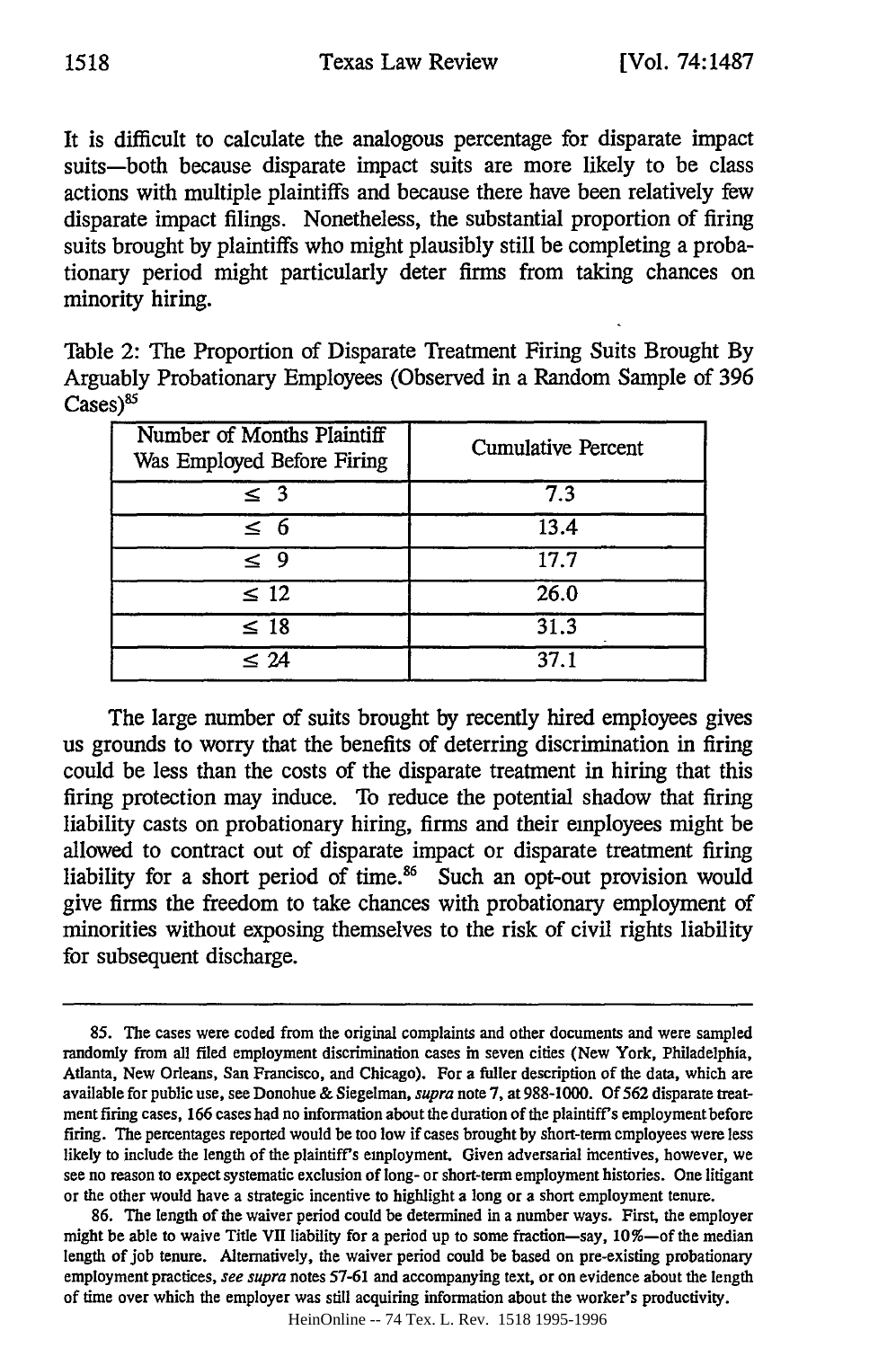It is difficult to calculate the analogous percentage for disparate impact suits-both because disparate impact suits are more likely to be class actions with multiple plaintiffs and because there have been relatively few disparate impact filings. Nonetheless, the substantial proportion of firing suits brought **by** plaintiffs who might plausibly still be completing a probationary period might particularly deter firms from taking chances on minority hiring.

Table 2: The Proportion of Disparate Treatment Firing Suits Brought **By** Arguably Probationary Employees (Observed in a Random Sample of **396**  $\text{Case}$ s)<sup>85</sup>

| Number of Months Plaintiff<br>Was Employed Before Firing | <b>Cumulative Percent</b> |
|----------------------------------------------------------|---------------------------|
| $\leq$ 3                                                 | 7.3                       |
| $\leq 6$                                                 | 13.4                      |
| < 9                                                      | 17.7                      |
| $\leq 12$                                                | 26.0                      |
| $\leq 18$                                                | 31.3                      |
| $\leq 24$                                                | 37.1                      |

The large number of suits brought **by** recently hired employees gives us grounds to worry that the benefits of deterring discrimination in firing could be less than the costs of the disparate treatment in hiring that this firing protection may induce. To reduce the potential shadow that firing liability casts on probationary hiring, firms and their employees might be allowed to contract out of disparate impact or disparate treatment firing liability for a short period of time. $86$  Such an opt-out provision would give firms the freedom to take chances with probationary employment of minorities without exposing themselves to the risk of civil rights liability for subsequent discharge.

HeinOnline -- 74 Tex. L. Rev. 1518 1995-1996

**<sup>85.</sup>** The cases were coded from the original complaints and other documents and were sampled randomly from all filed employment discrimination cases in seven cities (New York, Philadelphia, Atlanta, New Orleans, San Francisco, and Chicago). For a fuller description of the data, which are available for public use, see Donohue **&** Siegelman, *supra* note **7,** at **988-1000. Of 562** disparate treatment firing cases, **166** cases had no information about the duration of the plaintiff's employment before firing. The percentages reported would be too low if cases brought **by** short-term employees were less likely to include the length of the plaintiff's employment. Given adversarial incentives, however, we see no reason to expect systematic exclusion of long- or short-term employment histories. One litigant or the other would have a strategic incentive to highlight a long or a short employment tenure.

**<sup>86.</sup>** The length of the waiver period could be determined in a number ways. First, the employer might be able to waive **Title VH** liability for a period up to some fraction-say, 10%-of the median length of **job** tenure. Alternatively, the waiver period could be based on pre-existing probationary employment practices, *see supra* notes **57-61** and accompanying text, or on evidence about the length of time over which the employer was still acquiring information about the worker's productivity.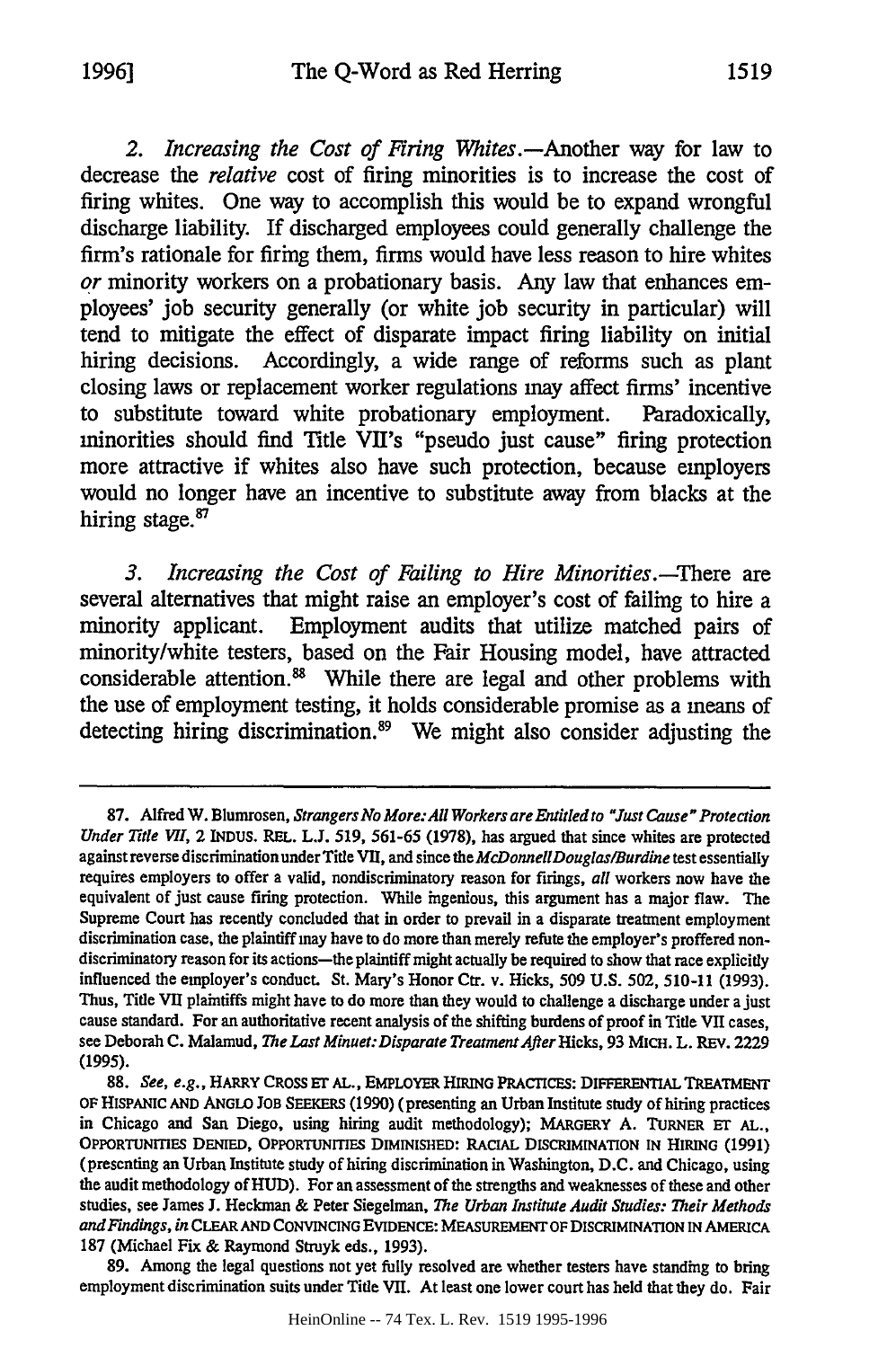*2. Increasing the Cost of Firing Whites.-Another* way for law to decrease the *relative* **cost** of firing minorities is to increase the cost of firing whites. One way to accomplish this would be to expand wrongful discharge liability. If discharged employees could generally challenge the firm's rationale for firing them, firms would have less reason to hire whites *or* minority workers on a probationary basis. Any law that enhances employees' **job** security generally (or white **job** security in particular) will tend to mitigate the effect of disparate impact firing liability on initial hiring decisions. Accordingly, a wide range of reforms such as plant closing laws or replacement worker regulations may affect **firms'** incentive to substitute toward white probationary employment. Paradoxically, minorities should find Title VII's "pseudo just cause" firing protection more attractive if whites also have such protection, because employers would no longer have an incentive to substitute away from blacks at the hiring stage.<sup>87</sup>

*3. Increasing the Cost of Failing to Hire Minorities.-There* are several alternatives that might raise an employer's cost of failing to hire a minority applicant. Employment audits that utilize matched pairs of minority/white testers, based on the Fair Housing model, have attracted considerable attention.<sup>88</sup> While there are legal and other problems with the use of employment testing, it holds considerable promise as a means of detecting hiring discrimination.89 We might also consider adjusting the

**<sup>87.</sup>** Alfred W. Blumrosen, *Strangers No More:All Workers are Entitledto "Just Cause" Protection Under Title VI,* 2 INDUS. REL. L.J. 519, 561-65 (1978), has argued that since whites are protected against reverse discrimination under Title VII, and since the *McDonneUDouglas/Burdine* test essentially requires employers to offer a valid, nondiscriminatory reason for firings, *all* workers now have the equivalent of just cause firing protection. While ingenious, this argument has a major flaw. The Supreme Court has recently concluded that in order to prevail in a disparate treatment employment discrimination case, the plaintiff may have to do more than merely refute the employer's proffered nondiscriminatory reason for its actions-the plaintiff might actually be required to show that race explicitly influenced the employer's conduct. St. Mary's Honor Ctr. v. Hicks, 509 **U.S.** 502, 510-11 (1993). Thus, Title VII plaintiffs might have to do more than they would to challenge a discharge under a just cause standard. For an authoritative recent analysis of the shifting burdens of proof in Title VII cases, see Deborah **C.** Malamud, *The Last Minuet:Disparate Treatment After Hicks,* **93** MICH. L. **REV. 2229 (1995).**

<sup>88.</sup> *See, e.g.,* HARRY **CROSS ET AL.,** EMPLOYER HIRING **PRACTICES: DIFFERENTIAL TREATMENT OF** HISPANIC **AND** ANGLO **JOB SEEKERS (1990)** (presenting an Urban Institute study of hiring practices in Chicago and San Diego, using hiring audit methodology); MARGERY A. TURNER **ET AL., OPPORTUNrIES DENIED, OPPORTUNrTIES** DIMINISHED: RACIAL DISCRIMINATION **IN HIRING (1991)** (presenting an Urban Institute study of hiring discrimination in Washington, D.C. and Chicago, using the audit methodology of **HUD).** For an assessment of the strengths and weaknesses of these and other studies, see James **J.** Heckman & Peter Siegelman, *The Urban Institute Audit Studies: Their Methods and Findings, in* CLEAR **AND CONVINCING EVIDENCE: MEASUREMENT OF DISCRIMINATION IN AMERICA** 187 (Michael Fix & Raymond Struyk eds., 1993).

<sup>89.</sup> Among the legal questions not yet fully resolved are whether testers have standing to bring employment discrimination suits under Title VII. At least one lower court has held that they do. Fair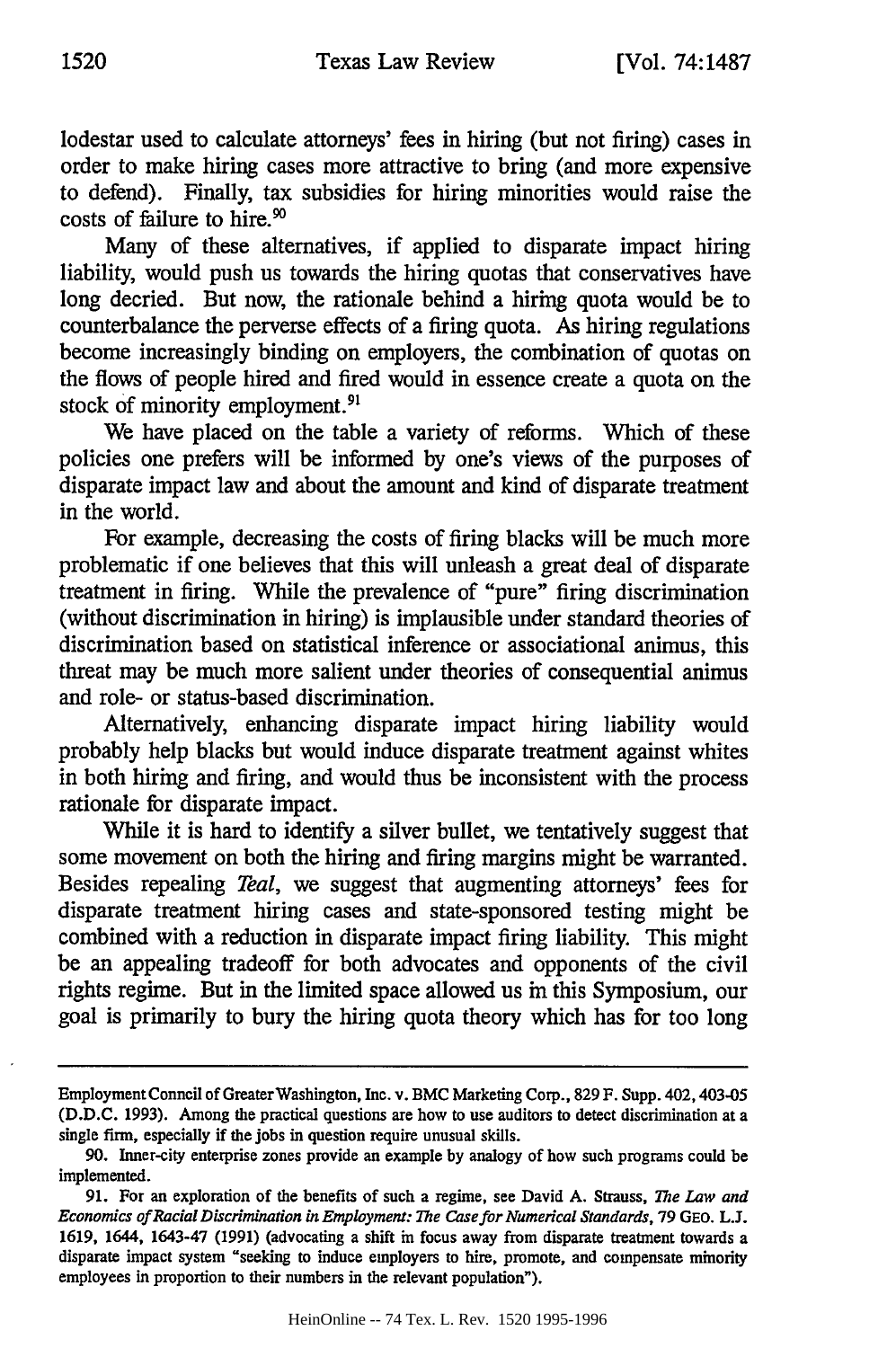lodestar used to calculate attorneys' fees in hiring (but not firing) cases in order to make hiring cases more attractive to bring (and more expensive to defend). Finally, tax subsidies for hiring minorities would raise the costs of failure to hire.<sup>90</sup>

Many of these alternatives, if applied to disparate impact hiring liability, would push us towards the hiring quotas that conservatives have long decried. But now, the rationale behind a hiring quota would be to counterbalance the perverse effects of a firing quota. As hiring regulations become increasingly binding on employers, the combination of quotas on the flows of people hired and fired would in essence create a quota on the stock of minority employment.<sup>9</sup>

We have placed on the table a variety of reforms. Which of these policies one prefers will be informed by one's views of the purposes of disparate impact law and about the amount and kind of disparate treatment in the world.

For example, decreasing the costs of firing blacks will be much more problematic if one believes that this will unleash a great deal of disparate treatment in firing. While the prevalence of "pure" firing discrimination (without discrimination in hiring) is implausible under standard theories of discrimination based on statistical inference or associational animus, this threat may be much more salient under theories of consequential animus and role- or status-based discrimination.

Alternatively, enhancing disparate impact hiring liability would probably help blacks but would induce disparate treatment against whites in both hiring and firing, and would thus be inconsistent with the process rationale for disparate impact.

While it is hard to identify a silver bullet, we tentatively suggest that some movement on both the hiring and firing margins might be warranted. Besides repealing *Teal,* we suggest that augmenting attorneys' fees for disparate treatment hiring cases and state-sponsored testing might be combined with a reduction in disparate impact firing liability. This might be an appealing tradeoff for both advocates and opponents of the civil rights regime. But in the limited space allowed us in this Symposium, our goal is primarily to bury the hiring quota theory which has for too long

Employment Conncil of Greater Washington, Inc. v. BMC Marketing Corp., 829 F. Supp. 402, 403-05 (D.D.C. 1993). Among the practical questions are how to use auditors to detect discrimination at a single firm, especially if the jobs in question require unusual skills.

<sup>90.</sup> Inner-city enterprise zones provide an example by analogy of how such programs could be implemented.

<sup>91.</sup> For an exploration of the benefits of such a regime, see David A. Strauss, *The Law and Economics of Racial Discrimination in Employment: The Casefor Numerical Standards,* 79 GEO. L.J. 1619, 1644, 1643-47 (1991) (advocating a shift in focus away from disparate treatment towards a disparate impact system "seeking to induce employers to hire, promote, and compensate minority employees in proportion to their numbers in the relevant population").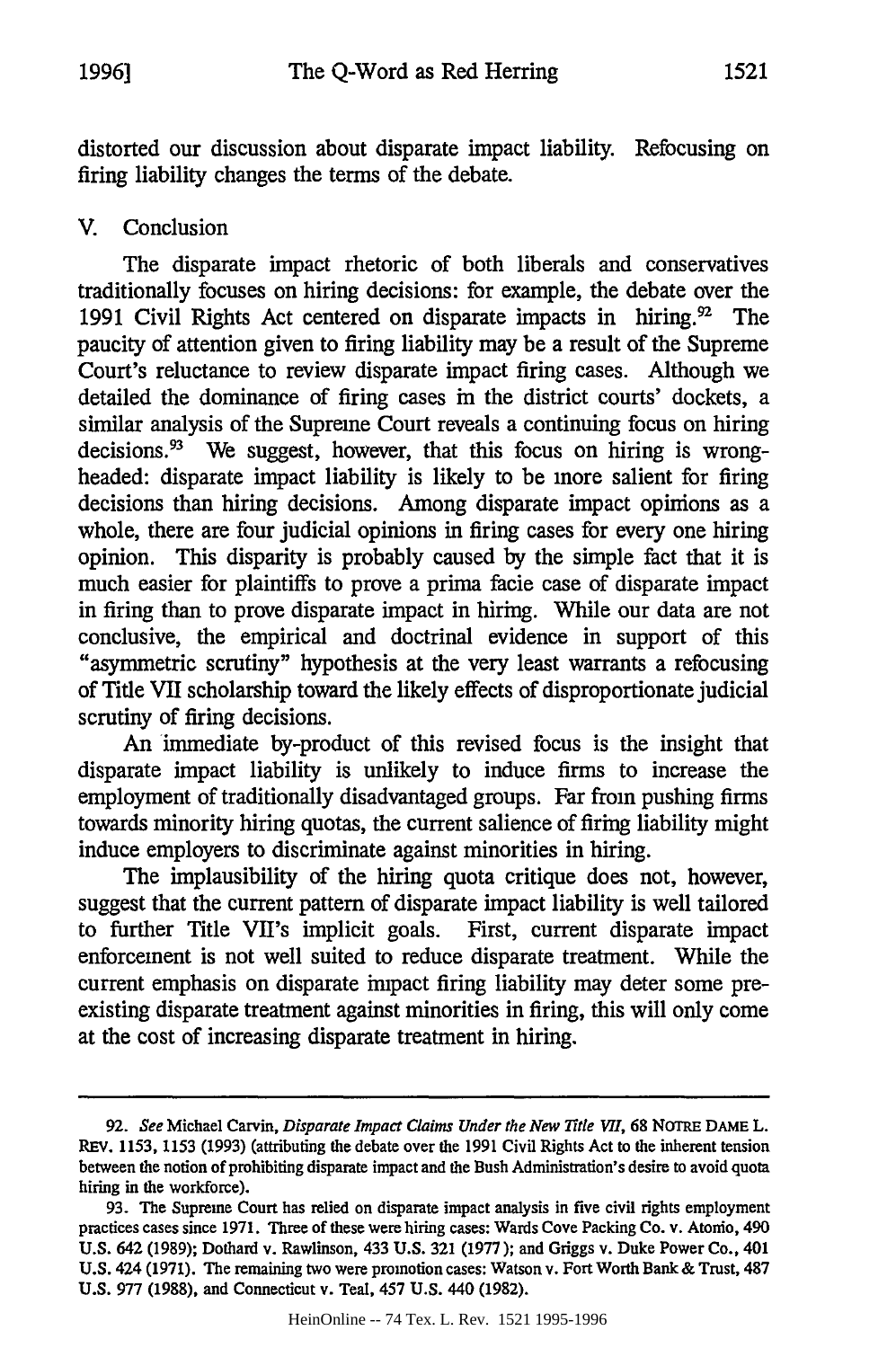distorted our discussion about disparate impact liability. Refocusing on firing liability changes the terms of the debate.

## V. Conclusion

The disparate impact rhetoric of both liberals and conservatives traditionally focuses on hiring decisions: for example, the debate over the 1991 Civil Rights Act centered on disparate impacts in hiring.<sup>92</sup> The paucity of attention given to firing liability may be a result of the Supreme Court's reluctance to review disparate impact firing cases. Although we detailed the dominance of firing cases in the district courts' dockets, a similar analysis of the Supreme Court reveals a continuing focus on hiring decisions. $^{93}$  We suggest, however, that this focus on hiring is wrongheaded: disparate impact liability is likely to be more salient for firing decisions than hiring decisions. Among disparate impact opinions as a whole, there are four judicial opinions in firing cases for every one hiring opinion. This disparity is probably caused by the simple fact that it is much easier for plaintiffs to prove a prima facie case of disparate impact in firing than to prove disparate impact in hiring. While our data are not conclusive, the empirical and doctrinal evidence in support of this "asymmetric scrutiny" hypothesis at the very least warrants a refocusing of Title VII scholarship toward the likely effects of disproportionate judicial scrutiny of firing decisions.

An immediate by-product of this revised focus is the insight that disparate impact liability is unlikely to induce firms to increase the employment of traditionally disadvantaged groups. Far from pushing firms towards minority hiring quotas, the current salience of firing liability might induce employers to discriminate against minorities in hiring.

The implausibility of the hiring quota critique does not, however, suggest that the current pattern of disparate impact liability is well tailored to further Title VII's implicit goals. First, current disparate impact enforcement is not well suited to reduce disparate treatment. While the current emphasis on disparate impact firing liability may deter some preexisting disparate treatment against minorities in firing, this will only come at the cost of increasing disparate treatment in hiring.

*<sup>92.</sup> See* Michael Carvin, *Disparate Impact Claims Under the New Title VII,* 68 NOTRE **DAME** L. REV. 1153, 1153 (1993) (attributing the debate over the 1991 Civil Rights Act to the inherent tension between the notion of prohibiting disparate impact and the Bush Administration's desire to avoid quota hiring in the workforce).

<sup>93.</sup> The Supreme Court has relied on disparate impact analysis in five civil rights employment practices cases since 1971. Three of these were hiring cases: Wards Cove Packing Co. v. Atonio, 490 U.S. 642 (1989); Dothard v. Rawlinson, 433 U.S. 321 (1977); and Griggs v. Duke Power Co., 401 U.S. 424 (1971). The remaining two were promotion cases: Watson v. Fort Worth Bank & Trust, 487 U.S. 977 (1988), and Connecticut v. Teal, 457 U.S. 440 (1982).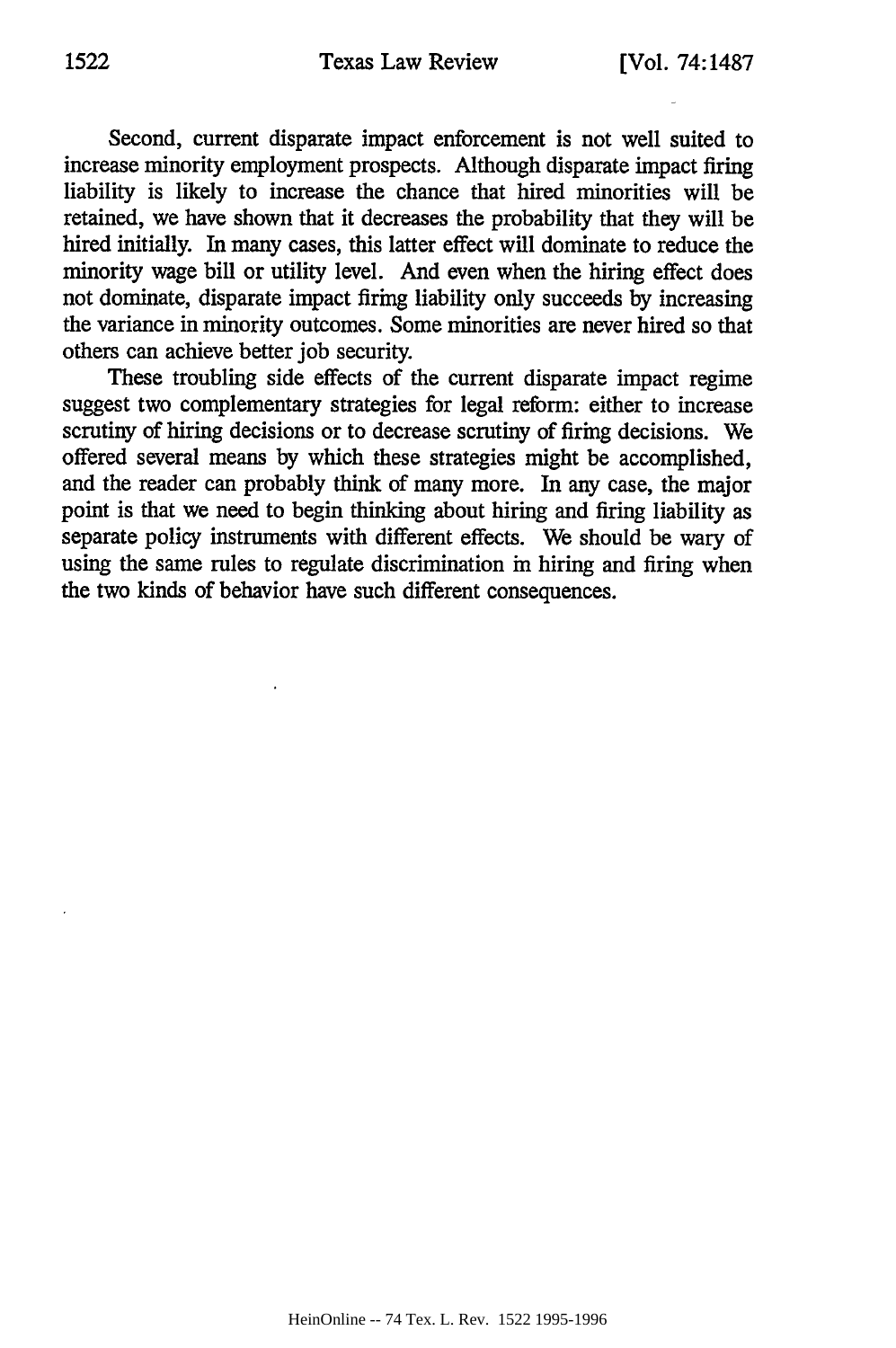Second, current disparate impact enforcement is not well suited to increase minority employment prospects. Although disparate impact firing liability is likely to increase the chance that hired minorities will be retained, we have shown that it decreases the probability that they will be hired initially. In many cases, this latter effect will dominate to reduce the minority wage bill or utility level. And even when the hiring effect does not dominate, disparate impact firing liability only succeeds by increasing the variance in minority outcomes. Some minorities are never hired so that others can achieve better job security.

These troubling side effects of the current disparate impact regime suggest two complementary strategies for legal reform: either to increase scrutiny of hiring decisions or to decrease scrutiny of firing decisions. We offered several means by which these strategies might be accomplished, and the reader can probably think of many more. In any case, the major point is that we need to begin thinking about hiring and firing liability as separate policy instruments with different effects. We should be wary of using the same rules to regulate discrimination in hiring and firing when the two kinds of behavior have such different consequences.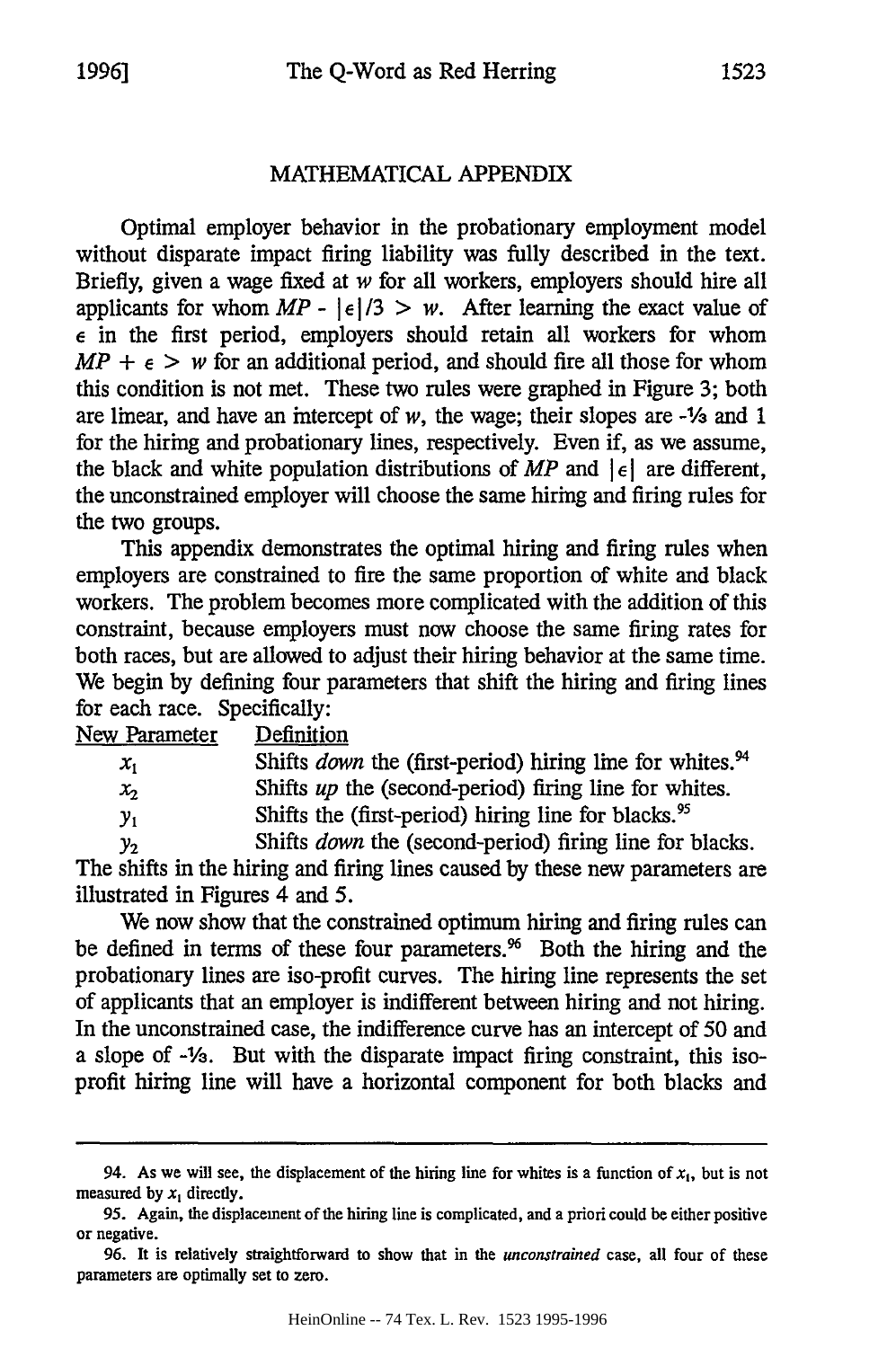## MATHEMATICAL APPENDIX

Optimal employer behavior in the probationary employment model without disparate impact firing liability was fully described in the text. Briefly, given a wage fixed at *w* for all workers, employers should hire all applicants for whom  $MP - |\epsilon|/3 > w$ . After learning the exact value of e in the first period, employers should retain all workers for whom  $MP + \epsilon$  *> w* for an additional period, and should fire all those for whom this condition is not met. These two rules were graphed in Figure 3; both are linear, and have an intercept of *w,* the wage; their slopes are **-1/3** and 1 for the hiring and probationary lines, respectively. Even if, as we assume, the black and white population distributions of  $MP$  and  $|\epsilon|$  are different, the unconstrained employer will choose the same hiring and firing rules for the two groups.

This appendix demonstrates the optimal hiring and firing rules when employers are constrained to fire the same proportion of white and black workers. The problem becomes more complicated with the addition of this constraint, because employers must now choose the same firing rates for both races, but are allowed to adjust their hiring behavior at the same time. We begin by defining four parameters that shift the hiring and firing lines for each race. Specifically:

| New Parameter | Definition                                                                  |
|---------------|-----------------------------------------------------------------------------|
| $x_{1}$       | Shifts <i>down</i> the (first-period) hiring line for whites. <sup>94</sup> |
| $x_{2}$       | Shifts up the (second-period) firing line for whites.                       |
| $y_1$         | Shifts the (first-period) hiring line for blacks. <sup>95</sup>             |
| У2            | Shifts down the (second-period) firing line for blacks.                     |

The shifts in the hiring and firing lines caused by these new parameters are illustrated in Figures 4 and 5.

We now show that the constrained optimum hiring and firing rules can be defined in terms of these four parameters.<sup>96</sup> Both the hiring and the probationary lines are iso-profit curves. The hiring line represents the set of applicants that an employer is indifferent between hiring and not hiring. In the unconstrained case, the indifference curve has an intercept of 50 and a slope of  $-\frac{1}{3}$ . But with the disparate impact firing constraint, this isoprofit hiring line will have a horizontal component for both blacks and

<sup>94.</sup> As we will see, the displacement of the hiring line for whites is a function of  $x_1$ , but is not measured by  $x_1$  directly.

<sup>95.</sup> Again, the displacement of the hiring line is complicated, and a priori could be either positive or negative.

<sup>96.</sup> It is relatively straightforward to show that in the *unconstrained* case, all four of these parameters are optimally set to zero.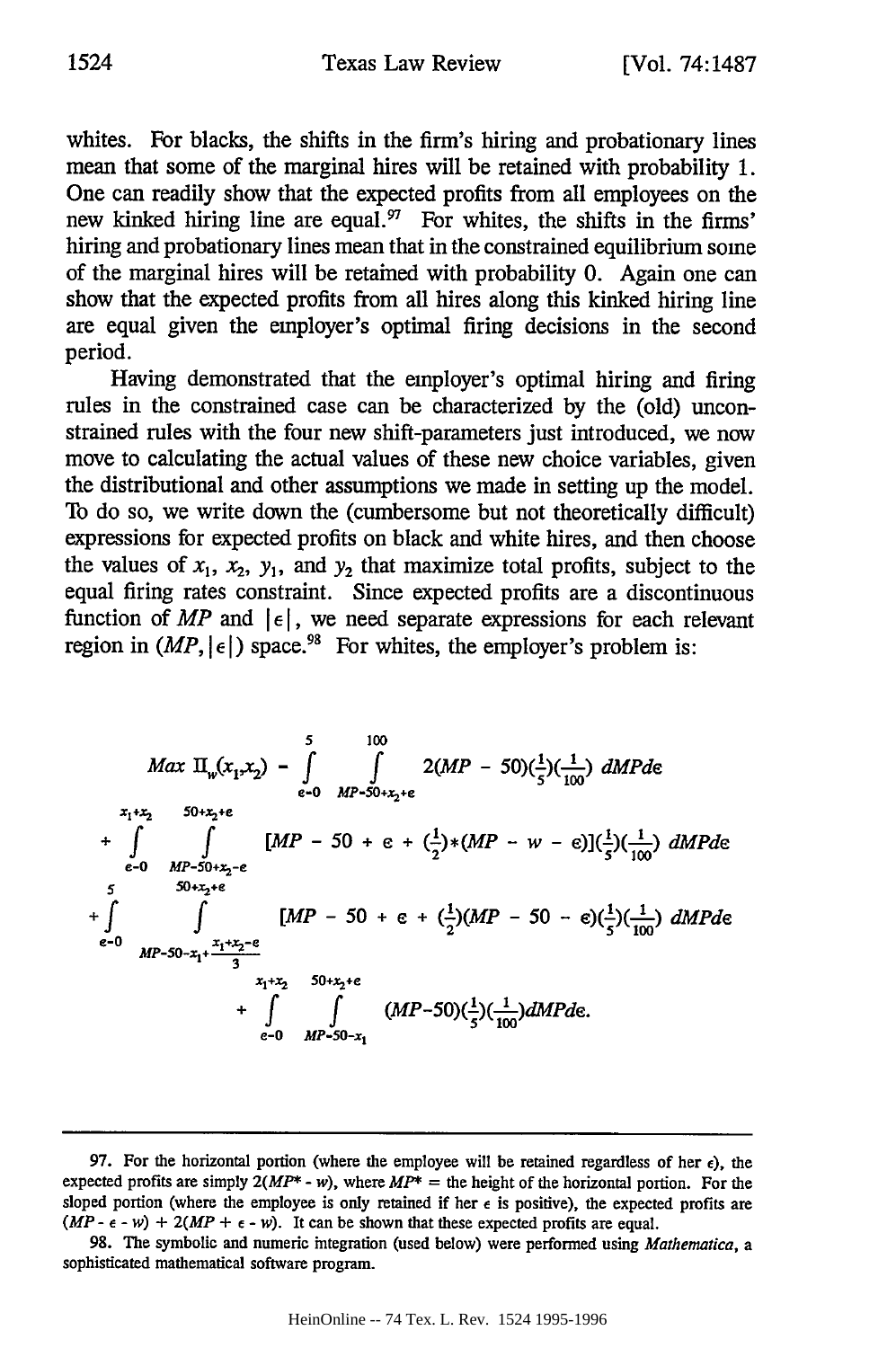whites. For blacks, the shifts in the firm's hiring and probationary lines mean that some of the marginal hires will be retained with probability 1. One can readily show that the expected profits from all employees on the new kinked hiring line are equal.  $\frac{97}{10}$  For whites, the shifts in the firms' hiring and probationary lines mean that in the constrained equilibrium some of the marginal hires will be retained with probability 0. Again one can show that the expected profits from all hires along this kinked hiring line are equal given the employer's optimal firing decisions in the second period.

Having demonstrated that the employer's optimal hiring and firing rules in the constrained case can be characterized by the (old) unconstrained rules with the four new shift-parameters just introduced, we now move to calculating the actual values of these new choice variables, given the distributional and other assumptions we made in setting up the model. To do so, we write down the (cumbersome but not theoretically difficult) expressions for expected profits on black and white hires, and then choose the values of  $x_1$ ,  $x_2$ ,  $y_1$ , and  $y_2$  that maximize total profits, subject to the equal firing rates constraint. Since expected profits are a discontinuous function of *MP* and  $|\epsilon|$ , we need separate expressions for each relevant region in  $(MP, |\epsilon|)$  space.<sup>98</sup> For whites, the employer's problem is:

$$
Max \ \Pi_{w}(x_1, x_2) - \int_{e-0}^{5} \int_{MP-50+x_2+e}^{100} 2(MP - 50)(\frac{1}{5})(\frac{1}{100}) \ dMPd\epsilon
$$
  
\n
$$
+ \int_{e-0}^{x_1+x_2} \int_{MP-50+x_2-e}^{50+x_2+e} [MP - 50 + e + (\frac{1}{2})*(MP - w - e)](\frac{1}{5})(\frac{1}{100}) \ dMPd\epsilon
$$
  
\n
$$
+ \int_{e-0}^{5} \int_{MP-50-x_1+ \frac{x_1+x_2-e}{3}}^{MP-50+x_2+e} [MP - 50 + e + (\frac{1}{2})(MP - 50 - e)(\frac{1}{5})(\frac{1}{100}) \ dMPd\epsilon
$$
  
\n
$$
+ \int_{e-0}^{x_1+x_2} \int_{x_1+x_2}^{x_1+x_2+e} (MP-50)(\frac{1}{5})(\frac{1}{100}) \ dMPd\epsilon.
$$

<sup>97.</sup> For the horizontal portion (where the employee will be retained regardless of her  $\epsilon$ ), the expected profits are simply  $2(MP^* - w)$ , where  $MP^* =$  the height of the horizontal portion. For the sloped portion (where the employee is only retained if her  $\epsilon$  is positive), the expected profits are  $(MP - \epsilon - w) + 2(MP + \epsilon - w)$ . It can be shown that these expected profits are equal.

<sup>98.</sup> The symbolic and numeric integration (used below) were performed using *Mathematica, a* sophisticated mathematical software program.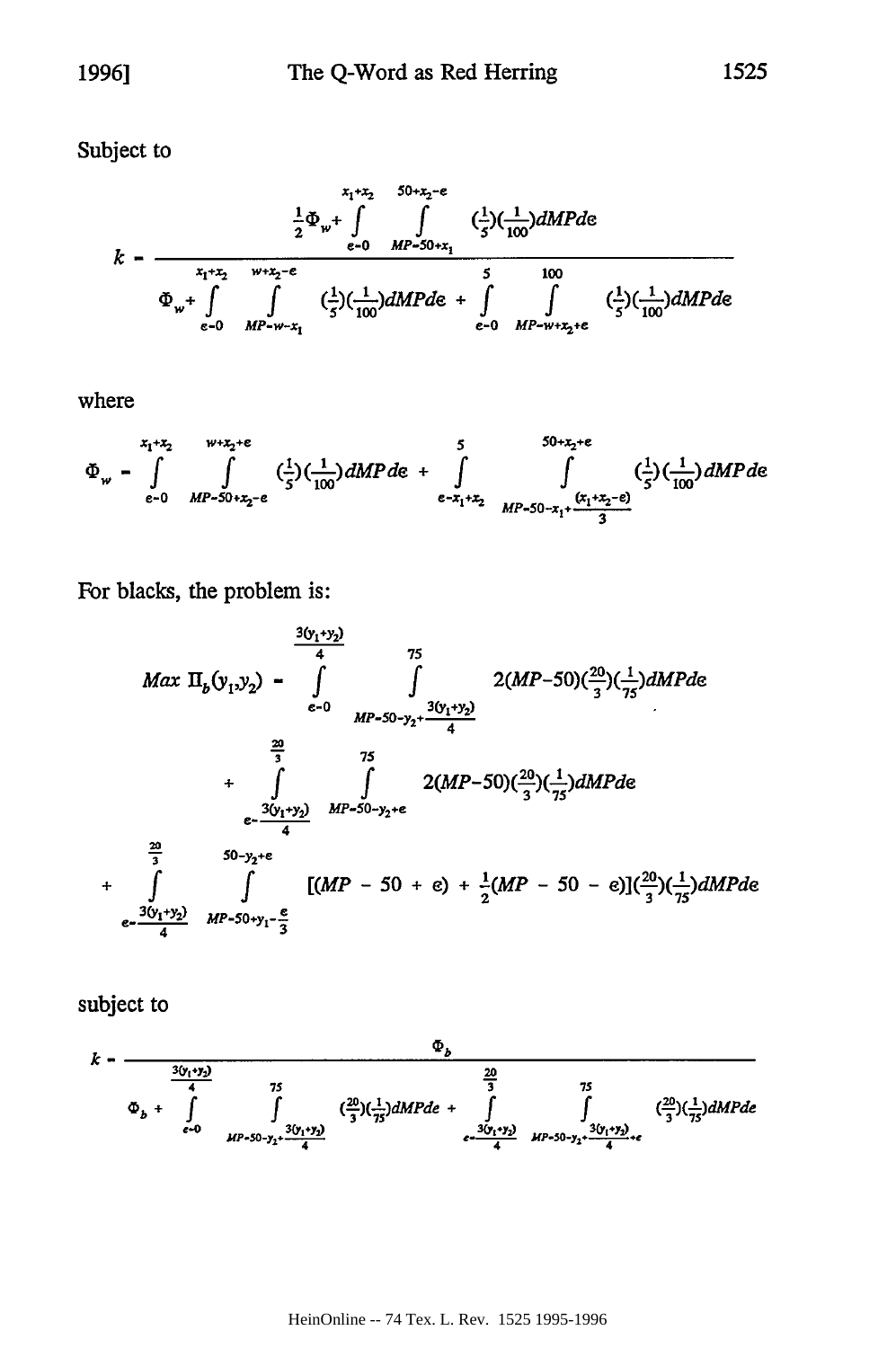Subject to

$$
k - \frac{\frac{1}{2}\Phi_{w} + \int_{\epsilon-0}^{x_1 + x_2} \int_{MP-S0+x_1}^{x_2 + x_2 - \epsilon} (\frac{1}{5})(\frac{1}{100})dMPd\epsilon}{\Phi_{w} + \int_{\epsilon-0}^{x_1 + x_2} \int_{MP-W+x_1}^{W+x_2 - \epsilon} (\frac{1}{5})(\frac{1}{100})dMPd\epsilon + \int_{\epsilon-0}^{5} \int_{MP-W+x_2 + \epsilon}^{100} (\frac{1}{5})(\frac{1}{100})dMPd\epsilon
$$

where

$$
\Phi_{w} - \int_{\epsilon-0}^{x_{1}+x_{2}} \int_{MP-50+x_{2}+\epsilon}^{W+x_{2}+\epsilon} (\frac{1}{5})(\frac{1}{100})dMPd\epsilon + \int_{\epsilon-x_{1}+x_{2}}^{5} \int_{MP-50-x_{1}+\frac{(x_{1}+x_{2}-\epsilon)}{3}}^{50+x_{2}+\epsilon} (\frac{1}{5})(\frac{1}{100})dMPd\epsilon
$$

For blacks, the problem is:

$$
\frac{3(y_1+y_2)}{4} \qquad 75
$$
  
\n
$$
Max \Pi_b(y_1,y_2) - \int_{\epsilon=0}^{20} \int_{MP-50-y_2+\frac{3(y_1+y_2)}{4}}^{75} 2(MP-50)(\frac{20}{3})(\frac{1}{75})dMPde
$$
  
\n
$$
+\int_{\epsilon=\frac{3(y_1+y_2)}{4}}^{20} \int_{MP-50-y_2+\epsilon}^{75} 2(MP-50)(\frac{20}{3})(\frac{1}{75})dMPde
$$
  
\n
$$
+\int_{\epsilon=\frac{3(y_1+y_2)}{4}}^{20} \int_{MP-50+y_1-\frac{\epsilon}{3}}^{75} [(MP-50+\epsilon)+\frac{1}{2}(MP-50-\epsilon)](\frac{20}{3})(\frac{1}{75})dMPde
$$

subject to

$$
k = \frac{\Phi_b}{\frac{3(y_1 \cdot y_2)}{4}}
$$
  
\n
$$
\Phi_b + \int_{\epsilon=0}^{\frac{20}{4}} \int_{HF-50-y_2}^{\frac{20}{3}} \left(\frac{20}{3}\right)\left(\frac{1}{75}\right)dMPde + \int_{\epsilon=\frac{3(y_1 \cdot y_2)}{4}}^{\frac{20}{3}} \int_{HF-50-y_2}^{\frac{20}{3}} \left(\frac{20}{3}\right)\left(\frac{1}{75}\right)dMPde
$$